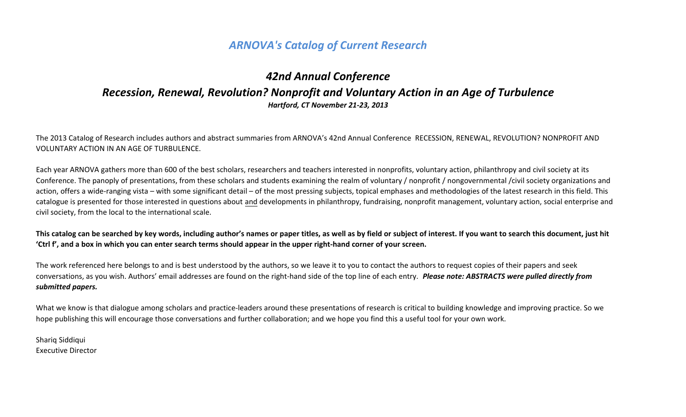# *ARNOVA's Catalog of Current Research*

# *42nd Annual Conference Recession, Renewal, Revolution? Nonprofit and Voluntary Action in an Age of Turbulence Hartford, CT November 21-23, 2013*

The 2013 Catalog of Research includes authors and abstract summaries from ARNOVA's 42nd Annual Conference RECESSION, RENEWAL, REVOLUTION? NONPROFIT AND VOLUNTARY ACTION IN AN AGE OF TURBULENCE.

Each year ARNOVA gathers more than 600 of the best scholars, researchers and teachers interested in nonprofits, voluntary action, philanthropy and civil society at its Conference. The panoply of presentations, from these scholars and students examining the realm of voluntary / nonprofit / nongovernmental /civil society organizations and action, offers a wide-ranging vista – with some significant detail – of the most pressing subjects, topical emphases and methodologies of the latest research in this field. This catalogue is presented for those interested in questions about and developments in philanthropy, fundraising, nonprofit management, voluntary action, social enterprise and civil society, from the local to the international scale.

**This catalog can be searched by key words, including author's names or paper titles, as well as by field or subject of interest. If you want to search this document, just hit 'Ctrl f', and a box in which you can enter search terms should appear in the upper right-hand corner of your screen.** 

The work referenced here belongs to and is best understood by the authors, so we leave it to you to contact the authors to request copies of their papers and seek conversations, as you wish. Authors' email addresses are found on the right-hand side of the top line of each entry. *Please note: ABSTRACTS were pulled directly from submitted papers.* 

What we know is that dialogue among scholars and practice-leaders around these presentations of research is critical to building knowledge and improving practice. So we hope publishing this will encourage those conversations and further collaboration; and we hope you find this a useful tool for your own work.

Shariq Siddiqui Executive Director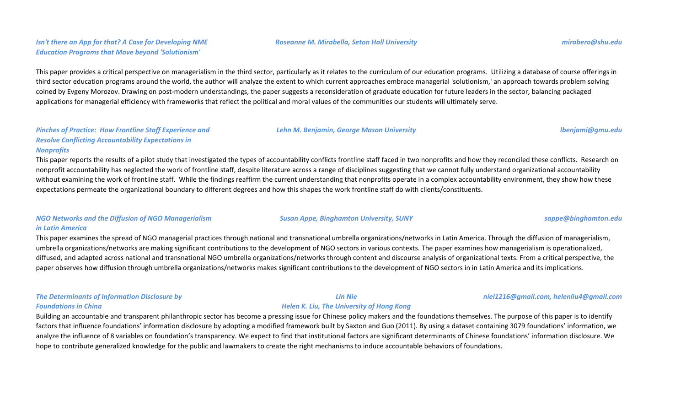# *Isn't there an App for that? A Case for Developing NME Education Programs that Move beyond 'Solutionism'*

This paper provides a critical perspective on managerialism in the third sector, particularly as it relates to the curriculum of our education programs. Utilizing a database of course offerings in third sector education programs around the world, the author will analyze the extent to which current approaches embrace managerial 'solutionism,' an approach towards problem solving coined by Evgeny Morozov. Drawing on post-modern understandings, the paper suggests a reconsideration of graduate education for future leaders in the sector, balancing packaged applications for managerial efficiency with frameworks that reflect the political and moral values of the communities our students will ultimately serve.

### *Pinches of Practice: How Frontline Staff Experience and Resolve Conflicting Accountability Expectations in Nonprofits*

This paper reports the results of a pilot study that investigated the types of accountability conflicts frontline staff faced in two nonprofits and how they reconciled these conflicts. Research on nonprofit accountability has neglected the work of frontline staff, despite literature across a range of disciplines suggesting that we cannot fully understand organizational accountability without examining the work of frontline staff. While the findings reaffirm the current understanding that nonprofits operate in a complex accountability environment, they show how these expectations permeate the organizational boundary to different degrees and how this shapes the work frontline staff do with clients/constituents.

# *NGO Networks and the Diffusion of NGO Managerialism in Latin America*

This paper examines the spread of NGO managerial practices through national and transnational umbrella organizations/networks in Latin America. Through the diffusion of managerialism, umbrella organizations/networks are making significant contributions to the development of NGO sectors in various contexts. The paper examines how managerialism is operationalized, diffused, and adapted across national and transnational NGO umbrella organizations/networks through content and discourse analysis of organizational texts. From a critical perspective, the paper observes how diffusion through umbrella organizations/networks makes significant contributions to the development of NGO sectors in in Latin America and its implications.

# *The Determinants of Information Disclosure by Foundations in China*

Building an accountable and transparent philanthropic sector has become a pressing issue for Chinese policy makers and the foundations themselves. The purpose of this paper is to identify factors that influence foundations' information disclosure by adopting a modified framework built by Saxton and Guo (2011). By using a dataset containing 3079 foundations' information, we analyze the influence of 8 variables on foundation's transparency. We expect to find that institutional factors are significant determinants of Chinese foundations' information disclosure. We hope to contribute generalized knowledge for the public and lawmakers to create the right mechanisms to induce accountable behaviors of foundations.

*Lehn M. Benjamin, George Mason University lbenjami@gmu.edu*

#### *Susan Appe, Binghamton University, SUNY sappe@binghamton.edu*

#### *Lin Nie Helen K. Liu, The University of Hong Kong*

#### *niel1216@gmail.com, helenliu4@gmail.com*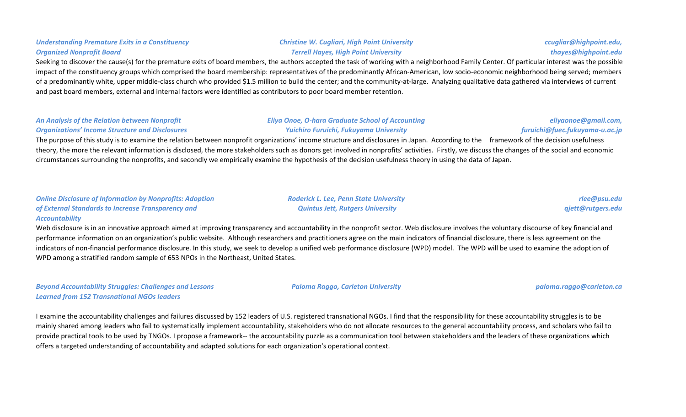# Seeking to discover the cause(s) for the premature exits of board members, the authors accepted the task of working with a neighborhood Family Center. Of particular interest was the possible impact of the constituency groups which comprised the board membership: representatives of the predominantly African-American, low socio-economic neighborhood being served; members of a predominantly white, upper middle-class church who provided \$1.5 million to build the center; and the community-at-large. Analyzing qualitative data gathered via interviews of current and past board members, external and internal factors were identified as contributors to poor board member retention.

#### *An Analysis of the Relation between Nonprofit Organizations' Income Structure and Disclosures Eliya Onoe, O-hara Graduate School of Accounting Yuichiro Furuichi, Fukuyama University*

The purpose of this study is to examine the relation between nonprofit organizations' income structure and disclosures in Japan. According to the framework of the decision usefulness theory, the more the relevant information is disclosed, the more stakeholders such as donors get involved in nonprofits' activities. Firstly, we discuss the changes of the social and economic circumstances surrounding the nonprofits, and secondly we empirically examine the hypothesis of the decision usefulness theory in using the data of Japan.

# *Online Disclosure of Information by Nonprofits: Adoption of External Standards to Increase Transparency and Accountability*

Web disclosure is in an innovative approach aimed at improving transparency and accountability in the nonprofit sector. Web disclosure involves the voluntary discourse of key financial and performance information on an organization's public website. Although researchers and practitioners agree on the main indicators of financial disclosure, there is less agreement on the indicators of non-financial performance disclosure. In this study, we seek to develop a unified web performance disclosure (WPD) model. The WPD will be used to examine the adoption of WPD among a stratified random sample of 653 NPOs in the Northeast, United States.

*Beyond Accountability Struggles: Challenges and Lessons Learned from 152 Transnational NGOs leaders*

I examine the accountability challenges and failures discussed by 152 leaders of U.S. registered transnational NGOs. I find that the responsibility for these accountability struggles is to be mainly shared among leaders who fail to systematically implement accountability, stakeholders who do not allocate resources to the general accountability process, and scholars who fail to provide practical tools to be used by TNGOs. I propose a framework-- the accountability puzzle as a communication tool between stakeholders and the leaders of these organizations which offers a targeted understanding of accountability and adapted solutions for each organization's operational context.

# *Christine W. Cugliari, High Point University Terrell Hayes, High Point University*

*ccugliar@highpoint.edu, thayes@highpoint.edu*

*rlee@psu.edu qjett@rutgers.edu*

*eliyaonoe@gmail.com, furuichi@fuec.fukuyama-u.ac.jp*

*Paloma Raggo, Carleton University paloma.raggo@carleton.ca*

*Roderick L. Lee, Penn State University Quintus Jett, Rutgers University*

# *Understanding Premature Exits in a Constituency Organized Nonprofit Board*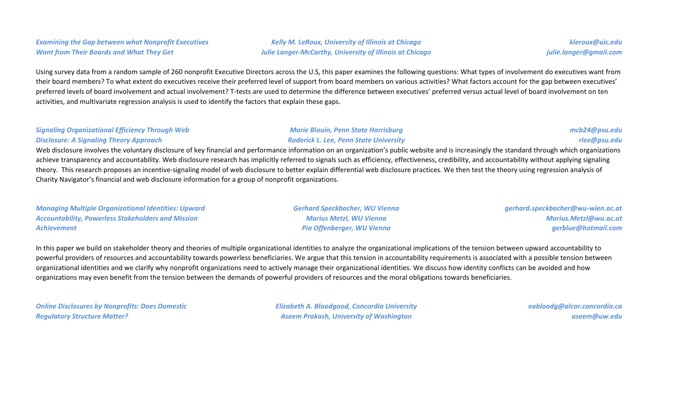# *Examining the Gap between what Nonprofit Executives Want from Their Boards and What They Get*

*Kelly M. LeRoux, University of Illinois at Chicago Julie Langer-McCarthy, University of Illinois at Chicago*

*kleroux@uic.edu julie.langer@gmail.com*

Using survey data from a random sample of 260 nonprofit Executive Directors across the U.S, this paper examines the following questions: What types of involvement do executives want from their board members? To what extent do executives receive their preferred level of support from board members on various activities? What factors account for the gap between executives' preferred levels of board involvement and actual involvement? T-tests are used to determine the difference between executives' preferred versus actual level of board involvement on ten activities, and multivariate regression analysis is used to identify the factors that explain these gaps.

### *Signaling Organizational Efficiency Through Web Disclosure: A Signaling Theory Approach*

#### *Marie Blouin, Penn State Harrisburg Roderick L. Lee, Penn State University*

# *mcb24@psu.edu rlee@psu.edu*

Web disclosure involves the voluntary disclosure of key financial and performance information on an organization's public website and is increasingly the standard through which organizations achieve transparency and accountability. Web disclosure research has implicitly referred to signals such as efficiency, effectiveness, credibility, and accountability without applying signaling theory. This research proposes an incentive-signaling model of web disclosure to better explain differential web disclosure practices. We then test the theory using regression analysis of Charity Navigator's financial and web disclosure information for a group of nonprofit organizations.

*Managing Multiple Organizational Identities: Upward Accountability, Powerless Stakeholders and Mission Achievement*

*Gerhard Speckbacher, WU Vienna Marius Metzl, WU Vienna Pia Offenberger, WU Vienna*

*gerhard.speckbacher@wu-wien.ac.at Marius.Metzl@wu.ac.at gerblue@hotmail.com*

In this paper we build on stakeholder theory and theories of multiple organizational identities to analyze the organizational implications of the tension between upward accountability to powerful providers of resources and accountability towards powerless beneficiaries. We argue that this tension in accountability requirements is associated with a possible tension between organizational identities and we clarify why nonprofit organizations need to actively manage their organizational identities. We discuss how identity conflicts can be avoided and how organizations may even benefit from the tension between the demands of powerful providers of resources and the moral obligations towards beneficiaries.

| <b>Online Disclosures by Nonprofits: Does Domestic</b> |  |
|--------------------------------------------------------|--|
| <b>Regulatory Structure Matter?</b>                    |  |

*Elizabeth A. Bloodgood, Concordia University Aseem Prakash, University of Washington*

*eabloodg@alcor.concordia.ca aseem@uw.edu*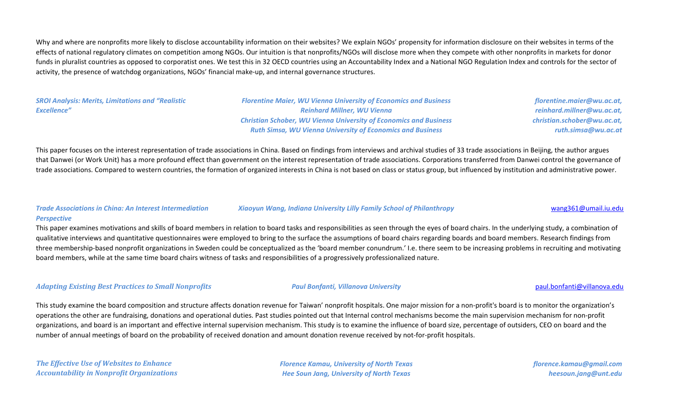Why and where are nonprofits more likely to disclose accountability information on their websites? We explain NGOs' propensity for information disclosure on their websites in terms of the effects of national regulatory climates on competition among NGOs. Our intuition is that nonprofits/NGOs will disclose more when they compete with other nonprofits in markets for donor funds in pluralist countries as opposed to corporatist ones. We test this in 32 OECD countries using an Accountability Index and a National NGO Regulation Index and controls for the sector of activity, the presence of watchdog organizations, NGOs' financial make-up, and internal governance structures.

*SROI Analysis: Merits, Limitations and "Realistic Excellence"*

*Florentine Maier, WU Vienna University of Economics and Business Reinhard Millner, WU Vienna Christian Schober, WU Vienna University of Economics and Business Ruth Simsa, WU Vienna University of Economics and Business*

*florentine.maier@wu.ac.at, reinhard.millner@wu.ac.at, christian.schober@wu.ac.at, ruth.simsa@wu.ac.at*

This paper focuses on the interest representation of trade associations in China. Based on findings from interviews and archival studies of 33 trade associations in Beijing, the author argues that Danwei (or Work Unit) has a more profound effect than government on the interest representation of trade associations. Corporations transferred from Danwei control the governance of trade associations. Compared to western countries, the formation of organized interests in China is not based on class or status group, but influenced by institution and administrative power.

#### *Trade Associations in China: An Interest Intermediation Perspective*

This paper examines motivations and skills of board members in relation to board tasks and responsibilities as seen through the eyes of board chairs. In the underlying study, a combination of qualitative interviews and quantitative questionnaires were employed to bring to the surface the assumptions of board chairs regarding boards and board members. Research findings from three membership-based nonprofit organizations in Sweden could be conceptualized as the 'board member conundrum.' I.e. there seem to be increasing problems in recruiting and motivating board members, while at the same time board chairs witness of tasks and responsibilities of a progressively professionalized nature.

#### *Adapting Existing Best Practices to Small Nonprofits Paul Bonfanti, Villanova University* [paul.bonfanti@villanova.edu](mailto:paul.bonfanti@villanova.edu)

This study examine the board composition and structure affects donation revenue for Taiwan' nonprofit hospitals. One major mission for a non-profit's board is to monitor the organization's operations the other are fundraising, donations and operational duties. Past studies pointed out that Internal control mechanisms become the main supervision mechanism for non-profit organizations, and board is an important and effective internal supervision mechanism. This study is to examine the influence of board size, percentage of outsiders, CEO on board and the number of annual meetings of board on the probability of received donation and amount donation revenue received by not-for-profit hospitals.

*The Effective Use of Websites to Enhance Accountability in Nonprofit Organizations* *Florence Kamau, University of North Texas Hee Soun Jang, University of North Texas*

*florence.kamau@gmail.com heesoun.jang@unt.edu*

#### *Xiaoyun Wang, Indiana University Lilly Family School of Philanthropy* [wang361@umail.iu.edu](mailto:wang361@umail.iu.edu)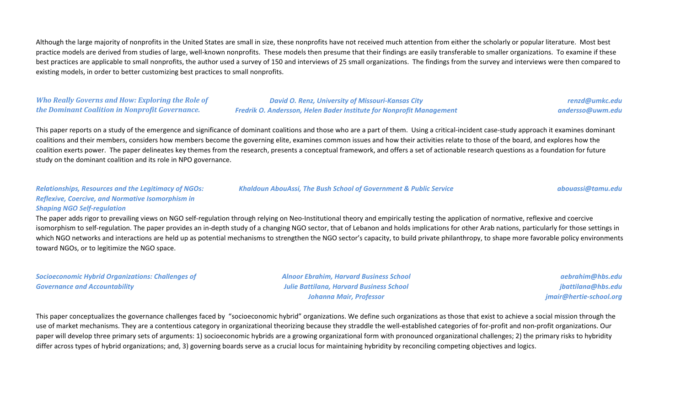Although the large majority of nonprofits in the United States are small in size, these nonprofits have not received much attention from either the scholarly or popular literature. Most best practice models are derived from studies of large, well-known nonprofits. These models then presume that their findings are easily transferable to smaller organizations. To examine if these best practices are applicable to small nonprofits, the author used a survey of 150 and interviews of 25 small organizations. The findings from the survey and interviews were then compared to existing models, in order to better customizing best practices to small nonprofits.

### *Who Really Governs and How: Exploring the Role of the Dominant Coalition in Nonprofit Governance.*

*David O. Renz, University of Missouri-Kansas City Fredrik O. Andersson, Helen Bader Institute for Nonprofit Management*

*renzd@umkc.edu andersso@uwm.edu*

This paper reports on a study of the emergence and significance of dominant coalitions and those who are a part of them. Using a critical-incident case-study approach it examines dominant coalitions and their members, considers how members become the governing elite, examines common issues and how their activities relate to those of the board, and explores how the coalition exerts power. The paper delineates key themes from the research, presents a conceptual framework, and offers a set of actionable research questions as a foundation for future study on the dominant coalition and its role in NPO governance.

### *Khaldoun AbouAssi, The Bush School of Government & Public Service [abouassi@tamu.edu](mailto:abouassi@tamu.edu)*

# *Relationships, Resources and the Legitimacy of NGOs: Reflexive, Coercive, and Normative Isomorphism in*

#### *Shaping NGO Self-regulation*

The paper adds rigor to prevailing views on NGO self-regulation through relying on Neo-Institutional theory and empirically testing the application of normative, reflexive and coercive isomorphism to self-regulation. The paper provides an in-depth study of a changing NGO sector, that of Lebanon and holds implications for other Arab nations, particularly for those settings in which NGO networks and interactions are held up as potential mechanisms to strengthen the NGO sector's capacity, to build private philanthropy, to shape more favorable policy environments toward NGOs, or to legitimize the NGO space.

*Socioeconomic Hybrid Organizations: Challenges of Governance and Accountability*

*Alnoor Ebrahim, Harvard Business School Julie Battilana, Harvard Business School Johanna Mair, Professor*

*[aebrahim@hbs.edu](mailto:abouassi@tamu.edu) [jbattilana@hbs.edu](mailto:abouassi@tamu.edu) [jmair@hertie-school.org](mailto:abouassi@tamu.edu)*

This paper conceptualizes the governance challenges faced by "socioeconomic hybrid" organizations. We define such organizations as those that exist to achieve a social mission through the use of market mechanisms. They are a contentious category in organizational theorizing because they straddle the well-established categories of for-profit and non-profit organizations. Our paper will develop three primary sets of arguments: 1) socioeconomic hybrids are a growing organizational form with pronounced organizational challenges; 2) the primary risks to hybridity differ across types of hybrid organizations; and, 3) governing boards serve as a crucial locus for maintaining hybridity by reconciling competing objectives and logics.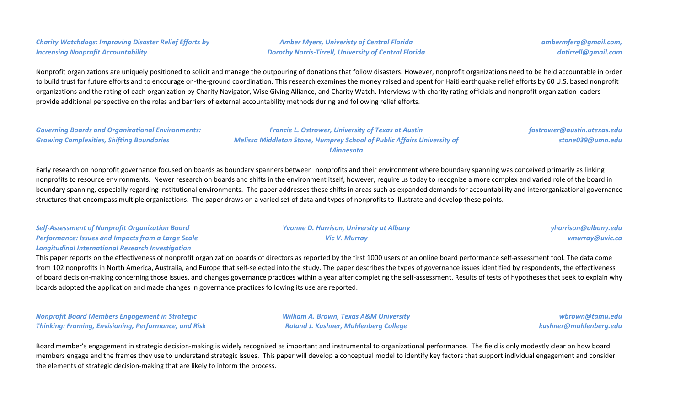# *Charity Watchdogs: Improving Disaster Relief Efforts by Increasing Nonprofit Accountability*

*Amber Myers, Univeristy of Central Florida Dorothy Norris-Tirrell, University of Central Florida* *ambermferg@gmail.com, dntirrell@gmail.com*

Nonprofit organizations are uniquely positioned to solicit and manage the outpouring of donations that follow disasters. However, nonprofit organizations need to be held accountable in order to build trust for future efforts and to encourage on-the-ground coordination. This research examines the money raised and spent for Haiti earthquake relief efforts by 60 U.S. based nonprofit organizations and the rating of each organization by Charity Navigator, Wise Giving Alliance, and Charity Watch. Interviews with charity rating officials and nonprofit organization leaders provide additional perspective on the roles and barriers of external accountability methods during and following relief efforts.

*Governing Boards and Organizational Environments: Growing Complexities, Shifting Boundaries*

*Francie L. Ostrower, University of Texas at Austin Melissa Middleton Stone, Humprey School of Public Affairs University of Minnesota*

*fostrower@austin.utexas.edu stone039@umn.edu*

Early research on nonprofit governance focused on boards as boundary spanners between nonprofits and their environment where boundary spanning was conceived primarily as linking nonprofits to resource environments. Newer research on boards and shifts in the environment itself, however, require us today to recognize a more complex and varied role of the board in boundary spanning, especially regarding institutional environments. The paper addresses these shifts in areas such as expanded demands for accountability and interorganizational governance structures that encompass multiple organizations. The paper draws on a varied set of data and types of nonprofits to illustrate and develop these points.

| <b>Self-Assessment of Nonprofit Organization Board</b>    | <b>Yvonne D. Harrison, University at Albany</b> | yharrison@albany.edu |
|-----------------------------------------------------------|-------------------------------------------------|----------------------|
| <b>Performance: Issues and Impacts from a Large Scale</b> | Vic V. Murrav                                   | vmurray@uvic.ca      |
| <b>Longitudinal International Research Investigation</b>  |                                                 |                      |

This paper reports on the effectiveness of nonprofit organization boards of directors as reported by the first 1000 users of an online board performance self-assessment tool. The data come from 102 nonprofits in North America, Australia, and Europe that self-selected into the study. The paper describes the types of governance issues identified by respondents, the effectiveness of board decision-making concerning those issues, and changes governance practices within a year after completing the self-assessment. Results of tests of hypotheses that seek to explain why boards adopted the application and made changes in governance practices following its use are reported.

*Nonprofit Board Members Engagement in Strategic Thinking: Framing, Envisioning, Performance, and Risk*

*William A. Brown, Texas A&M University Roland J. Kushner, Muhlenberg College*

*wbrown@tamu.edu kushner@muhlenberg.edu*

Board member's engagement in strategic decision-making is widely recognized as important and instrumental to organizational performance. The field is only modestly clear on how board members engage and the frames they use to understand strategic issues. This paper will develop a conceptual model to identify key factors that support individual engagement and consider the elements of strategic decision-making that are likely to inform the process.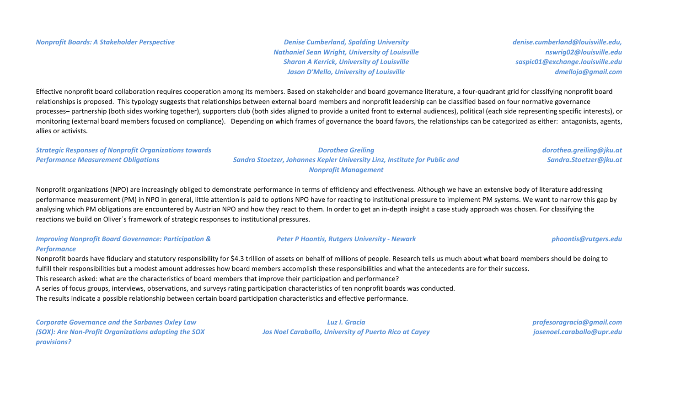*Nathaniel Sean Wright, University of Louisville Sharon A Kerrick, University of Louisville Jason D'Mello, University of Louisville*

*denise.cumberland@louisville.edu, nswrig02@louisville.edu saspic01@exchange.louisville.edu dmelloja@gmail.com*

Effective nonprofit board collaboration requires cooperation among its members. Based on stakeholder and board governance literature, a four-quadrant grid for classifying nonprofit board relationships is proposed. This typology suggests that relationships between external board members and nonprofit leadership can be classified based on four normative governance processes– partnership (both sides working together), supporters club (both sides aligned to provide a united front to external audiences), political (each side representing specific interests), or monitoring (external board members focused on compliance). Depending on which frames of governance the board favors, the relationships can be categorized as either: antagonists, agents, allies or activists.

*Strategic Responses of Nonprofit Organizations towards Performance Measurement Obligations Dorothea Greiling Sandra Stoetzer, Johannes Kepler University Linz, Institute for Public and Nonprofit Management dorothea.greiling@jku.at Sandra.Stoetzer@jku.at*

Nonprofit organizations (NPO) are increasingly obliged to demonstrate performance in terms of efficiency and effectiveness. Although we have an extensive body of literature addressing performance measurement (PM) in NPO in general, little attention is paid to options NPO have for reacting to institutional pressure to implement PM systems. We want to narrow this gap by analysing which PM obligations are encountered by Austrian NPO and how they react to them. In order to get an in-depth insight a case study approach was chosen. For classifying the reactions we build on Oliver´s framework of strategic responses to institutional pressures.

#### *Improving Nonprofit Board Governance: Participation & Performance*

#### *Peter P Hoontis, Rutgers University - Newark [phoontis@rutgers.edu](mailto:phoontis@rutgers.edu)*

Nonprofit boards have fiduciary and statutory responsibility for \$4.3 trillion of assets on behalf of millions of people. Research tells us much about what board members should be doing to fulfill their responsibilities but a modest amount addresses how board members accomplish these responsibilities and what the antecedents are for their success. This research asked: what are the characteristics of board members that improve their participation and performance? A series of focus groups, interviews, observations, and surveys rating participation characteristics of ten nonprofit boards was conducted. The results indicate a possible relationship between certain board participation characteristics and effective performance.

*Corporate Governance and the Sarbanes Oxley Law (SOX): Are Non-Profit Organizations adopting the SOX provisions?*

*Luz I. Gracia Jos Noel Caraballo, University of Puerto Rico at Cayey* *profesoragracia@gmail.com josenoel.caraballo@upr.edu*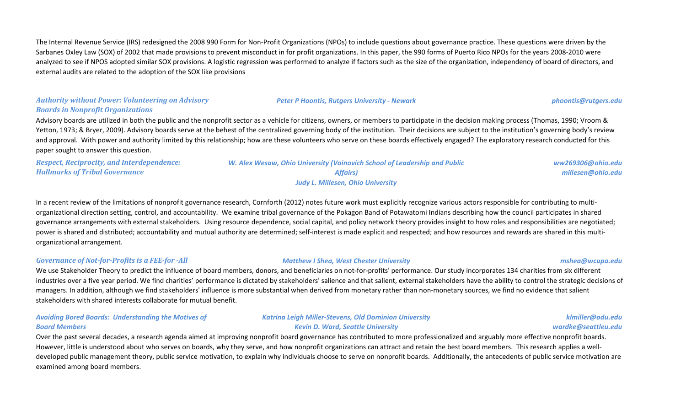The Internal Revenue Service (IRS) redesigned the 2008 990 Form for Non-Profit Organizations (NPOs) to include questions about governance practice. These questions were driven by the Sarbanes Oxley Law (SOX) of 2002 that made provisions to prevent misconduct in for profit organizations. In this paper, the 990 forms of Puerto Rico NPOs for the years 2008-2010 were analyzed to see if NPOS adopted similar SOX provisions. A logistic regression was performed to analyze if factors such as the size of the organization, independency of board of directors, and external audits are related to the adoption of the SOX like provisions

# *Authority without Power: Volunteering on Advisory Boards in Nonprofit Organizations*

Advisory boards are utilized in both the public and the nonprofit sector as a vehicle for citizens, owners, or members to participate in the decision making process (Thomas, 1990; Vroom & Yetton, 1973; & Bryer, 2009). Advisory boards serve at the behest of the centralized governing body of the institution. Their decisions are subject to the institution's governing body's review and approval. With power and authority limited by this relationship; how are these volunteers who serve on these boards effectively engaged? The exploratory research conducted for this paper sought to answer this question.

*Respect, Reciprocity, and Interdependence: Hallmarks of Tribal Governance*

*W. Alex Wesaw, Ohio University (Voinovich School of Leadership and Public Affairs) Judy L. Millesen, Ohio University*

*ww269306@ohio.edu millesen@ohio.edu*

In a recent review of the limitations of nonprofit governance research, Cornforth (2012) notes future work must explicitly recognize various actors responsible for contributing to multiorganizational direction setting, control, and accountability. We examine tribal governance of the Pokagon Band of Potawatomi Indians describing how the council participates in shared governance arrangements with external stakeholders. Using resource dependence, social capital, and policy network theory provides insight to how roles and responsibilities are negotiated; power is shared and distributed; accountability and mutual authority are determined; self-interest is made explicit and respected; and how resources and rewards are shared in this multiorganizational arrangement.

# *Governance of Not-for-Profits is a FEE-for -All Matthew I Shea, West Chester University mshea@wcupa.edu*

# We use Stakeholder Theory to predict the influence of board members, donors, and beneficiaries on not-for-profits' performance. Our study incorporates 134 charities from six different industries over a five year period. We find charities' performance is dictated by stakeholders' salience and that salient, external stakeholders have the ability to control the strategic decisions of managers. In addition, although we find stakeholders' influence is more substantial when derived from monetary rather than non-monetary sources, we find no evidence that salient stakeholders with shared interests collaborate for mutual benefit.

# *Avoiding Bored Boards: Understanding the Motives of Board Members*

# *Katrina Leigh Miller-Stevens, Old Dominion University Kevin D. Ward, Seattle University*

*klmiller@odu.edu wardke@seattleu.edu*

Over the past several decades, a research agenda aimed at improving nonprofit board governance has contributed to more professionalized and arguably more effective nonprofit boards. However, little is understood about who serves on boards, why they serve, and how nonprofit organizations can attract and retain the best board members. This research applies a welldeveloped public management theory, public service motivation, to explain why individuals choose to serve on nonprofit boards. Additionally, the antecedents of public service motivation are examined among board members.

# *Peter P Hoontis, Rutgers University - Newark [phoontis@rutgers.edu](mailto:phoontis@rutgers.edu)*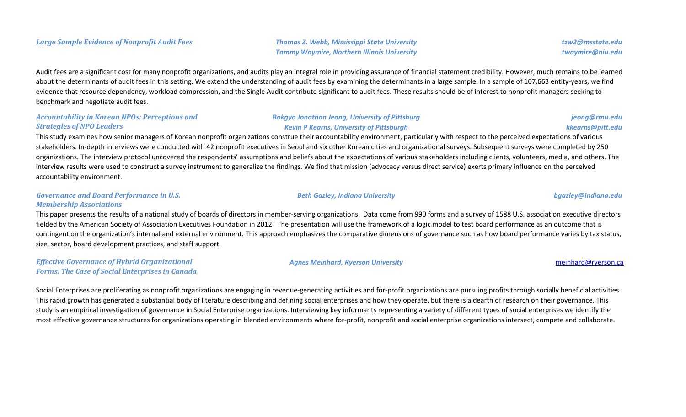*Tammy Waymire, Northern Illinois University*

Audit fees are a significant cost for many nonprofit organizations, and audits play an integral role in providing assurance of financial statement credibility. However, much remains to be learned about the determinants of audit fees in this setting. We extend the understanding of audit fees by examining the determinants in a large sample. In a sample of 107,663 entity-years, we find evidence that resource dependency, workload compression, and the Single Audit contribute significant to audit fees. These results should be of interest to nonprofit managers seeking to benchmark and negotiate audit fees.

### *Accountability in Korean NPOs: Perceptions and Strategies of NPO Leaders*

# *Bokgyo Jonathan Jeong, University of Pittsburg Kevin P Kearns, University of Pittsburgh*

# *jeong@rmu.edu kkearns@pitt.edu*

This study examines how senior managers of Korean nonprofit organizations construe their accountability environment, particularly with respect to the perceived expectations of various stakeholders. In-depth interviews were conducted with 42 nonprofit executives in Seoul and six other Korean cities and organizational surveys. Subsequent surveys were completed by 250 organizations. The interview protocol uncovered the respondents' assumptions and beliefs about the expectations of various stakeholders including clients, volunteers, media, and others. The interview results were used to construct a survey instrument to generalize the findings. We find that mission (advocacy versus direct service) exerts primary influence on the perceived accountability environment.

### *Governance and Board Performance in U.S. Membership Associations*

This paper presents the results of a national study of boards of directors in member-serving organizations. Data come from 990 forms and a survey of 1588 U.S. association executive directors fielded by the American Society of Association Executives Foundation in 2012. The presentation will use the framework of a logic model to test board performance as an outcome that is contingent on the organization's internal and external environment. This approach emphasizes the comparative dimensions of governance such as how board performance varies by tax status, size, sector, board development practices, and staff support.

*Effective Governance of Hybrid Organizational Forms: The Case of Social Enterprises in Canada*

#### *Agnes Meinhard, Ryerson University* [meinhard@ryerson.ca](mailto:meinhard@ryerson.ca)

Social Enterprises are proliferating as nonprofit organizations are engaging in revenue-generating activities and for-profit organizations are pursuing profits through socially beneficial activities. This rapid growth has generated a substantial body of literature describing and defining social enterprises and how they operate, but there is a dearth of research on their governance. This study is an empirical investigation of governance in Social Enterprise organizations. Interviewing key informants representing a variety of different types of social enterprises we identify the most effective governance structures for organizations operating in blended environments where for-profit, nonprofit and social enterprise organizations intersect, compete and collaborate.

*Beth Gazley, Indiana University bgazley@indiana.edu*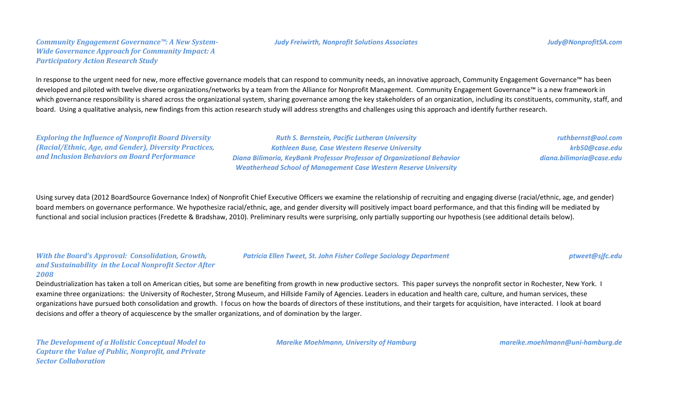#### *Judy Freiwirth, Nonprofit Solutions Associates [Judy@NonprofitSA.com](mailto:Judy@NonprofitSA.com)*

# *Community Engagement Governance™: A New System-Wide Governance Approach for Community Impact: A Participatory Action Research Study*

In response to the urgent need for new, more effective governance models that can respond to community needs, an innovative approach, Community Engagement Governance™ has been developed and piloted with twelve diverse organizations/networks by a team from the Alliance for Nonprofit Management. Community Engagement Governance™ is a new framework in which governance responsibility is shared across the organizational system, sharing governance among the key stakeholders of an organization, including its constituents, community, staff, and board. Using a qualitative analysis, new findings from this action research study will address strengths and challenges using this approach and identify further research.

*Exploring the Influence of Nonprofit Board Diversity (Racial/Ethnic, Age, and Gender), Diversity Practices, and Inclusion Behaviors on Board Performance*

*Ruth S. Bernstein, Pacific Lutheran University Kathleen Buse, Case Western Reserve University Diana Bilimoria, KeyBank Professor Professor of Organizational Behavior Weatherhead School of Management Case Western Reserve University*

*ruthbernst@aol.com krb50@case.edu diana.bilimoria@case.edu*

Using survey data (2012 BoardSource Governance Index) of Nonprofit Chief Executive Officers we examine the relationship of recruiting and engaging diverse (racial/ethnic, age, and gender) board members on governance performance. We hypothesize racial/ethnic, age, and gender diversity will positively impact board performance, and that this finding will be mediated by functional and social inclusion practices (Fredette & Bradshaw, 2010). Preliminary results were surprising, only partially supporting our hypothesis (see additional details below).

#### *With the Board's Approval: Consolidation, Growth, and Sustainability in the Local Nonprofit Sector After 2008*

Deindustrialization has taken a toll on American cities, but some are benefiting from growth in new productive sectors. This paper surveys the nonprofit sector in Rochester, New York. I examine three organizations: the University of Rochester, Strong Museum, and Hillside Family of Agencies. Leaders in education and health care, culture, and human services, these organizations have pursued both consolidation and growth. I focus on how the boards of directors of these institutions, and their targets for acquisition, have interacted. I look at board decisions and offer a theory of acquiescence by the smaller organizations, and of domination by the larger.

*The Development of a Holistic Conceptual Model to Capture the Value of Public, Nonprofit, and Private Sector Collaboration*

*Mareike Moehlmann, University of Hamburg [mareike.moehlmann@uni-hamburg.de](mailto:mareike.moehlmann@uni-hamburg.de)*

*Patricia Ellen Tweet, St. John Fisher College Sociology Department [ptweet@sjfc.edu](mailto:ptweet@sjfc.edu)*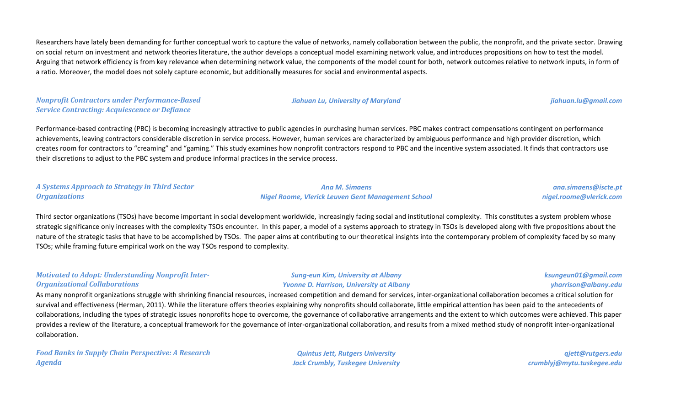Researchers have lately been demanding for further conceptual work to capture the value of networks, namely collaboration between the public, the nonprofit, and the private sector. Drawing on social return on investment and network theories literature, the author develops a conceptual model examining network value, and introduces propositions on how to test the model. Arguing that network efficiency is from key relevance when determining network value, the components of the model count for both, network outcomes relative to network inputs, in form of a ratio. Moreover, the model does not solely capture economic, but additionally measures for social and environmental aspects.

*Nonprofit Contractors under Performance-Based Service Contracting: Acquiescence or Defiance*

*A Systems Approach to Strategy in Third Sector* 

*Organizations*

Performance-based contracting (PBC) is becoming increasingly attractive to public agencies in purchasing human services. PBC makes contract compensations contingent on performance achievements, leaving contractors considerable discretion in service process. However, human services are characterized by ambiguous performance and high provider discretion, which creates room for contractors to "creaming" and "gaming." This study examines how nonprofit contractors respond to PBC and the incentive system associated. It finds that contractors use their discretions to adjust to the PBC system and produce informal practices in the service process.

Third sector organizations (TSOs) have become important in social development worldwide, increasingly facing social and institutional complexity. This constitutes a system problem whose strategic significance only increases with the complexity TSOs encounter. In this paper, a model of a systems approach to strategy in TSOs is developed along with five propositions about the nature of the strategic tasks that have to be accomplished by TSOs. The paper aims at contributing to our theoretical insights into the contemporary problem of complexity faced by so many TSOs; while framing future empirical work on the way TSOs respond to complexity.

# *Motivated to Adopt: Understanding Nonprofit Inter-Organizational Collaborations*

*Sung-eun Kim, University at Albany Yvonne D. Harrison, University at Albany*

*Ana M. Simaens Nigel Roome, Vlerick Leuven Gent Management School*

> *ksungeun01@gmail.com yharrison@albany.edu*

As many nonprofit organizations struggle with shrinking financial resources, increased competition and demand for services, inter-organizational collaboration becomes a critical solution for survival and effectiveness (Herman, 2011). While the literature offers theories explaining why nonprofits should collaborate, little empirical attention has been paid to the antecedents of collaborations, including the types of strategic issues nonprofits hope to overcome, the governance of collaborative arrangements and the extent to which outcomes were achieved. This paper provides a review of the literature, a conceptual framework for the governance of inter-organizational collaboration, and results from a mixed method study of nonprofit inter-organizational collaboration.

*Food Banks in Supply Chain Perspective: A Research Agenda*

*Quintus Jett, Rutgers University Jack Crumbly, Tuskegee University*

*qjett@rutgers.edu crumblyj@mytu.tuskegee.edu*

*Jiahuan Lu, University of Maryland [jiahuan.lu@gmail.com](mailto:jiahuan.lu@gmail.com)*

*ana.simaens@iscte.pt nigel.roome@vlerick.com*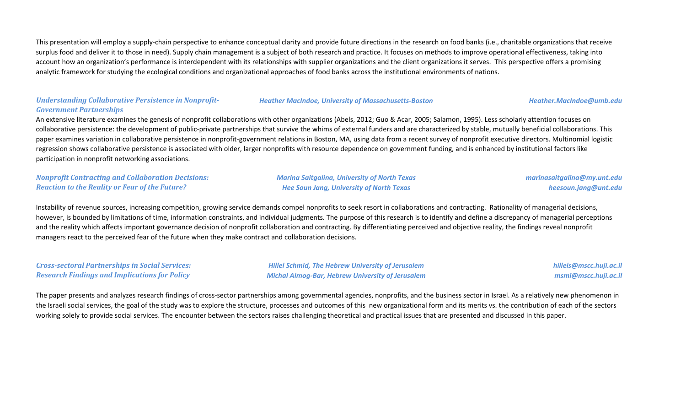This presentation will employ a supply-chain perspective to enhance conceptual clarity and provide future directions in the research on food banks (i.e., charitable organizations that receive surplus food and deliver it to those in need). Supply chain management is a subject of both research and practice. It focuses on methods to improve operational effectiveness, taking into account how an organization's performance is interdependent with its relationships with supplier organizations and the client organizations it serves. This perspective offers a promising analytic framework for studying the ecological conditions and organizational approaches of food banks across the institutional environments of nations.

# *Understanding Collaborative Persistence in Nonprofit-Government Partnerships*

#### *Heather MacIndoe, University of Massachusetts-Boston Heather.MacIndoe@umb.edu*

An extensive literature examines the genesis of nonprofit collaborations with other organizations (Abels, 2012; Guo & Acar, 2005; Salamon, 1995). Less scholarly attention focuses on collaborative persistence: the development of public-private partnerships that survive the whims of external funders and are characterized by stable, mutually beneficial collaborations. This paper examines variation in collaborative persistence in nonprofit-government relations in Boston, MA, using data from a recent survey of nonprofit executive directors. Multinomial logistic regression shows collaborative persistence is associated with older, larger nonprofits with resource dependence on government funding, and is enhanced by institutional factors like participation in nonprofit networking associations.

*Nonprofit Contracting and Collaboration Decisions: Reaction to the Reality or Fear of the Future?*

*Marina Saitgalina, University of North Texas Hee Soun Jang, University of North Texas*

*marinasaitgalina@my.unt.edu heesoun.jang@unt.edu*

Instability of revenue sources, increasing competition, growing service demands compel nonprofits to seek resort in collaborations and contracting. Rationality of managerial decisions, however, is bounded by limitations of time, information constraints, and individual judgments. The purpose of this research is to identify and define a discrepancy of managerial perceptions and the reality which affects important governance decision of nonprofit collaboration and contracting. By differentiating perceived and objective reality, the findings reveal nonprofit managers react to the perceived fear of the future when they make contract and collaboration decisions.

*Cross-sectoral Partnerships in Social Services: Research Findings and Implications for Policy*

*Hillel Schmid, The Hebrew University of Jerusalem Michal Almog-Bar, Hebrew University of Jerusalem* *hillels@mscc.huji.ac.il msmi@mscc.huji.ac.il*

The paper presents and analyzes research findings of cross-sector partnerships among governmental agencies, nonprofits, and the business sector in Israel. As a relatively new phenomenon in the Israeli social services, the goal of the study was to explore the structure, processes and outcomes of this new organizational form and its merits vs. the contribution of each of the sectors working solely to provide social services. The encounter between the sectors raises challenging theoretical and practical issues that are presented and discussed in this paper.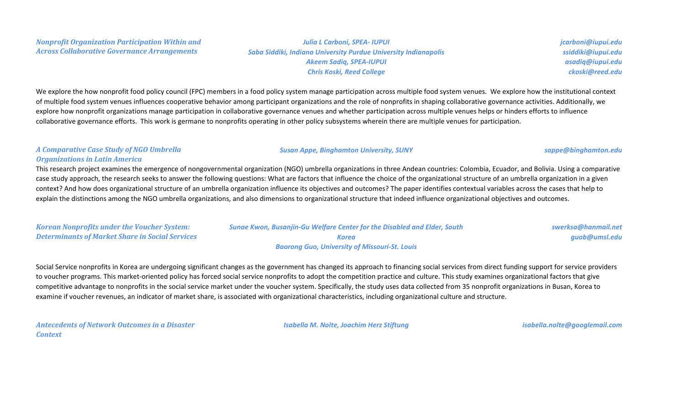# *Julia L Carboni, SPEA- IUPUI Saba Siddiki, Indiana University Purdue University Indianapolis Akeem Sadiq, SPEA-IUPUI Chris Koski, Reed College*

*jcarboni@iupui.edu ssiddiki@iupui.edu asadiq@iupui.edu ckoski@reed.edu*

We explore the how nonprofit food policy council (FPC) members in a food policy system manage participation across multiple food system venues. We explore how the institutional context of multiple food system venues influences cooperative behavior among participant organizations and the role of nonprofits in shaping collaborative governance activities. Additionally, we explore how nonprofit organizations manage participation in collaborative governance venues and whether participation across multiple venues helps or hinders efforts to influence collaborative governance efforts. This work is germane to nonprofits operating in other policy subsystems wherein there are multiple venues for participation.

# *A Comparative Case Study of NGO Umbrella Organizations in Latin America*

This research project examines the emergence of nongovernmental organization (NGO) umbrella organizations in three Andean countries: Colombia, Ecuador, and Bolivia. Using a comparative case study approach, the research seeks to answer the following questions: What are factors that influence the choice of the organizational structure of an umbrella organization in a given context? And how does organizational structure of an umbrella organization influence its objectives and outcomes? The paper identifies contextual variables across the cases that help to explain the distinctions among the NGO umbrella organizations, and also dimensions to organizational structure that indeed influence organizational objectives and outcomes.

| <b>Korean Nonprofits under the Voucher System:</b>     | <b>Sunge Kwon, Busanjin-Gu Welfare Center for the Disabled and Elder, South</b> | swerksa@hanmail.net |
|--------------------------------------------------------|---------------------------------------------------------------------------------|---------------------|
| <b>Determinants of Market Share in Social Services</b> | Korea                                                                           | quob@umsl.edu       |
|                                                        | <b>Baorong Guo, University of Missouri-St. Louis</b>                            |                     |

Social Service nonprofits in Korea are undergoing significant changes as the government has changed its approach to financing social services from direct funding support for service providers to voucher programs. This market-oriented policy has forced social service nonprofits to adopt the competition practice and culture. This study examines organizational factors that give competitive advantage to nonprofits in the social service market under the voucher system. Specifically, the study uses data collected from 35 nonprofit organizations in Busan, Korea to examine if voucher revenues, an indicator of market share, is associated with organizational characteristics, including organizational culture and structure.

*Antecedents of Network Outcomes in a Disaster Context*

*Isabella M. Nolte, Joachim Herz Stiftung isabella.nolte@googlemail.com*

### *Susan Appe, Binghamton University, SUNY [sappe@binghamton.edu](mailto:sappe@binghamton.edu)*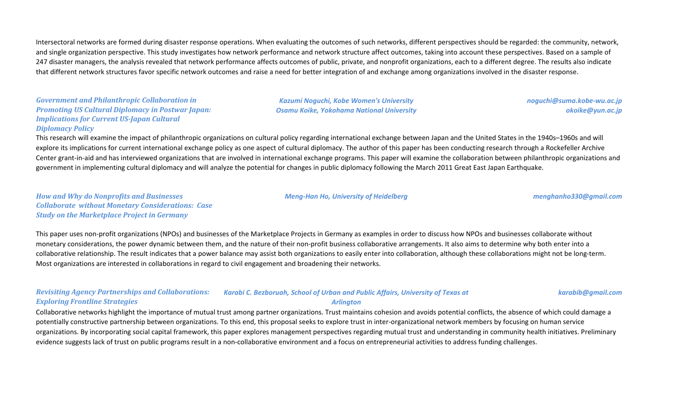Intersectoral networks are formed during disaster response operations. When evaluating the outcomes of such networks, different perspectives should be regarded: the community, network, and single organization perspective. This study investigates how network performance and network structure affect outcomes, taking into account these perspectives. Based on a sample of 247 disaster managers, the analysis revealed that network performance affects outcomes of public, private, and nonprofit organizations, each to a different degree. The results also indicate that different network structures favor specific network outcomes and raise a need for better integration of and exchange among organizations involved in the disaster response.

# *Government and Philanthropic Collaboration in Promoting US Cultural Diplomacy in Postwar Japan: Implications for Current US-Japan Cultural Diplomacy Policy*

*Kazumi Noguchi, Kobe Women's University Osamu Koike, Yokohama National University* *noguchi@suma.kobe-wu.ac.jp okoike@yun.ac.jp*

This research will examine the impact of philanthropic organizations on cultural policy regarding international exchange between Japan and the United States in the 1940s–1960s and will explore its implications for current international exchange policy as one aspect of cultural diplomacy. The author of this paper has been conducting research through a Rockefeller Archive Center grant-in-aid and has interviewed organizations that are involved in international exchange programs. This paper will examine the collaboration between philanthropic organizations and government in implementing cultural diplomacy and will analyze the potential for changes in public diplomacy following the March 2011 Great East Japan Earthquake.

*How and Why do Nonprofits and Businesses Collaborate without Monetary Considerations: Case Study on the Marketplace Project in Germany*

*Meng-Han Ho, University of Heidelberg [menghanho330@gmail.com](mailto:menghanho330@gmail.com)*

*karabib@gmail.com*

This paper uses non-profit organizations (NPOs) and businesses of the Marketplace Projects in Germany as examples in order to discuss how NPOs and businesses collaborate without monetary considerations, the power dynamic between them, and the nature of their non-profit business collaborative arrangements. It also aims to determine why both enter into a collaborative relationship. The result indicates that a power balance may assist both organizations to easily enter into collaboration, although these collaborations might not be long-term. Most organizations are interested in collaborations in regard to civil engagement and broadening their networks.

#### *Revisiting Agency Partnerships and Collaborations: Exploring Frontline Strategies Karabi C. Bezboruah, School of Urban and Public Affairs, University of Texas at Arlington*

Collaborative networks highlight the importance of mutual trust among partner organizations. Trust maintains cohesion and avoids potential conflicts, the absence of which could damage a potentially constructive partnership between organizations. To this end, this proposal seeks to explore trust in inter-organizational network members by focusing on human service organizations. By incorporating social capital framework, this paper explores management perspectives regarding mutual trust and understanding in community health initiatives. Preliminary evidence suggests lack of trust on public programs result in a non-collaborative environment and a focus on entrepreneurial activities to address funding challenges.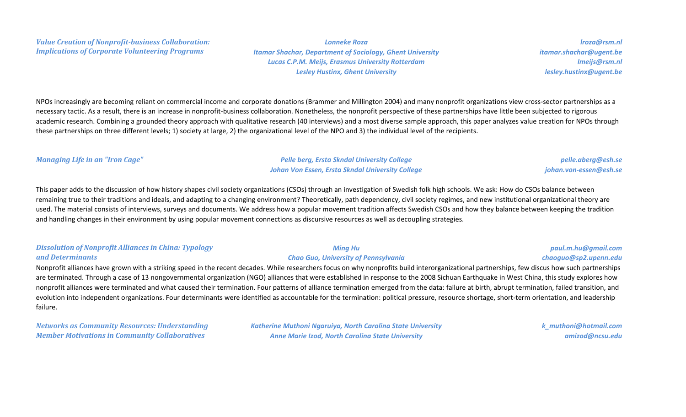*Lonneke Roza Itamar Shachar, Department of Sociology, Ghent University Lucas C.P.M. Meijs, Erasmus University Rotterdam Lesley Hustinx, Ghent University*

*lroza@rsm.nl itamar.shachar@ugent.be lmeijs@rsm.nl lesley.hustinx@ugent.be*

NPOs increasingly are becoming reliant on commercial income and corporate donations (Brammer and Millington 2004) and many nonprofit organizations view cross-sector partnerships as a necessary tactic. As a result, there is an increase in nonprofit-business collaboration. Nonetheless, the nonprofit perspective of these partnerships have little been subjected to rigorous academic research. Combining a grounded theory approach with qualitative research (40 interviews) and a most diverse sample approach, this paper analyzes value creation for NPOs through these partnerships on three different levels; 1) society at large, 2) the organizational level of the NPO and 3) the individual level of the recipients.

*Managing Life in an "Iron Cage" Pelle berg, Ersta Skndal University College Johan Von Essen, Ersta Skndal University College*

### *pelle.aberg@esh.se johan.von-essen@esh.se*

This paper adds to the discussion of how history shapes civil society organizations (CSOs) through an investigation of Swedish folk high schools. We ask: How do CSOs balance between remaining true to their traditions and ideals, and adapting to a changing environment? Theoretically, path dependency, civil society regimes, and new institutional organizational theory are used. The material consists of interviews, surveys and documents. We address how a popular movement tradition affects Swedish CSOs and how they balance between keeping the tradition and handling changes in their environment by using popular movement connections as discursive resources as well as decoupling strategies.

#### *Dissolution of Nonprofit Alliances in China: Typology and Determinants*

### *Ming Hu Chao Guo, University of Pennsylvania*

# *paul.m.hu@gmail.com chaoguo@sp2.upenn.edu*

Nonprofit alliances have grown with a striking speed in the recent decades. While researchers focus on why nonprofits build interorganizational partnerships, few discus how such partnerships are terminated. Through a case of 13 nongovernmental organization (NGO) alliances that were established in response to the 2008 Sichuan Earthquake in West China, this study explores how nonprofit alliances were terminated and what caused their termination. Four patterns of alliance termination emerged from the data: failure at birth, abrupt termination, failed transition, and evolution into independent organizations. Four determinants were identified as accountable for the termination: political pressure, resource shortage, short-term orientation, and leadership failure.

*Networks as Community Resources: Understanding Member Motivations in Community Collaboratives*

*Katherine Muthoni Ngaruiya, North Carolina State University Anne Marie Izod, North Carolina State University*

*k\_muthoni@hotmail.com amizod@ncsu.edu*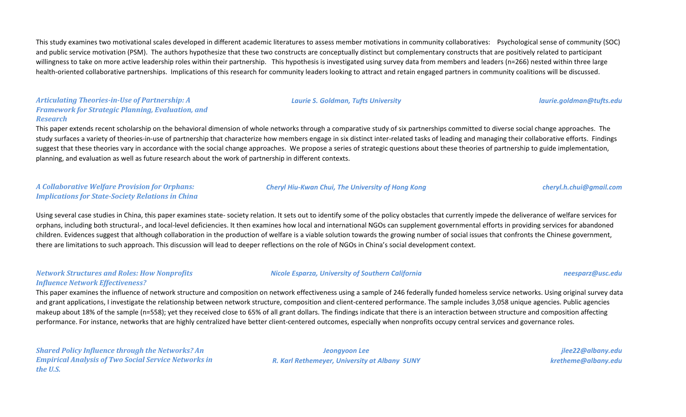This study examines two motivational scales developed in different academic literatures to assess member motivations in community collaboratives: Psychological sense of community (SOC) and public service motivation (PSM). The authors hypothesize that these two constructs are conceptually distinct but complementary constructs that are positively related to participant willingness to take on more active leadership roles within their partnership. This hypothesis is investigated using survey data from members and leaders (n=266) nested within three large health-oriented collaborative partnerships. Implications of this research for community leaders looking to attract and retain engaged partners in community coalitions will be discussed.

#### *Articulating Theories-in-Use of Partnership: A Framework for Strategic Planning, Evaluation, and Research*

This paper extends recent scholarship on the behavioral dimension of whole networks through a comparative study of six partnerships committed to diverse social change approaches. The study surfaces a variety of theories-in-use of partnership that characterize how members engage in six distinct inter-related tasks of leading and managing their collaborative efforts. Findings suggest that these theories vary in accordance with the social change approaches. We propose a series of strategic questions about these theories of partnership to guide implementation, planning, and evaluation as well as future research about the work of partnership in different contexts.

# *A Collaborative Welfare Provision for Orphans: Implications for State-Society Relations in China*

#### *Cheryl Hiu-Kwan Chui, The University of Hong Kong [cheryl.h.chui@gmail.com](mailto:cheryl.h.chui@gmail.com)*

Using several case studies in China, this paper examines state- society relation. It sets out to identify some of the policy obstacles that currently impede the deliverance of welfare services for orphans, including both structural-, and local-level deficiencies. It then examines how local and international NGOs can supplement governmental efforts in providing services for abandoned children. Evidences suggest that although collaboration in the production of welfare is a viable solution towards the growing number of social issues that confronts the Chinese government, there are limitations to such approach. This discussion will lead to deeper reflections on the role of NGOs in China's social development context.

### *Network Structures and Roles: How Nonprofits Influence Network Effectiveness?*

This paper examines the influence of network structure and composition on network effectiveness using a sample of 246 federally funded homeless service networks. Using original survey data and grant applications, I investigate the relationship between network structure, composition and client-centered performance. The sample includes 3,058 unique agencies. Public agencies makeup about 18% of the sample (n=558); yet they received close to 65% of all grant dollars. The findings indicate that there is an interaction between structure and composition affecting performance. For instance, networks that are highly centralized have better client-centered outcomes, especially when nonprofits occupy central services and governance roles.

*Shared Policy Influence through the Networks? An Empirical Analysis of Two Social Service Networks in the U.S.*

*Jeongyoon Lee R. Karl Rethemeyer, University at Albany SUNY*

*Nicole Esparza, University of Southern California [neesparz@usc.edu](mailto:neesparz@usc.edu)*

*jlee22@albany.edu kretheme@albany.edu*

*Laurie S. Goldman, Tufts University [laurie.goldman@tufts.edu](mailto:laurie.goldman@tufts.edu)*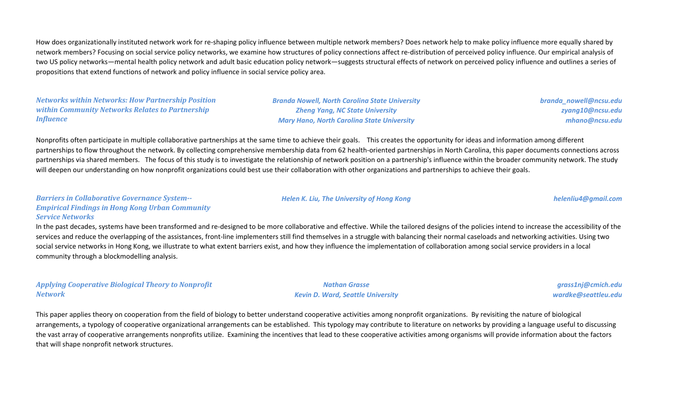How does organizationally instituted network work for re-shaping policy influence between multiple network members? Does network help to make policy influence more equally shared by network members? Focusing on social service policy networks, we examine how structures of policy connections affect re-distribution of perceived policy influence. Our empirical analysis of two US policy networks—mental health policy network and adult basic education policy network—suggests structural effects of network on perceived policy influence and outlines a series of propositions that extend functions of network and policy influence in social service policy area.

*Networks within Networks: How Partnership Position within Community Networks Relates to Partnership Influence*

*Branda Nowell, North Carolina State University Zheng Yang, NC State University Mary Hano, North Carolina State University*

*branda\_nowell@ncsu.edu zyang10@ncsu.edu mhano@ncsu.edu*

Nonprofits often participate in multiple collaborative partnerships at the same time to achieve their goals. This creates the opportunity for ideas and information among different partnerships to flow throughout the network. By collecting comprehensive membership data from 62 health-oriented partnerships in North Carolina, this paper documents connections across partnerships via shared members. The focus of this study is to investigate the relationship of network position on a partnership's influence within the broader community network. The study will deepen our understanding on how nonprofit organizations could best use their collaboration with other organizations and partnerships to achieve their goals.

*Barriers in Collaborative Governance System-- Empirical Findings in Hong Kong Urban Community Service Networks*

In the past decades, systems have been transformed and re-designed to be more collaborative and effective. While the tailored designs of the policies intend to increase the accessibility of the services and reduce the overlapping of the assistances, front-line implementers still find themselves in a struggle with balancing their normal caseloads and networking activities. Using two social service networks in Hong Kong, we illustrate to what extent barriers exist, and how they influence the implementation of collaboration among social service providers in a local community through a blockmodelling analysis.

*Applying Cooperative Biological Theory to Nonprofit Network*

*Nathan Grasse Kevin D. Ward, Seattle University*

*Helen K. Liu, The University of Hong Kong helenliu4@gmail.com*

*grass1nj@cmich.edu wardke@seattleu.edu*

This paper applies theory on cooperation from the field of biology to better understand cooperative activities among nonprofit organizations. By revisiting the nature of biological arrangements, a typology of cooperative organizational arrangements can be established. This typology may contribute to literature on networks by providing a language useful to discussing the vast array of cooperative arrangements nonprofits utilize. Examining the incentives that lead to these cooperative activities among organisms will provide information about the factors that will shape nonprofit network structures.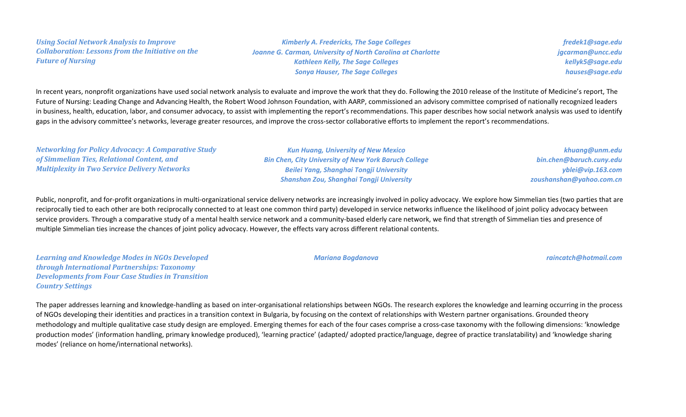*Using Social Network Analysis to Improve Collaboration: Lessons from the Initiative on the Future of Nursing*

*Kimberly A. Fredericks, The Sage Colleges Joanne G. Carman, University of North Carolina at Charlotte Kathleen Kelly, The Sage Colleges Sonya Hauser, The Sage Colleges*

*fredek1@sage.edu jgcarman@uncc.edu kellyk5@sage.edu hauses@sage.edu*

In recent years, nonprofit organizations have used social network analysis to evaluate and improve the work that they do. Following the 2010 release of the Institute of Medicine's report, The Future of Nursing: Leading Change and Advancing Health, the Robert Wood Johnson Foundation, with AARP, commissioned an advisory committee comprised of nationally recognized leaders in business, health, education, labor, and consumer advocacy, to assist with implementing the report's recommendations. This paper describes how social network analysis was used to identify gaps in the advisory committee's networks, leverage greater resources, and improve the cross-sector collaborative efforts to implement the report's recommendations.

*Networking for Policy Advocacy: A Comparative Study of Simmelian Ties, Relational Content, and Multiplexity in Two Service Delivery Networks Kun Huang, University of New Mexico Bin Chen, City University of New York Baruch College Beilei Yang, Shanghai Tongji University Shanshan Zou, Shanghai Tongji University khuang@unm.edu bin.chen@baruch.cuny.edu yblei@vip.163.com zoushanshan@yahoo.com.cn*

Public, nonprofit, and for-profit organizations in multi-organizational service delivery networks are increasingly involved in policy advocacy. We explore how Simmelian ties (two parties that are reciprocally tied to each other are both reciprocally connected to at least one common third party) developed in service networks influence the likelihood of joint policy advocacy between service providers. Through a comparative study of a mental health service network and a community-based elderly care network, we find that strength of Simmelian ties and presence of multiple Simmelian ties increase the chances of joint policy advocacy. However, the effects vary across different relational contents.

*Learning and Knowledge Modes in NGOs Developed through International Partnerships: Taxonomy Developments from Four Case Studies in Transition Country Settings*

*Mariana Bogdanova raincatch@hotmail.com*

The paper addresses learning and knowledge-handling as based on inter-organisational relationships between NGOs. The research explores the knowledge and learning occurring in the process of NGOs developing their identities and practices in a transition context in Bulgaria, by focusing on the context of relationships with Western partner organisations. Grounded theory methodology and multiple qualitative case study design are employed. Emerging themes for each of the four cases comprise a cross-case taxonomy with the following dimensions: 'knowledge production modes' (information handling, primary knowledge produced), 'learning practice' (adapted/ adopted practice/language, degree of practice translatability) and 'knowledge sharing modes' (reliance on home/international networks).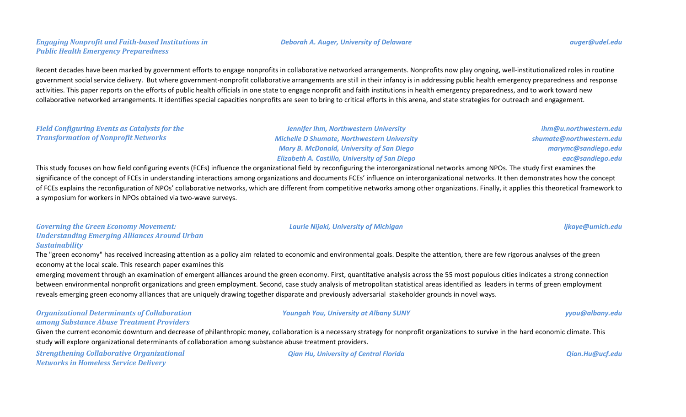# *Engaging Nonprofit and Faith-based Institutions in Public Health Emergency Preparedness*

# Recent decades have been marked by government efforts to engage nonprofits in collaborative networked arrangements. Nonprofits now play ongoing, well-institutionalized roles in routine government social service delivery. But where government-nonprofit collaborative arrangements are still in their infancy is in addressing public health emergency preparedness and response activities. This paper reports on the efforts of public health officials in one state to engage nonprofit and faith institutions in health emergency preparedness, and to work toward new collaborative networked arrangements. It identifies special capacities nonprofits are seen to bring to critical efforts in this arena, and state strategies for outreach and engagement.

# *Field Configuring Events as Catalysts for the Transformation of Nonprofit Networks*

*Jennifer Ihm, Northwestern University Michelle D Shumate, Northwestern University Mary B. McDonald, University of San Diego Elizabeth A. Castillo, University of San Diego*

*ihm@u.northwestern.edu shumate@northwestern.edu marymc@sandiego.edu eac@sandiego.edu*

This study focuses on how field configuring events (FCEs) influence the organizational field by reconfiguring the interorganizational networks among NPOs. The study first examines the significance of the concept of FCEs in understanding interactions among organizations and documents FCEs' influence on interorganizational networks. It then demonstrates how the concept of FCEs explains the reconfiguration of NPOs' collaborative networks, which are different from competitive networks among other organizations. Finally, it applies this theoretical framework to a symposium for workers in NPOs obtained via two-wave surveys.

# *Governing the Green Economy Movement: Understanding Emerging Alliances Around Urban Sustainability*

The "green economy" has received increasing attention as a policy aim related to economic and environmental goals. Despite the attention, there are few rigorous analyses of the green economy at the local scale. This research paper examines this

emerging movement through an examination of emergent alliances around the green economy. First, quantitative analysis across the 55 most populous cities indicates a strong connection between environmental nonprofit organizations and green employment. Second, case study analysis of metropolitan statistical areas identified as leaders in terms of green employment reveals emerging green economy alliances that are uniquely drawing together disparate and previously adversarial stakeholder grounds in novel ways.

# *Organizational Determinants of Collaboration among Substance Abuse Treatment Providers*

*Youngah You, University at Albany SUNY yyou@albany.edu*

Given the current economic downturn and decrease of philanthropic money, collaboration is a necessary strategy for nonprofit organizations to survive in the hard economic climate. This study will explore organizational determinants of collaboration among substance abuse treatment providers.

*Strengthening Collaborative Organizational Networks in Homeless Service Delivery*

*Qian Hu, University of Central Florida Qian.Hu@ucf.edu*

#### *Deborah A. Auger, University of Delaware auger@udel.edu*

*Laurie Nijaki, University of Michigan ljkaye@umich.edu*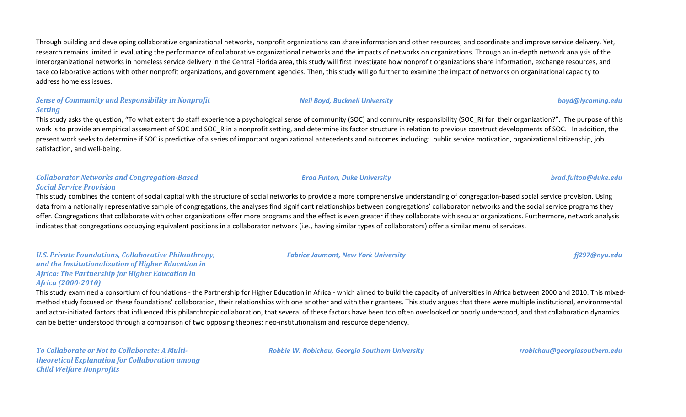Through building and developing collaborative organizational networks, nonprofit organizations can share information and other resources, and coordinate and improve service delivery. Yet, research remains limited in evaluating the performance of collaborative organizational networks and the impacts of networks on organizations. Through an in-depth network analysis of the interorganizational networks in homeless service delivery in the Central Florida area, this study will first investigate how nonprofit organizations share information, exchange resources, and take collaborative actions with other nonprofit organizations, and government agencies. Then, this study will go further to examine the impact of networks on organizational capacity to address homeless issues.

### *Sense of Community and Responsibility in Nonprofit Setting*

This study asks the question, "To what extent do staff experience a psychological sense of community (SOC) and community responsibility (SOC\_R) for their organization?". The purpose of this work is to provide an empirical assessment of SOC and SOC R in a nonprofit setting, and determine its factor structure in relation to previous construct developments of SOC. In addition, the present work seeks to determine if SOC is predictive of a series of important organizational antecedents and outcomes including: public service motivation, organizational citizenship, job satisfaction, and well-being.

# *Collaborator Networks and Congregation-Based Social Service Provision*

This study combines the content of social capital with the structure of social networks to provide a more comprehensive understanding of congregation-based social service provision. Using data from a nationally representative sample of congregations, the analyses find significant relationships between congregations' collaborator networks and the social service programs they offer. Congregations that collaborate with other organizations offer more programs and the effect is even greater if they collaborate with secular organizations. Furthermore, network analysis indicates that congregations occupying equivalent positions in a collaborator network (i.e., having similar types of collaborators) offer a similar menu of services.

# *U.S. Private Foundations, Collaborative Philanthropy, and the Institutionalization of Higher Education in Africa: The Partnership for Higher Education In Africa (2000-2010)*

This study examined a consortium of foundations - the Partnership for Higher Education in Africa - which aimed to build the capacity of universities in Africa between 2000 and 2010. This mixedmethod study focused on these foundations' collaboration, their relationships with one another and with their grantees. This study argues that there were multiple institutional, environmental and actor-initiated factors that influenced this philanthropic collaboration, that several of these factors have been too often overlooked or poorly understood, and that collaboration dynamics can be better understood through a comparison of two opposing theories: neo-institutionalism and resource dependency.

*To Collaborate or Not to Collaborate: A Multitheoretical Explanation for Collaboration among Child Welfare Nonprofits*

*Robbie W. Robichau, Georgia Southern University rrobichau@georgiasouthern.edu*

*Fabrice Jaumont, New York University fj297@nyu.edu*

*Brad Fulton, Duke University brad.fulton@duke.edu*

*Neil Boyd, Bucknell University boyd@lycoming.edu*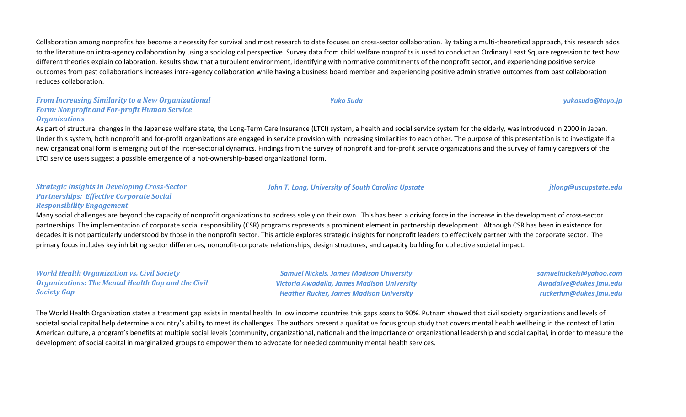Collaboration among nonprofits has become a necessity for survival and most research to date focuses on cross-sector collaboration. By taking a multi-theoretical approach, this research adds to the literature on intra-agency collaboration by using a sociological perspective. Survey data from child welfare nonprofits is used to conduct an Ordinary Least Square regression to test how different theories explain collaboration. Results show that a turbulent environment, identifying with normative commitments of the nonprofit sector, and experiencing positive service outcomes from past collaborations increases intra-agency collaboration while having a business board member and experiencing positive administrative outcomes from past collaboration reduces collaboration.

### *From Increasing Similarity to a New Organizational Form: Nonprofit and For-profit Human Service Organizations*

As part of structural changes in the Japanese welfare state, the Long-Term Care Insurance (LTCI) system, a health and social service system for the elderly, was introduced in 2000 in Japan. Under this system, both nonprofit and for-profit organizations are engaged in service provision with increasing similarities to each other. The purpose of this presentation is to investigate if a new organizational form is emerging out of the inter-sectorial dynamics. Findings from the survey of nonprofit and for-profit service organizations and the survey of family caregivers of the LTCI service users suggest a possible emergence of a not-ownership-based organizational form.

#### *Strategic Insights in Developing Cross-Sector Partnerships: Effective Corporate Social Responsibility Engagement*

Many social challenges are beyond the capacity of nonprofit organizations to address solely on their own. This has been a driving force in the increase in the development of cross-sector partnerships. The implementation of corporate social responsibility (CSR) programs represents a prominent element in partnership development. Although CSR has been in existence for decades it is not particularly understood by those in the nonprofit sector. This article explores strategic insights for nonprofit leaders to effectively partner with the corporate sector. The primary focus includes key inhibiting sector differences, nonprofit-corporate relationships, design structures, and capacity building for collective societal impact.

*World Health Organization vs. Civil Society Organizations: The Mental Health Gap and the Civil Society Gap*

*Samuel Nickels, James Madison University Victoria Awadalla, James Madison University Heather Rucker, James Madison University*

*samuelnickels@yahoo.com Awadalve@dukes.jmu.edu ruckerhm@dukes.jmu.edu*

The World Health Organization states a treatment gap exists in mental health. In low income countries this gaps soars to 90%. Putnam showed that civil society organizations and levels of societal social capital help determine a country's ability to meet its challenges. The authors present a qualitative focus group study that covers mental health wellbeing in the context of Latin American culture, a program's benefits at multiple social levels (community, organizational, national) and the importance of organizational leadership and social capital, in order to measure the development of social capital in marginalized groups to empower them to advocate for needed community mental health services.

*Yuko Suda yukosuda@toyo.jp*

*John T. Long, University of South Carolina Upstate jtlong@uscupstate.edu*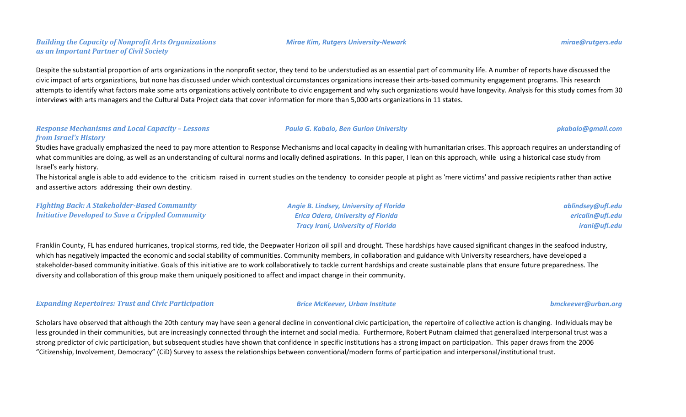# *Building the Capacity of Nonprofit Arts Organizations as an Important Partner of Civil Society*

Despite the substantial proportion of arts organizations in the nonprofit sector, they tend to be understudied as an essential part of community life. A number of reports have discussed the civic impact of arts organizations, but none has discussed under which contextual circumstances organizations increase their arts-based community engagement programs. This research attempts to identify what factors make some arts organizations actively contribute to civic engagement and why such organizations would have longevity. Analysis for this study comes from 30 interviews with arts managers and the Cultural Data Project data that cover information for more than 5,000 arts organizations in 11 states.

### *Response Mechanisms and Local Capacity – Lessons from Israel's History*

Studies have gradually emphasized the need to pay more attention to Response Mechanisms and local capacity in dealing with humanitarian crises. This approach requires an understanding of what communities are doing, as well as an understanding of cultural norms and locally defined aspirations. In this paper, I lean on this approach, while using a historical case study from Israel's early history.

The historical angle is able to add evidence to the criticism raised in current studies on the tendency to consider people at plight as 'mere victims' and passive recipients rather than active and assertive actors addressing their own destiny.

*Fighting Back: A Stakeholder-Based Community Initiative Developed to Save a Crippled Community*

Franklin County, FL has endured hurricanes, tropical storms, red tide, the Deepwater Horizon oil spill and drought. These hardships have caused significant changes in the seafood industry, which has negatively impacted the economic and social stability of communities. Community members, in collaboration and guidance with University researchers, have developed a stakeholder-based community initiative. Goals of this initiative are to work collaboratively to tackle current hardships and create sustainable plans that ensure future preparedness. The diversity and collaboration of this group make them uniquely positioned to affect and impact change in their community.

*Expanding Repertoires: Trust and Civic Participation Brice McKeever, Urban Institute bmckeever@urban.org*

Scholars have observed that although the 20th century may have seen a general decline in conventional civic participation, the repertoire of collective action is changing. Individuals may be less grounded in their communities, but are increasingly connected through the internet and social media. Furthermore, Robert Putnam claimed that generalized interpersonal trust was a strong predictor of civic participation, but subsequent studies have shown that confidence in specific institutions has a strong impact on participation. This paper draws from the 2006 "Citizenship, Involvement, Democracy" (CiD) Survey to assess the relationships between conventional/modern forms of participation and interpersonal/institutional trust.

*ablindsey@ufl.edu ericalin@ufl.edu irani@ufl.edu*

#### *Mirae Kim, Rutgers University-Newark mirae@rutgers.edu*

# *Paula G. Kabalo, Ben Gurion University pkabalo@gmail.com*

*Angie B. Lindsey, University of Florida Erica Odera, University of Florida Tracy Irani, University of Florida*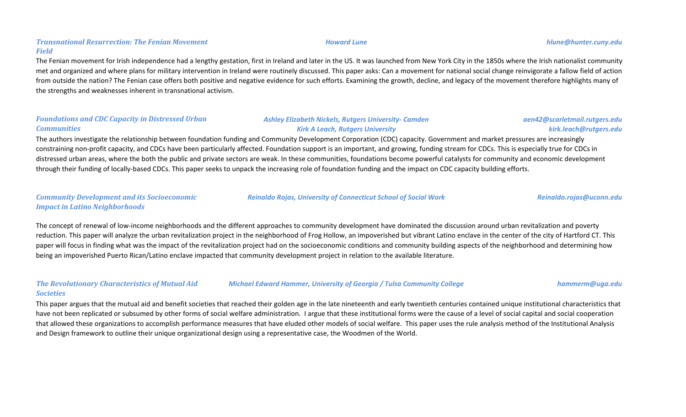# *Transnational Resurrection: The Fenian Movement Field*

The Fenian movement for Irish independence had a lengthy gestation, first in Ireland and later in the US. It was launched from New York City in the 1850s where the Irish nationalist community met and organized and where plans for military intervention in Ireland were routinely discussed. This paper asks: Can a movement for national social change reinvigorate a fallow field of action from outside the nation? The Fenian case offers both positive and negative evidence for such efforts. Examining the growth, decline, and legacy of the movement therefore highlights many of the strengths and weaknesses inherent in transnational activism.

# *Foundations and CDC Capacity in Distressed Urban Communities*

# *Ashley Elizabeth Nickels, Rutgers University- Camden Kirk A Leach, Rutgers University*

The authors investigate the relationship between foundation funding and Community Development Corporation (CDC) capacity. Government and market pressures are increasingly constraining non-profit capacity, and CDCs have been particularly affected. Foundation support is an important, and growing, funding stream for CDCs. This is especially true for CDCs in distressed urban areas, where the both the public and private sectors are weak. In these communities, foundations become powerful catalysts for community and economic development through their funding of locally-based CDCs. This paper seeks to unpack the increasing role of foundation funding and the impact on CDC capacity building efforts.

# *Community Development and its Socioeconomic Impact in Latino Neighborhoods*

The concept of renewal of low-income neighborhoods and the different approaches to community development have dominated the discussion around urban revitalization and poverty reduction. This paper will analyze the urban revitalization project in the neighborhood of Frog Hollow, an impoverished but vibrant Latino enclave in the center of the city of Hartford CT. This paper will focus in finding what was the impact of the revitalization project had on the socioeconomic conditions and community building aspects of the neighborhood and determining how being an impoverished Puerto Rican/Latino enclave impacted that community development project in relation to the available literature.

#### *The Revolutionary Characteristics of Mutual Aid Societies Michael Edward Hammer, University of Georgia / Tulsa Community College hammerm@uga.edu*

This paper argues that the mutual aid and benefit societies that reached their golden age in the late nineteenth and early twentieth centuries contained unique institutional characteristics that have not been replicated or subsumed by other forms of social welfare administration. I argue that these institutional forms were the cause of a level of social capital and social cooperation that allowed these organizations to accomplish performance measures that have eluded other models of social welfare. This paper uses the rule analysis method of the Institutional Analysis and Design framework to outline their unique organizational design using a representative case, the Woodmen of the World.

*Reinaldo Rojas, University of Connecticut School of Social Work Reinaldo.rojas@uconn.edu*

#### *Howard Lune hlune@hunter.cuny.edu*

# *aen42@scarletmail.rutgers.edu kirk.leach@rutgers.edu*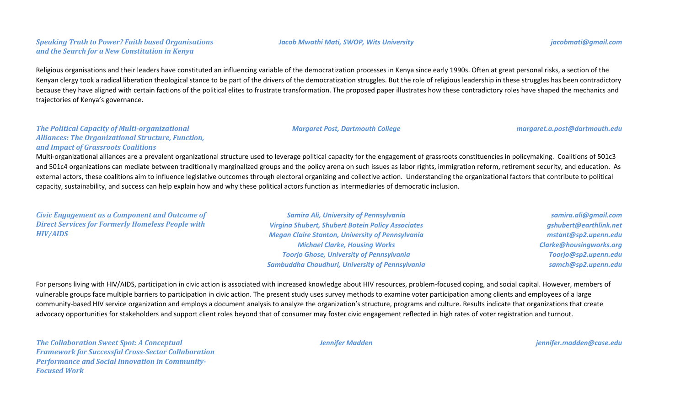# *Speaking Truth to Power? Faith based Organisations and the Search for a New Constitution in Kenya*

#### *Jacob Mwathi Mati, SWOP, Wits University jacobmati@gmail.com*

Religious organisations and their leaders have constituted an influencing variable of the democratization processes in Kenya since early 1990s. Often at great personal risks, a section of the Kenyan clergy took a radical liberation theological stance to be part of the drivers of the democratization struggles. But the role of religious leadership in these struggles has been contradictory because they have aligned with certain factions of the political elites to frustrate transformation. The proposed paper illustrates how these contradictory roles have shaped the mechanics and

*The Political Capacity of Multi-organizational* 

trajectories of Kenya's governance.

*Margaret Post, Dartmouth College margaret.a.post@dartmouth.edu*

# *Alliances: The Organizational Structure, Function, and Impact of Grassroots Coalitions*

Multi-organizational alliances are a prevalent organizational structure used to leverage political capacity for the engagement of grassroots constituencies in policymaking. Coalitions of 501c3 and 501c4 organizations can mediate between traditionally marginalized groups and the policy arena on such issues as labor rights, immigration reform, retirement security, and education. As external actors, these coalitions aim to influence legislative outcomes through electoral organizing and collective action. Understanding the organizational factors that contribute to political capacity, sustainability, and success can help explain how and why these political actors function as intermediaries of democratic inclusion.

*Civic Engagement as a Component and Outcome of Direct Services for Formerly Homeless People with HIV/AIDS*

*Samira Ali, University of Pennsylvania Virgina Shubert, Shubert Botein Policy Associates Megan Claire Stanton, University of Pennsylvania Michael Clarke, Housing Works Toorjo Ghose, University of Pennsylvania Sambuddha Chaudhuri, University of Pennsylvania*

*samira.ali@gmail.com gshubert@earthlink.net mstant@sp2.upenn.edu Clarke@housingworks.org Toorjo@sp2.upenn.edu samch@sp2.upenn.edu*

For persons living with HIV/AIDS, participation in civic action is associated with increased knowledge about HIV resources, problem-focused coping, and social capital. However, members of vulnerable groups face multiple barriers to participation in civic action. The present study uses survey methods to examine voter participation among clients and employees of a large community-based HIV service organization and employs a document analysis to analyze the organization's structure, programs and culture. Results indicate that organizations that create advocacy opportunities for stakeholders and support client roles beyond that of consumer may foster civic engagement reflected in high rates of voter registration and turnout.

*The Collaboration Sweet Spot: A Conceptual Framework for Successful Cross-Sector Collaboration Performance and Social Innovation in Community-Focused Work*

*Jennifer Madden jennifer.madden@case.edu*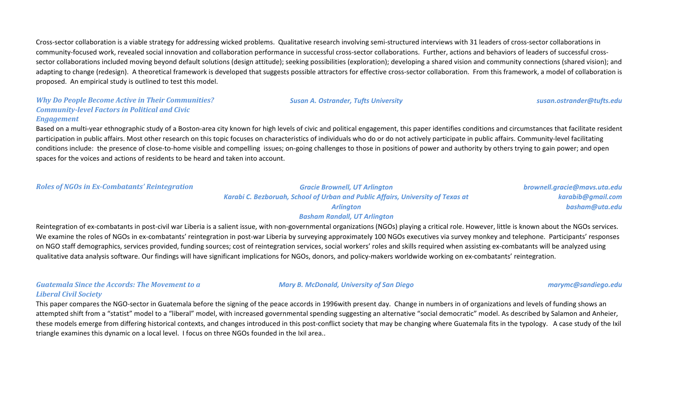Cross-sector collaboration is a viable strategy for addressing wicked problems. Qualitative research involving semi-structured interviews with 31 leaders of cross-sector collaborations in community-focused work, revealed social innovation and collaboration performance in successful cross-sector collaborations. Further, actions and behaviors of leaders of successful crosssector collaborations included moving beyond default solutions (design attitude); seeking possibilities (exploration); developing a shared vision and community connections (shared vision); and adapting to change (redesign). A theoretical framework is developed that suggests possible attractors for effective cross-sector collaboration. From this framework, a model of collaboration is proposed. An empirical study is outlined to test this model.

#### *Why Do People Become Active in Their Communities? Community-level Factors in Political and Civic Engagement*

Based on a multi-year ethnographic study of a Boston-area city known for high levels of civic and political engagement, this paper identifies conditions and circumstances that facilitate resident participation in public affairs. Most other research on this topic focuses on characteristics of individuals who do or do not actively participate in public affairs. Community-level facilitating conditions include: the presence of close-to-home visible and compelling issues; on-going challenges to those in positions of power and authority by others trying to gain power; and open spaces for the voices and actions of residents to be heard and taken into account.

*Roles of NGOs in Ex-Combatants' Reintegration Gracie Brownell, UT Arlington*

*Karabi C. Bezboruah, School of Urban and Public Affairs, University of Texas at Arlington*

*brownell.gracie@mavs.uta.edu karabib@gmail.com basham@uta.edu*

#### *Basham Randall, UT Arlington*

Reintegration of ex-combatants in post-civil war Liberia is a salient issue, with non-governmental organizations (NGOs) playing a critical role. However, little is known about the NGOs services. We examine the roles of NGOs in ex-combatants' reintegration in post-war Liberia by surveying approximately 100 NGOs executives via survey monkey and telephone. Participants' responses on NGO staff demographics, services provided, funding sources; cost of reintegration services, social workers' roles and skills required when assisting ex-combatants will be analyzed using qualitative data analysis software. Our findings will have significant implications for NGOs, donors, and policy-makers worldwide working on ex-combatants' reintegration.

# *Guatemala Since the Accords: The Movement to a*

*Mary B. McDonald, University of San Diego marymc@sandiego.edu*

#### *Liberal Civil Society*

This paper compares the NGO-sector in Guatemala before the signing of the peace accords in 1996with present day. Change in numbers in of organizations and levels of funding shows an attempted shift from a "statist" model to a "liberal" model, with increased governmental spending suggesting an alternative "social democratic" model. As described by Salamon and Anheier, these models emerge from differing historical contexts, and changes introduced in this post-conflict society that may be changing where Guatemala fits in the typology. A case study of the Ixil triangle examines this dynamic on a local level. I focus on three NGOs founded in the Ixil area..

# *Susan A. Ostrander, Tufts University susan.ostrander@tufts.edu*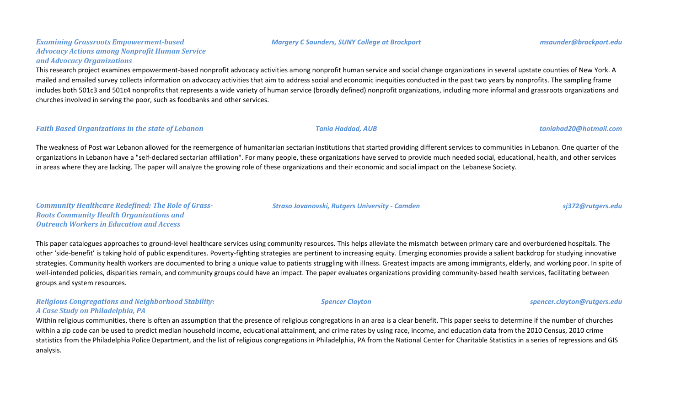#### *Margery C Saunders, SUNY College at Brockport msaunder@brockport.edu*

# *Examining Grassroots Empowerment-based Advocacy Actions among Nonprofit Human Service and Advocacy Organizations*

This research project examines empowerment-based nonprofit advocacy activities among nonprofit human service and social change organizations in several upstate counties of New York. A mailed and emailed survey collects information on advocacy activities that aim to address social and economic inequities conducted in the past two years by nonprofits. The sampling frame includes both 501c3 and 501c4 nonprofits that represents a wide variety of human service (broadly defined) nonprofit organizations, including more informal and grassroots organizations and churches involved in serving the poor, such as foodbanks and other services.

#### *Faith Based Organizations in the state of Lebanon Tania Haddad, AUB taniahad20@hotmail.com*

The weakness of Post war Lebanon allowed for the reemergence of humanitarian sectarian institutions that started providing different services to communities in Lebanon. One quarter of the organizations in Lebanon have a "self-declared sectarian affiliation". For many people, these organizations have served to provide much needed social, educational, health, and other services in areas where they are lacking. The paper will analyze the growing role of these organizations and their economic and social impact on the Lebanese Society.

*Community Healthcare Redefined: The Role of Grass-Roots Community Health Organizations and Outreach Workers in Education and Access*

This paper catalogues approaches to ground-level healthcare services using community resources. This helps alleviate the mismatch between primary care and overburdened hospitals. The other 'side-benefit' is taking hold of public expenditures. Poverty-fighting strategies are pertinent to increasing equity. Emerging economies provide a salient backdrop for studying innovative strategies. Community health workers are documented to bring a unique value to patients struggling with illness. Greatest impacts are among immigrants, elderly, and working poor. In spite of well-intended policies, disparities remain, and community groups could have an impact. The paper evaluates organizations providing community-based health services, facilitating between groups and system resources.

#### *Religious Congregations and Neighborhood Stability: A Case Study on Philadelphia, PA*

Within religious communities, there is often an assumption that the presence of religious congregations in an area is a clear benefit. This paper seeks to determine if the number of churches within a zip code can be used to predict median household income, educational attainment, and crime rates by using race, income, and education data from the 2010 Census, 2010 crime statistics from the Philadelphia Police Department, and the list of religious congregations in Philadelphia, PA from the National Center for Charitable Statistics in a series of regressions and GIS analysis.

#### *Straso Jovanovski, Rutgers University - Camden sj372@rutgers.edu*

# *Spencer Clayton spencer.clayton@rutgers.edu*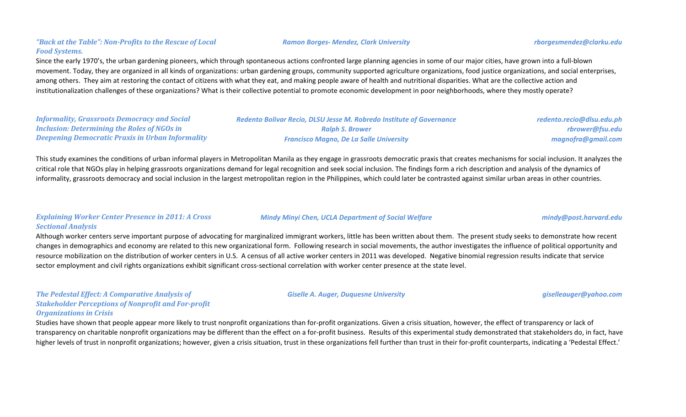# *"Back at the Table": Non-Profits to the Rescue of Local Food Systems.*

Since the early 1970's, the urban gardening pioneers, which through spontaneous actions confronted large planning agencies in some of our major cities, have grown into a full-blown movement. Today, they are organized in all kinds of organizations: urban gardening groups, community supported agriculture organizations, food justice organizations, and social enterprises, among others. They aim at restoring the contact of citizens with what they eat, and making people aware of health and nutritional disparities. What are the collective action and institutionalization challenges of these organizations? What is their collective potential to promote economic development in poor neighborhoods, where they mostly operate?

| <b>Informality, Grassroots Democracy and Social</b>     |
|---------------------------------------------------------|
| <b>Inclusion: Determining the Roles of NGOs in</b>      |
| <b>Deepening Democratic Praxis in Urban Informality</b> |

*Ralph S. Brower Francisco Magno, De La Salle University* *redento.recio@dlsu.edu.ph rbrower@fsu.edu magnofra@gmail.com*

This study examines the conditions of urban informal players in Metropolitan Manila as they engage in grassroots democratic praxis that creates mechanisms for social inclusion. It analyzes the critical role that NGOs play in helping grassroots organizations demand for legal recognition and seek social inclusion. The findings form a rich description and analysis of the dynamics of informality, grassroots democracy and social inclusion in the largest metropolitan region in the Philippines, which could later be contrasted against similar urban areas in other countries.

### *Explaining Worker Center Presence in 2011: A Cross Sectional Analysis*

Although worker centers serve important purpose of advocating for marginalized immigrant workers, little has been written about them. The present study seeks to demonstrate how recent changes in demographics and economy are related to this new organizational form. Following research in social movements, the author investigates the influence of political opportunity and resource mobilization on the distribution of worker centers in U.S. A census of all active worker centers in 2011 was developed. Negative binomial regression results indicate that service sector employment and civil rights organizations exhibit significant cross-sectional correlation with worker center presence at the state level.

*The Pedestal Effect: A Comparative Analysis of Stakeholder Perceptions of Nonprofit and For-profit Organizations in Crisis*

Studies have shown that people appear more likely to trust nonprofit organizations than for-profit organizations. Given a crisis situation, however, the effect of transparency or lack of transparency on charitable nonprofit organizations may be different than the effect on a for-profit business. Results of this experimental study demonstrated that stakeholders do, in fact, have higher levels of trust in nonprofit organizations; however, given a crisis situation, trust in these organizations fell further than trust in their for-profit counterparts, indicating a 'Pedestal Effect.'

#### *Ramon Borges- Mendez, Clark University rborgesmendez@clarku.edu*

#### *Mindy Minyi Chen, UCLA Department of Social Welfare mindy@post.harvard.edu*

#### *Giselle A. Auger, Duquesne University giselleauger@yahoo.com*

# *Redento Bolivar Recio, DLSU Jesse M. Robredo Institute of Governance*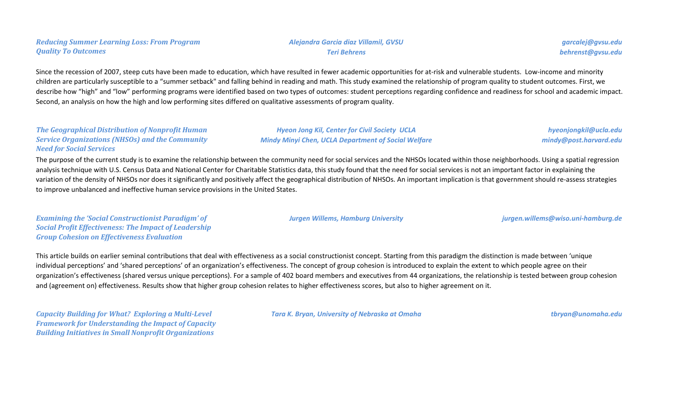Since the recession of 2007, steep cuts have been made to education, which have resulted in fewer academic opportunities for at-risk and vulnerable students. Low-income and minority children are particularly susceptible to a "summer setback" and falling behind in reading and math. This study examined the relationship of program quality to student outcomes. First, we describe how "high" and "low" performing programs were identified based on two types of outcomes: student perceptions regarding confidence and readiness for school and academic impact. Second, an analysis on how the high and low performing sites differed on qualitative assessments of program quality.

### *The Geographical Distribution of Nonprofit Human Service Organizations (NHSOs) and the Community Need for Social Services*

*Hyeon Jong Kil, Center for Civil Society UCLA Mindy Minyi Chen, UCLA Department of Social Welfare*

*hyeonjongkil@ucla.edu mindy@post.harvard.edu*

The purpose of the current study is to examine the relationship between the community need for social services and the NHSOs located within those neighborhoods. Using a spatial regression analysis technique with U.S. Census Data and National Center for Charitable Statistics data, this study found that the need for social services is not an important factor in explaining the variation of the density of NHSOs nor does it significantly and positively affect the geographical distribution of NHSOs. An important implication is that government should re-assess strategies to improve unbalanced and ineffective human service provisions in the United States.

*Examining the 'Social Constructionist Paradigm' of Social Profit Effectiveness: The Impact of Leadership Group Cohesion on Effectiveness Evaluation*

*Jurgen Willems, Hamburg University jurgen.willems@wiso.uni-hamburg.de*

This article builds on earlier seminal contributions that deal with effectiveness as a social constructionist concept. Starting from this paradigm the distinction is made between 'unique individual perceptions' and 'shared perceptions' of an organization's effectiveness. The concept of group cohesion is introduced to explain the extent to which people agree on their organization's effectiveness (shared versus unique perceptions). For a sample of 402 board members and executives from 44 organizations, the relationship is tested between group cohesion and (agreement on) effectiveness. Results show that higher group cohesion relates to higher effectiveness scores, but also to higher agreement on it.

*Capacity Building for What? Exploring a Multi-Level Framework for Understanding the Impact of Capacity Building Initiatives in Small Nonprofit Organizations*

*Tara K. Bryan, University of Nebraska at Omaha tbryan@unomaha.edu*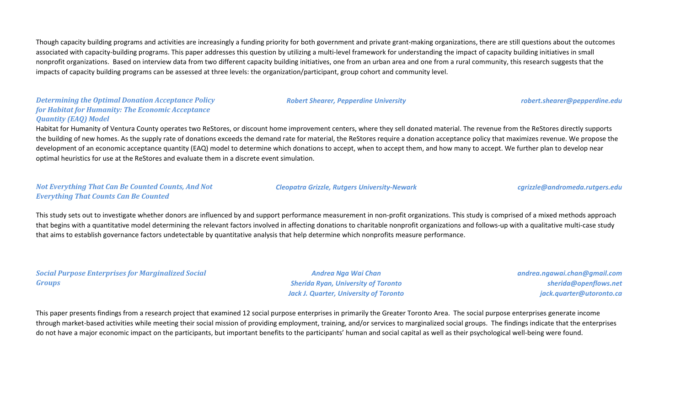Though capacity building programs and activities are increasingly a funding priority for both government and private grant-making organizations, there are still questions about the outcomes associated with capacity-building programs. This paper addresses this question by utilizing a multi-level framework for understanding the impact of capacity building initiatives in small nonprofit organizations. Based on interview data from two different capacity building initiatives, one from an urban area and one from a rural community, this research suggests that the impacts of capacity building programs can be assessed at three levels: the organization/participant, group cohort and community level.

# *Determining the Optimal Donation Acceptance Policy for Habitat for Humanity: The Economic Acceptance Quantity (EAQ) Model*

Habitat for Humanity of Ventura County operates two ReStores, or discount home improvement centers, where they sell donated material. The revenue from the ReStores directly supports the building of new homes. As the supply rate of donations exceeds the demand rate for material, the ReStores require a donation acceptance policy that maximizes revenue. We propose the development of an economic acceptance quantity (EAQ) model to determine which donations to accept, when to accept them, and how many to accept. We further plan to develop near optimal heuristics for use at the ReStores and evaluate them in a discrete event simulation.

### *Not Everything That Can Be Counted Counts, And Not Everything That Counts Can Be Counted*

#### *Cleopatra Grizzle, Rutgers University-Newark cgrizzle@andromeda.rutgers.edu*

*Robert Shearer, Pepperdine University robert.shearer@pepperdine.edu*

This study sets out to investigate whether donors are influenced by and support performance measurement in non-profit organizations. This study is comprised of a mixed methods approach that begins with a quantitative model determining the relevant factors involved in affecting donations to charitable nonprofit organizations and follows-up with a qualitative multi-case study that aims to establish governance factors undetectable by quantitative analysis that help determine which nonprofits measure performance.

# *Social Purpose Enterprises for Marginalized Social Groups*

*Andrea Nga Wai Chan Sherida Ryan, University of Toronto Jack J. Quarter, University of Toronto* *andrea.ngawai.chan@gmail.com sherida@openflows.net jack.quarter@utoronto.ca*

This paper presents findings from a research project that examined 12 social purpose enterprises in primarily the Greater Toronto Area. The social purpose enterprises generate income through market-based activities while meeting their social mission of providing employment, training, and/or services to marginalized social groups. The findings indicate that the enterprises do not have a major economic impact on the participants, but important benefits to the participants' human and social capital as well as their psychological well-being were found.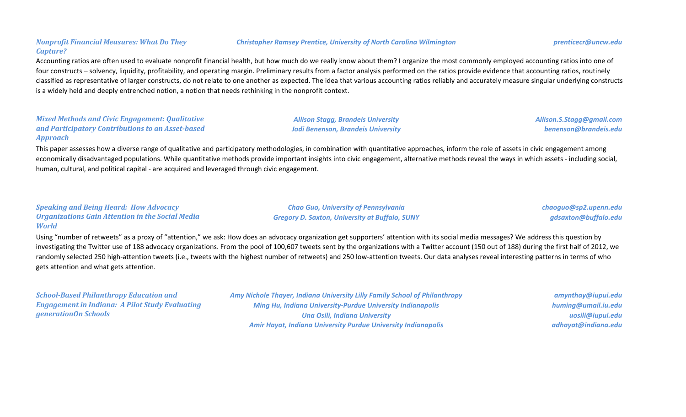# *Nonprofit Financial Measures: What Do They Capture?*

# Accounting ratios are often used to evaluate nonprofit financial health, but how much do we really know about them? I organize the most commonly employed accounting ratios into one of four constructs – solvency, liquidity, profitability, and operating margin. Preliminary results from a factor analysis performed on the ratios provide evidence that accounting ratios, routinely classified as representative of larger constructs, do not relate to one another as expected. The idea that various accounting ratios reliably and accurately measure singular underlying constructs is a widely held and deeply entrenched notion, a notion that needs rethinking in the nonprofit context.

#### *Mixed Methods and Civic Engagement: Qualitative and Participatory Contributions to an Asset-based Approach*

This paper assesses how a diverse range of qualitative and participatory methodologies, in combination with quantitative approaches, inform the role of assets in civic engagement among economically disadvantaged populations. While quantitative methods provide important insights into civic engagement, alternative methods reveal the ways in which assets - including social, human, cultural, and political capital - are acquired and leveraged through civic engagement.

# *Speaking and Being Heard: How Advocacy Organizations Gain Attention in the Social Media World*

*Chao Guo, University of Pennsylvania Gregory D. Saxton, University at Buffalo, SUNY* *chaoguo@sp2.upenn.edu gdsaxton@buffalo.edu*

Using "number of retweets" as a proxy of "attention," we ask: How does an advocacy organization get supporters' attention with its social media messages? We address this question by investigating the Twitter use of 188 advocacy organizations. From the pool of 100,607 tweets sent by the organizations with a Twitter account (150 out of 188) during the first half of 2012, we randomly selected 250 high-attention tweets (i.e., tweets with the highest number of retweets) and 250 low-attention tweets. Our data analyses reveal interesting patterns in terms of who gets attention and what gets attention.

*School-Based Philanthropy Education and Engagement in Indiana: A Pilot Study Evaluating generationOn Schools*

*Amy Nichole Thayer, Indiana University Lilly Family School of Philanthropy Ming Hu, Indiana University-Purdue University Indianapolis Una Osili, Indiana University Amir Hayat, Indiana University Purdue University Indianapolis*

*amynthay@iupui.edu huming@umail.iu.edu uosili@iupui.edu adhayat@indiana.edu*

#### *Christopher Ramsey Prentice, University of North Carolina Wilmington prenticecr@uncw.edu*



*Allison Stagg, Brandeis University Jodi Benenson, Brandeis University* *Allison.S.Stagg@gmail.com benenson@brandeis.edu*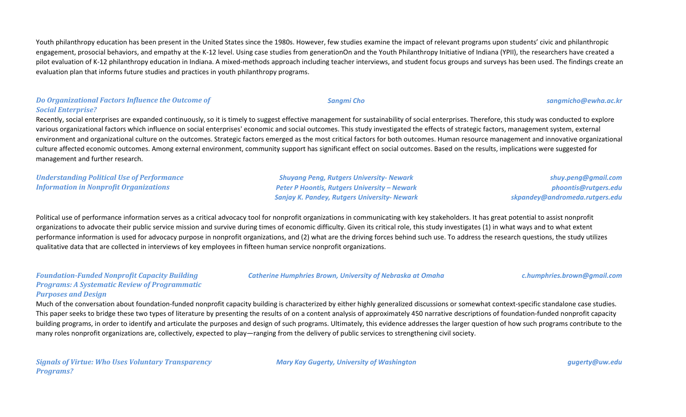Youth philanthropy education has been present in the United States since the 1980s. However, few studies examine the impact of relevant programs upon students' civic and philanthropic engagement, prosocial behaviors, and empathy at the K-12 level. Using case studies from generationOn and the Youth Philanthropy Initiative of Indiana (YPII), the researchers have created a pilot evaluation of K-12 philanthropy education in Indiana. A mixed-methods approach including teacher interviews, and student focus groups and surveys has been used. The findings create an evaluation plan that informs future studies and practices in youth philanthropy programs.

# *Do Organizational Factors Influence the Outcome of Social Enterprise?*

Recently, social enterprises are expanded continuously, so it is timely to suggest effective management for sustainability of social enterprises. Therefore, this study was conducted to explore various organizational factors which influence on social enterprises' economic and social outcomes. This study investigated the effects of strategic factors, management system, external environment and organizational culture on the outcomes. Strategic factors emerged as the most critical factors for both outcomes. Human resource management and innovative organizational culture affected economic outcomes. Among external environment, community support has significant effect on social outcomes. Based on the results, implications were suggested for management and further research.

*Understanding Political Use of Performance Information in Nonprofit Organizations*

*Shuyang Peng, Rutgers University- Newark Peter P Hoontis, Rutgers University – Newark Sanjay K. Pandey, Rutgers University- Newark*

*shuy.peng@gmail.com phoontis@rutgers.edu skpandey@andromeda.rutgers.edu*

Political use of performance information serves as a critical advocacy tool for nonprofit organizations in communicating with key stakeholders. It has great potential to assist nonprofit organizations to advocate their public service mission and survive during times of economic difficulty. Given its critical role, this study investigates (1) in what ways and to what extent performance information is used for advocacy purpose in nonprofit organizations, and (2) what are the driving forces behind such use. To address the research questions, the study utilizes qualitative data that are collected in interviews of key employees in fifteen human service nonprofit organizations.

# *Catherine Humphries Brown, University of Nebraska at Omaha c.humphries.brown@gmail.com*

### *Foundation-Funded Nonprofit Capacity Building Programs: A Systematic Review of Programmatic Purposes and Design*

Much of the conversation about foundation-funded nonprofit capacity building is characterized by either highly generalized discussions or somewhat context-specific standalone case studies. This paper seeks to bridge these two types of literature by presenting the results of on a content analysis of approximately 450 narrative descriptions of foundation-funded nonprofit capacity building programs, in order to identify and articulate the purposes and design of such programs. Ultimately, this evidence addresses the larger question of how such programs contribute to the many roles nonprofit organizations are, collectively, expected to play—ranging from the delivery of public services to strengthening civil society.

*Signals of Virtue: Who Uses Voluntary Transparency Programs?*

*Mary Kay Gugerty, University of Washington gugerty@uw.edu*

*Sangmi Cho sangmicho@ewha.ac.kr*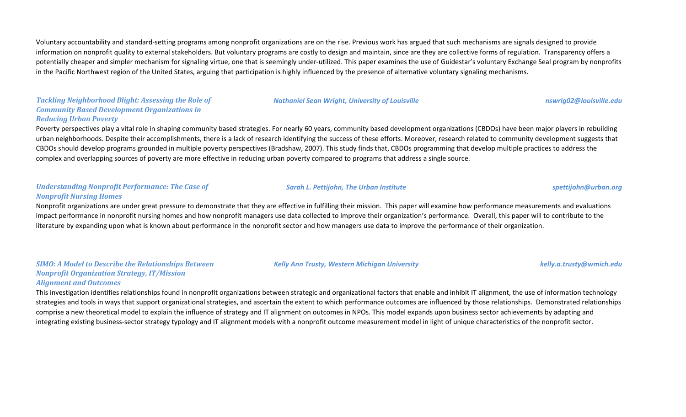Voluntary accountability and standard-setting programs among nonprofit organizations are on the rise. Previous work has argued that such mechanisms are signals designed to provide information on nonprofit quality to external stakeholders. But voluntary programs are costly to design and maintain, since are they are collective forms of regulation. Transparency offers a potentially cheaper and simpler mechanism for signaling virtue, one that is seemingly under-utilized. This paper examines the use of Guidestar's voluntary Exchange Seal program by nonprofits in the Pacific Northwest region of the United States, arguing that participation is highly influenced by the presence of alternative voluntary signaling mechanisms.

# *Tackling Neighborhood Blight: Assessing the Role of Community Based Development Organizations in Reducing Urban Poverty*

Poverty perspectives play a vital role in shaping community based strategies. For nearly 60 years, community based development organizations (CBDOs) have been major players in rebuilding urban neighborhoods. Despite their accomplishments, there is a lack of research identifying the success of these efforts. Moreover, research related to community development suggests that CBDOs should develop programs grounded in multiple poverty perspectives (Bradshaw, 2007). This study finds that, CBDOs programming that develop multiple practices to address the complex and overlapping sources of poverty are more effective in reducing urban poverty compared to programs that address a single source.

#### *Understanding Nonprofit Performance: The Case of Nonprofit Nursing Homes*

Nonprofit organizations are under great pressure to demonstrate that they are effective in fulfilling their mission. This paper will examine how performance measurements and evaluations impact performance in nonprofit nursing homes and how nonprofit managers use data collected to improve their organization's performance. Overall, this paper will to contribute to the literature by expanding upon what is known about performance in the nonprofit sector and how managers use data to improve the performance of their organization.

*SIMO: A Model to Describe the Relationships Between Nonprofit Organization Strategy, IT/Mission* 

#### *Alignment and Outcomes*

This investigation identifies relationships found in nonprofit organizations between strategic and organizational factors that enable and inhibit IT alignment, the use of information technology strategies and tools in ways that support organizational strategies, and ascertain the extent to which performance outcomes are influenced by those relationships. Demonstrated relationships comprise a new theoretical model to explain the influence of strategy and IT alignment on outcomes in NPOs. This model expands upon business sector achievements by adapting and integrating existing business-sector strategy typology and IT alignment models with a nonprofit outcome measurement model in light of unique characteristics of the nonprofit sector.

#### *Nathaniel Sean Wright, University of Louisville nswrig02@louisville.edu*

*Sarah L. Pettijohn, The Urban Institute spettijohn@urban.org*

*Kelly Ann Trusty, Western Michigan University kelly.a.trusty@wmich.edu*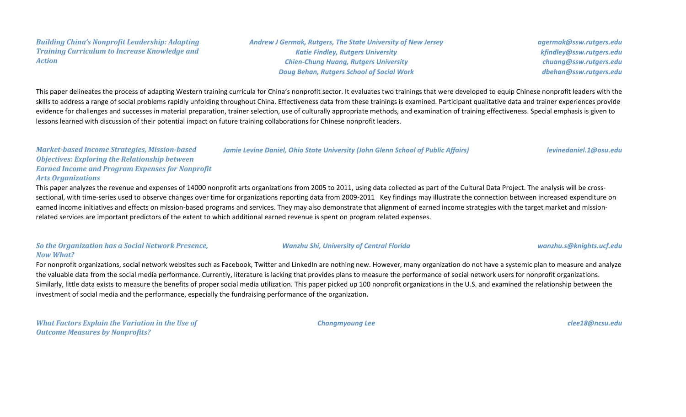#### *Building China's Nonprofit Leadership: Adapting Training Curriculum to Increase Knowledge and Action*

*Andrew J Germak, Rutgers, The State University of New Jersey Katie Findley, Rutgers University Chien-Chung Huang, Rutgers University Doug Behan, Rutgers School of Social Work*

*agermak@ssw.rutgers.edu kfindley@ssw.rutgers.edu chuang@ssw.rutgers.edu dbehan@ssw.rutgers.edu*

This paper delineates the process of adapting Western training curricula for China's nonprofit sector. It evaluates two trainings that were developed to equip Chinese nonprofit leaders with the skills to address a range of social problems rapidly unfolding throughout China. Effectiveness data from these trainings is examined. Participant qualitative data and trainer experiences provide evidence for challenges and successes in material preparation, trainer selection, use of culturally appropriate methods, and examination of training effectiveness. Special emphasis is given to lessons learned with discussion of their potential impact on future training collaborations for Chinese nonprofit leaders.

*Market-based Income Strategies, Mission-based Objectives: Exploring the Relationship between Earned Income and Program Expenses for Nonprofit Arts Organizations Jamie Levine Daniel, Ohio State University (John Glenn School of Public Affairs) [levinedaniel.1@osu.edu](mailto:levinedaniel.1@osu.edu)*

This paper analyzes the revenue and expenses of 14000 nonprofit arts organizations from 2005 to 2011, using data collected as part of the Cultural Data Project. The analysis will be crosssectional, with time-series used to observe changes over time for organizations reporting data from 2009-2011 Key findings may illustrate the connection between increased expenditure on earned income initiatives and effects on mission-based programs and services. They may also demonstrate that alignment of earned income strategies with the target market and missionrelated services are important predictors of the extent to which additional earned revenue is spent on program related expenses.

### *So the Organization has a Social Network Presence, Now What?*

For nonprofit organizations, social network websites such as Facebook, Twitter and LinkedIn are nothing new. However, many organization do not have a systemic plan to measure and analyze the valuable data from the social media performance. Currently, literature is lacking that provides plans to measure the performance of social network users for nonprofit organizations. Similarly, little data exists to measure the benefits of proper social media utilization. This paper picked up 100 nonprofit organizations in the U.S. and examined the relationship between the investment of social media and the performance, especially the fundraising performance of the organization.

*What Factors Explain the Variation in the Use of Outcome Measures by Nonprofits?*

*Chongmyoung Lee clee18@ncsu.edu*

*Wanzhu Shi, University of Central Florida wanzhu.s@knights.ucf.edu*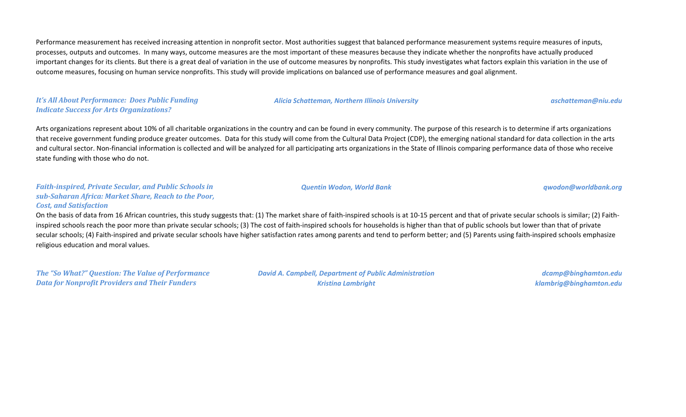Performance measurement has received increasing attention in nonprofit sector. Most authorities suggest that balanced performance measurement systems require measures of inputs, processes, outputs and outcomes. In many ways, outcome measures are the most important of these measures because they indicate whether the nonprofits have actually produced important changes for its clients. But there is a great deal of variation in the use of outcome measures by nonprofits. This study investigates what factors explain this variation in the use of outcome measures, focusing on human service nonprofits. This study will provide implications on balanced use of performance measures and goal alignment.

# *It's All About Performance: Does Public Funding Indicate Success for Arts Organizations?*

#### *Alicia Schatteman, Northern Illinois University aschatteman@niu.edu*

*Quentin Wodon, World Bank qwodon@worldbank.org*

Arts organizations represent about 10% of all charitable organizations in the country and can be found in every community. The purpose of this research is to determine if arts organizations that receive government funding produce greater outcomes. Data for this study will come from the Cultural Data Project (CDP), the emerging national standard for data collection in the arts and cultural sector. Non-financial information is collected and will be analyzed for all participating arts organizations in the State of Illinois comparing performance data of those who receive state funding with those who do not.

#### *Faith-inspired, Private Secular, and Public Schools in sub-Saharan Africa: Market Share, Reach to the Poor, Cost, and Satisfaction*

On the basis of data from 16 African countries, this study suggests that: (1) The market share of faith-inspired schools is at 10-15 percent and that of private secular schools is similar; (2) Faithinspired schools reach the poor more than private secular schools; (3) The cost of faith-inspired schools for households is higher than that of public schools but lower than that of private secular schools; (4) Faith-inspired and private secular schools have higher satisfaction rates among parents and tend to perform better; and (5) Parents using faith-inspired schools emphasize religious education and moral values.

*The "So What?" Question: The Value of Performance Data for Nonprofit Providers and Their Funders*

*David A. Campbell, Department of Public Administration Kristina Lambright*

*dcamp@binghamton.edu klambrig@binghamton.edu*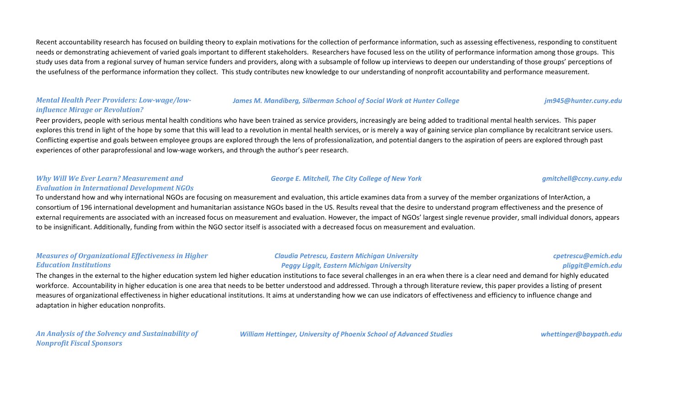Recent accountability research has focused on building theory to explain motivations for the collection of performance information, such as assessing effectiveness, responding to constituent needs or demonstrating achievement of varied goals important to different stakeholders. Researchers have focused less on the utility of performance information among those groups. This study uses data from a regional survey of human service funders and providers, along with a subsample of follow up interviews to deepen our understanding of those groups' perceptions of the usefulness of the performance information they collect. This study contributes new knowledge to our understanding of nonprofit accountability and performance measurement.

# *Mental Health Peer Providers: Low-wage/lowinfluence Mirage or Revolution?*

#### *James M. Mandiberg, Silberman School of Social Work at Hunter College jm945@hunter.cuny.edu*

Peer providers, people with serious mental health conditions who have been trained as service providers, increasingly are being added to traditional mental health services. This paper explores this trend in light of the hope by some that this will lead to a revolution in mental health services, or is merely a way of gaining service plan compliance by recalcitrant service users. Conflicting expertise and goals between employee groups are explored through the lens of professionalization, and potential dangers to the aspiration of peers are explored through past experiences of other paraprofessional and low-wage workers, and through the author's peer research.

# *Why Will We Ever Learn? Measurement and Evaluation in International Development NGOs*

To understand how and why international NGOs are focusing on measurement and evaluation, this article examines data from a survey of the member organizations of InterAction, a consortium of 196 international development and humanitarian assistance NGOs based in the US. Results reveal that the desire to understand program effectiveness and the presence of external requirements are associated with an increased focus on measurement and evaluation. However, the impact of NGOs' largest single revenue provider, small individual donors, appears to be insignificant. Additionally, funding from within the NGO sector itself is associated with a decreased focus on measurement and evaluation.

# *Measures of Organizational Effectiveness in Higher Education Institutions*

### *Claudia Petrescu, Eastern Michigan University Peggy Liggit, Eastern Michigan University*

### *cpetrescu@emich.edu pliggit@emich.edu*

The changes in the external to the higher education system led higher education institutions to face several challenges in an era when there is a clear need and demand for highly educated workforce. Accountability in higher education is one area that needs to be better understood and addressed. Through a through literature review, this paper provides a listing of present measures of organizational effectiveness in higher educational institutions. It aims at understanding how we can use indicators of effectiveness and efficiency to influence change and adaptation in higher education nonprofits.

*An Analysis of the Solvency and Sustainability of Nonprofit Fiscal Sponsors*

*William Hettinger, University of Phoenix School of Advanced Studies whettinger@baypath.edu*

# *George E. Mitchell, The City College of New York gmitchell@ccny.cuny.edu*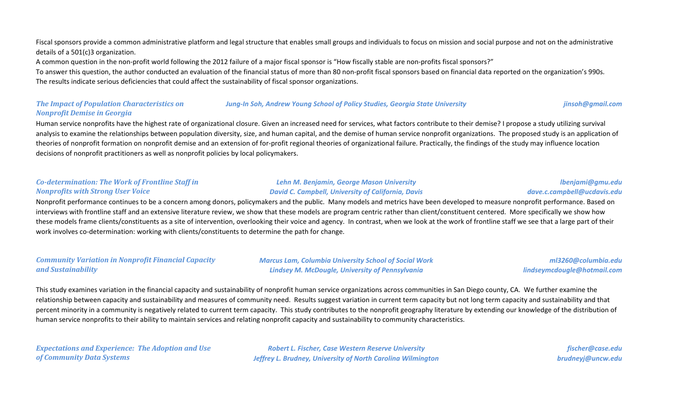Fiscal sponsors provide a common administrative platform and legal structure that enables small groups and individuals to focus on mission and social purpose and not on the administrative details of a 501(c)3 organization.

A common question in the non-profit world following the 2012 failure of a major fiscal sponsor is "How fiscally stable are non-profits fiscal sponsors?"

To answer this question, the author conducted an evaluation of the financial status of more than 80 non-profit fiscal sponsors based on financial data reported on the organization's 990s. The results indicate serious deficiencies that could affect the sustainability of fiscal sponsor organizations.

#### *The Impact of Population Characteristics on Nonprofit Demise in Georgia Jung-In Soh, Andrew Young School of Policy Studies, Georgia State University jinsoh@gmail.com*

Human service nonprofits have the highest rate of organizational closure. Given an increased need for services, what factors contribute to their demise? I propose a study utilizing survival analysis to examine the relationships between population diversity, size, and human capital, and the demise of human service nonprofit organizations. The proposed study is an application of theories of nonprofit formation on nonprofit demise and an extension of for-profit regional theories of organizational failure. Practically, the findings of the study may influence location decisions of nonprofit practitioners as well as nonprofit policies by local policymakers.

### *Co-determination: The Work of Frontline Staff in Nonprofits with Strong User Voice*

### *Lehn M. Benjamin, George Mason University David C. Campbell, University of California, Davis*

### *lbenjami@gmu.edu dave.c.campbell@ucdavis.edu*

Nonprofit performance continues to be a concern among donors, policymakers and the public. Many models and metrics have been developed to measure nonprofit performance. Based on interviews with frontline staff and an extensive literature review, we show that these models are program centric rather than client/constituent centered. More specifically we show how these models frame clients/constituents as a site of intervention, overlooking their voice and agency. In contrast, when we look at the work of frontline staff we see that a large part of their work involves co-determination: working with clients/constituents to determine the path for change.

#### *Community Variation in Nonprofit Financial Capacity and Sustainability*

*Marcus Lam, Columbia University School of Social Work Lindsey M. McDougle, University of Pennsylvania*

*ml3260@columbia.edu lindseymcdougle@hotmail.com*

This study examines variation in the financial capacity and sustainability of nonprofit human service organizations across communities in San Diego county, CA. We further examine the relationship between capacity and sustainability and measures of community need. Results suggest variation in current term capacity but not long term capacity and sustainability and that percent minority in a community is negatively related to current term capacity. This study contributes to the nonprofit geography literature by extending our knowledge of the distribution of human service nonprofits to their ability to maintain services and relating nonprofit capacity and sustainability to community characteristics.

*Expectations and Experience: The Adoption and Use of Community Data Systems*

*Robert L. Fischer, Case Western Reserve University Jeffrey L. Brudney, University of North Carolina Wilmington*

*fischer@case.edu brudneyj@uncw.edu*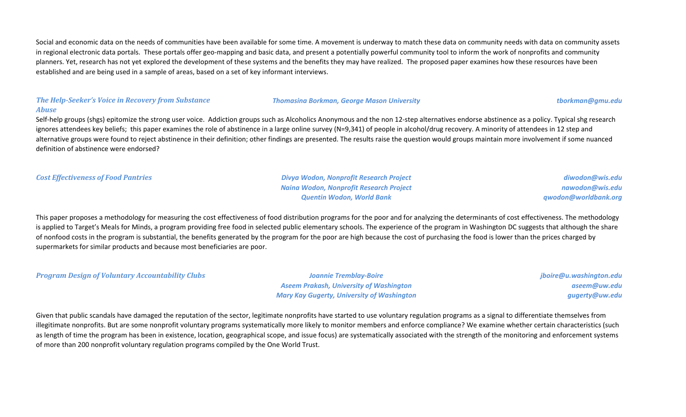Social and economic data on the needs of communities have been available for some time. A movement is underway to match these data on community needs with data on community assets in regional electronic data portals. These portals offer geo-mapping and basic data, and present a potentially powerful community tool to inform the work of nonprofits and community planners. Yet, research has not yet explored the development of these systems and the benefits they may have realized. The proposed paper examines how these resources have been established and are being used in a sample of areas, based on a set of key informant interviews.

#### *The Help-Seeker's Voice in Recovery from Substance Abuse*

#### *Thomasina Borkman, George Mason University tborkman@gmu.edu*

Self-help groups (shgs) epitomize the strong user voice. Addiction groups such as Alcoholics Anonymous and the non 12-step alternatives endorse abstinence as a policy. Typical shg research ignores attendees key beliefs; this paper examines the role of abstinence in a large online survey (N=9,341) of people in alcohol/drug recovery. A minority of attendees in 12 step and alternative groups were found to reject abstinence in their definition; other findings are presented. The results raise the question would groups maintain more involvement if some nuanced definition of abstinence were endorsed?

*Cost Effectiveness of Food Pantries Divya Wodon, Nonprofit Research Project Naina Wodon, Nonprofit Research Project Quentin Wodon, World Bank*

*diwodon@wis.edu nawodon@wis.edu qwodon@worldbank.org*

This paper proposes a methodology for measuring the cost effectiveness of food distribution programs for the poor and for analyzing the determinants of cost effectiveness. The methodology is applied to Target's Meals for Minds, a program providing free food in selected public elementary schools. The experience of the program in Washington DC suggests that although the share of nonfood costs in the program is substantial, the benefits generated by the program for the poor are high because the cost of purchasing the food is lower than the prices charged by supermarkets for similar products and because most beneficiaries are poor.

*Program Design of Voluntary Accountability Clubs Joannie Tremblay-Boire*

*Aseem Prakash, University of Washington Mary Kay Gugerty, University of Washington* *jboire@u.washington.edu aseem@uw.edu gugerty@uw.edu*

Given that public scandals have damaged the reputation of the sector, legitimate nonprofits have started to use voluntary regulation programs as a signal to differentiate themselves from illegitimate nonprofits. But are some nonprofit voluntary programs systematically more likely to monitor members and enforce compliance? We examine whether certain characteristics (such as length of time the program has been in existence, location, geographical scope, and issue focus) are systematically associated with the strength of the monitoring and enforcement systems of more than 200 nonprofit voluntary regulation programs compiled by the One World Trust.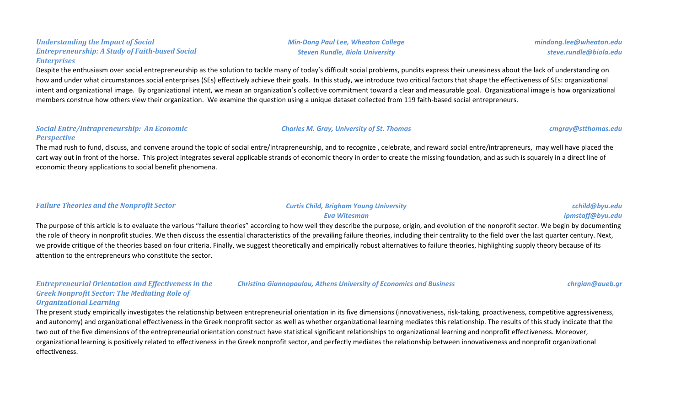#### *Understanding the Impact of Social Entrepreneurship: A Study of Faith-based Social Enterprises*

Despite the enthusiasm over social entrepreneurship as the solution to tackle many of today's difficult social problems, pundits express their uneasiness about the lack of understanding on how and under what circumstances social enterprises (SEs) effectively achieve their goals. In this study, we introduce two critical factors that shape the effectiveness of SEs: organizational intent and organizational image. By organizational intent, we mean an organization's collective commitment toward a clear and measurable goal. Organizational image is how organizational members construe how others view their organization. We examine the question using a unique dataset collected from 119 faith-based social entrepreneurs.

#### *Social Entre/Intrapreneurship: An Economic Perspective*

The mad rush to fund, discuss, and convene around the topic of social entre/intrapreneurship, and to recognize, celebrate, and reward social entre/intrapreneurs, may well have placed the cart way out in front of the horse. This project integrates several applicable strands of economic theory in order to create the missing foundation, and as such is squarely in a direct line of economic theory applications to social benefit phenomena.

### *Failure Theories and the Nonprofit Sector Curtis Child, Brigham Young University*

## *Eva Witesman*

The purpose of this article is to evaluate the various "failure theories" according to how well they describe the purpose, origin, and evolution of the nonprofit sector. We begin by documenting the role of theory in nonprofit studies. We then discuss the essential characteristics of the prevailing failure theories, including their centrality to the field over the last quarter century. Next, we provide critique of the theories based on four criteria. Finally, we suggest theoretically and empirically robust alternatives to failure theories, highlighting supply theory because of its attention to the entrepreneurs who constitute the sector.

*Entrepreneurial Orientation and Effectiveness in the Greek Nonprofit Sector: The Mediating Role of Organizational Learning Christina Giannopoulou, Athens University of Economics and Business chrgian@aueb.gr*

The present study empirically investigates the relationship between entrepreneurial orientation in its five dimensions (innovativeness, risk-taking, proactiveness, competitive aggressiveness, and autonomy) and organizational effectiveness in the Greek nonprofit sector as well as whether organizational learning mediates this relationship. The results of this study indicate that the two out of the five dimensions of the entrepreneurial orientation construct have statistical significant relationships to organizational learning and nonprofit effectiveness. Moreover, organizational learning is positively related to effectiveness in the Greek nonprofit sector, and perfectly mediates the relationship between innovativeness and nonprofit organizational effectiveness.

*Charles M. Gray, University of St. Thomas cmgray@stthomas.edu*



*cchild@byu.edu ipmstaff@byu.edu*

*mindong.lee@wheaton.edu steve.rundle@biola.edu*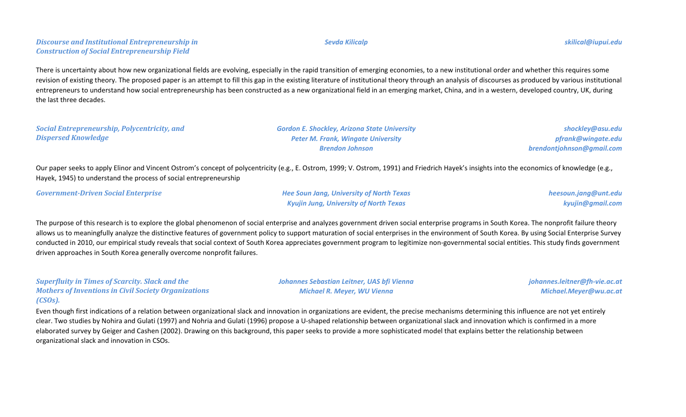There is uncertainty about how new organizational fields are evolving, especially in the rapid transition of emerging economies, to a new institutional order and whether this requires some revision of existing theory. The proposed paper is an attempt to fill this gap in the existing literature of institutional theory through an analysis of discourses as produced by various institutional entrepreneurs to understand how social entrepreneurship has been constructed as a new organizational field in an emerging market, China, and in a western, developed country, UK, during the last three decades.

*Social Entrepreneurship, Polycentricity, and Dispersed Knowledge*

*Gordon E. Shockley, Arizona State University Peter M. Frank, Wingate University Brendon Johnson*

*shockley@asu.edu pfrank@wingate.edu brendontjohnson@gmail.com*

Our paper seeks to apply Elinor and Vincent Ostrom's concept of polycentricity (e.g., E. Ostrom, 1999; V. Ostrom, 1991) and Friedrich Hayek's insights into the economics of knowledge (e.g., Hayek, 1945) to understand the process of social entrepreneurship

*Government-Driven Social Enterprise Hee Soun Jang, University of North Texas*

*Kyujin Jung, University of North Texas*

*heesoun.jang@unt.edu kyujin@gmail.com*

The purpose of this research is to explore the global phenomenon of social enterprise and analyzes government driven social enterprise programs in South Korea. The nonprofit failure theory allows us to meaningfully analyze the distinctive features of government policy to support maturation of social enterprises in the environment of South Korea. By using Social Enterprise Survey conducted in 2010, our empirical study reveals that social context of South Korea appreciates government program to legitimize non-governmental social entities. This study finds government driven approaches in South Korea generally overcome nonprofit failures.

*Superfluity in Times of Scarcity. Slack and the Mothers of Inventions in Civil Society Organizations (CSOs).*

*Johannes Sebastian Leitner, UAS bfi Vienna Michael R. Meyer, WU Vienna*

*johannes.leitner@fh-vie.ac.at Michael.Meyer@wu.ac.at*

Even though first indications of a relation between organizational slack and innovation in organizations are evident, the precise mechanisms determining this influence are not yet entirely clear. Two studies by Nohira and Gulati (1997) and Nohria and Gulati (1996) propose a U-shaped relationship between organizational slack and innovation which is confirmed in a more elaborated survey by Geiger and Cashen (2002). Drawing on this background, this paper seeks to provide a more sophisticated model that explains better the relationship between organizational slack and innovation in CSOs.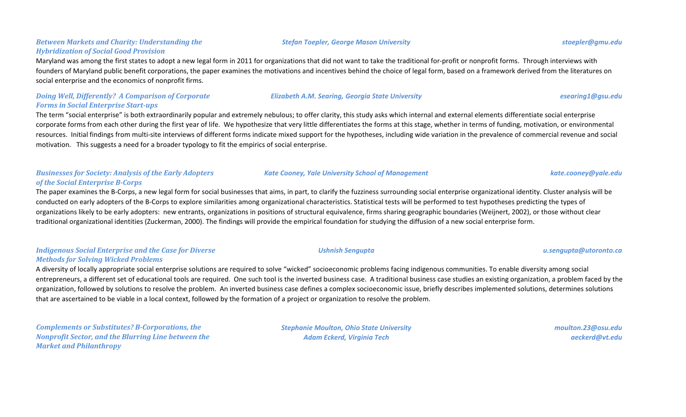### *Between Markets and Charity: Understanding the Hybridization of Social Good Provision*

Maryland was among the first states to adopt a new legal form in 2011 for organizations that did not want to take the traditional for-profit or nonprofit forms. Through interviews with founders of Maryland public benefit corporations, the paper examines the motivations and incentives behind the choice of legal form, based on a framework derived from the literatures on social enterprise and the economics of nonprofit firms.

### *Doing Well, Differently? A Comparison of Corporate Forms in Social Enterprise Start-ups*

The term "social enterprise" is both extraordinarily popular and extremely nebulous; to offer clarity, this study asks which internal and external elements differentiate social enterprise corporate forms from each other during the first year of life. We hypothesize that very little differentiates the forms at this stage, whether in terms of funding, motivation, or environmental resources. Initial findings from multi-site interviews of different forms indicate mixed support for the hypotheses, including wide variation in the prevalence of commercial revenue and social motivation. This suggests a need for a broader typology to fit the empirics of social enterprise.

### *Businesses for Society: Analysis of the Early Adopters of the Social Enterprise B-Corps*

The paper examines the B-Corps, a new legal form for social businesses that aims, in part, to clarify the fuzziness surrounding social enterprise organizational identity. Cluster analysis will be conducted on early adopters of the B-Corps to explore similarities among organizational characteristics. Statistical tests will be performed to test hypotheses predicting the types of organizations likely to be early adopters: new entrants, organizations in positions of structural equivalence, firms sharing geographic boundaries (Weijnert, 2002), or those without clear traditional organizational identities (Zuckerman, 2000). The findings will provide the empirical foundation for studying the diffusion of a new social enterprise form.

### *Indigenous Social Enterprise and the Case for Diverse Methods for Solving Wicked Problems*

A diversity of locally appropriate social enterprise solutions are required to solve "wicked" socioeconomic problems facing indigenous communities. To enable diversity among social entrepreneurs, a different set of educational tools are required. One such tool is the inverted business case. A traditional business case studies an existing organization, a problem faced by the organization, followed by solutions to resolve the problem. An inverted business case defines a complex socioeconomic issue, briefly describes implemented solutions, determines solutions that are ascertained to be viable in a local context, followed by the formation of a project or organization to resolve the problem.

*Complements or Substitutes? B-Corporations, the Nonprofit Sector, and the Blurring Line between the Market and Philanthropy*

*Stephanie Moulton, Ohio State University Adam Eckerd, Virginia Tech*

*moulton.23@osu.edu aeckerd@vt.edu*

#### *Stefan Toepler, George Mason University stoepler@gmu.edu*

*Kate Cooney, Yale University School of Management kate.cooney@yale.edu*

# *Elizabeth A.M. Searing, Georgia State University esearing1@gsu.edu*

*Ushnish Sengupta u.sengupta@utoronto.ca*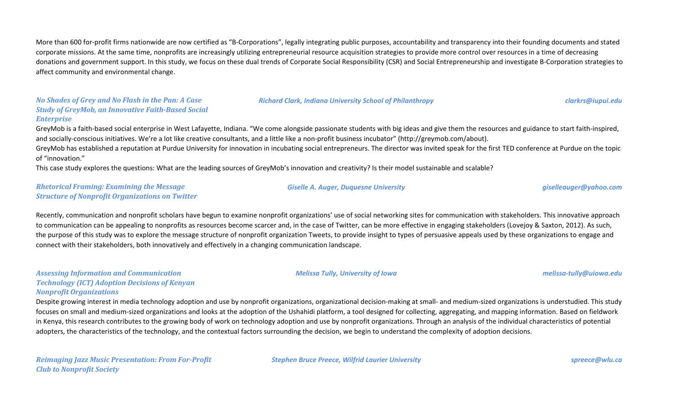More than 600 for-profit firms nationwide are now certified as "B-Corporations", legally integrating public purposes, accountability and transparency into their founding documents and stated corporate missions. At the same time, nonprofits are increasingly utilizing entrepreneurial resource acquisition strategies to provide more control over resources in a time of decreasing donations and government support. In this study, we focus on these dual trends of Corporate Social Responsibility (CSR) and Social Entrepreneurship and investigate B-Corporation strategies to affect community and environmental change.

#### *No Shades of Grey and No Flash in the Pan: A Case Study of GreyMob, an Innovative Faith-Based Social Enterprise*

GreyMob is a faith-based social enterprise in West Lafayette, Indiana. "We come alongside passionate students with big ideas and give them the resources and guidance to start faith-inspired, and socially-conscious initiatives. We're a lot like creative consultants, and a little like a non-profit business incubator" (http://greymob.com/about).

GreyMob has established a reputation at Purdue University for innovation in incubating social entrepreneurs. The director was invited speak for the first TED conference at Purdue on the topic of "innovation."

This case study explores the questions: What are the leading sources of GreyMob's innovation and creativity? Is their model sustainable and scalable?

#### *Rhetorical Framing: Examining the Message Structure of Nonprofit Organizations on Twitter*

Recently, communication and nonprofit scholars have begun to examine nonprofit organizations' use of social networking sites for communication with stakeholders. This innovative approach to communication can be appealing to nonprofits as resources become scarcer and, in the case of Twitter, can be more effective in engaging stakeholders (Lovejoy & Saxton, 2012). As such, the purpose of this study was to explore the message structure of nonprofit organization Tweets, to provide insight to types of persuasive appeals used by these organizations to engage and connect with their stakeholders, both innovatively and effectively in a changing communication landscape.

#### *Assessing Information and Communication Technology (ICT) Adoption Decisions of Kenyan Nonprofit Organizations*

Despite growing interest in media technology adoption and use by nonprofit organizations, organizational decision-making at small- and medium-sized organizations is understudied. This study focuses on small and medium-sized organizations and looks at the adoption of the Ushahidi platform, a tool designed for collecting, aggregating, and mapping information. Based on fieldwork in Kenya, this research contributes to the growing body of work on technology adoption and use by nonprofit organizations. Through an analysis of the individual characteristics of potential adopters, the characteristics of the technology, and the contextual factors surrounding the decision, we begin to understand the complexity of adoption decisions.

*Stephen Bruce Preece, Wilfrid Laurier University spreece@wlu.ca*

*Giselle A. Auger, Duquesne University giselleauger@yahoo.com*

*Melissa Tully, University of Iowa melissa-tully@uiowa.edu*

*Richard Clark, Indiana University School of Philanthropy clarkrs@iupui.edu*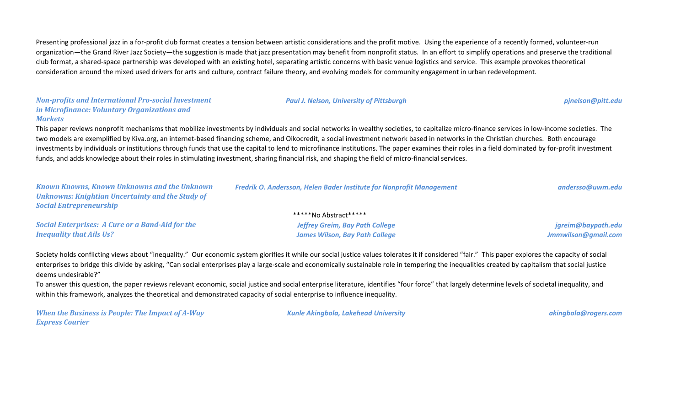Presenting professional jazz in a for-profit club format creates a tension between artistic considerations and the profit motive. Using the experience of a recently formed, volunteer-run organization—the Grand River Jazz Society—the suggestion is made that jazz presentation may benefit from nonprofit status. In an effort to simplify operations and preserve the traditional club format, a shared-space partnership was developed with an existing hotel, separating artistic concerns with basic venue logistics and service. This example provokes theoretical consideration around the mixed used drivers for arts and culture, contract failure theory, and evolving models for community engagement in urban redevelopment.

#### *Non-profits and International Pro-social Investment in Microfinance: Voluntary Organizations and Markets*

This paper reviews nonprofit mechanisms that mobilize investments by individuals and social networks in wealthy societies, to capitalize micro-finance services in low-income societies. The two models are exemplified by Kiva.org, an internet-based financing scheme, and Oikocredit, a social investment network based in networks in the Christian churches. Both encourage investments by individuals or institutions through funds that use the capital to lend to microfinance institutions. The paper examines their roles in a field dominated by for-profit investment funds, and adds knowledge about their roles in stimulating investment, sharing financial risk, and shaping the field of micro-financial services.

*Paul J. Nelson, University of Pittsburgh pjnelson@pitt.edu*

| <b>Known Knowns, Known Unknowns and the Unknown</b>     | Fredrik O. Andersson, Helen Bader Institute for Nonprofit Management                                                                                                                                                          | andersso@uwm.edu    |
|---------------------------------------------------------|-------------------------------------------------------------------------------------------------------------------------------------------------------------------------------------------------------------------------------|---------------------|
| <b>Unknowns: Knightian Uncertainty and the Study of</b> |                                                                                                                                                                                                                               |                     |
| <b>Social Entrepreneurship</b>                          |                                                                                                                                                                                                                               |                     |
| *****No Abstract*****                                   |                                                                                                                                                                                                                               |                     |
| <b>Social Enterprises: A Cure or a Band-Aid for the</b> | <b>Jeffrey Greim, Bay Path College</b>                                                                                                                                                                                        | jgreim@baypath.edu  |
| <b>Inequality that Ails Us?</b>                         | <b>James Wilson, Bay Path College</b>                                                                                                                                                                                         | Jmmwilson@gmail.com |
|                                                         |                                                                                                                                                                                                                               |                     |
|                                                         | . A star balds of Albance of the star and a consequence of the second second sacroscope and second a star albance of the star and second second second and a start of start and second second second second second second sec |                     |

Society holds conflicting views about "inequality." Our economic system glorifies it while our social justice values tolerates it if considered "fair." This paper explores the capacity of social enterprises to bridge this divide by asking, "Can social enterprises play a large-scale and economically sustainable role in tempering the inequalities created by capitalism that social justice deems undesirable?"

To answer this question, the paper reviews relevant economic, social justice and social enterprise literature, identifies "four force" that largely determine levels of societal inequality, and within this framework, analyzes the theoretical and demonstrated capacity of social enterprise to influence inequality.

*When the Business is People: The Impact of A-Way Express Courier*

*Kunle Akingbola, Lakehead University akingbola@rogers.com*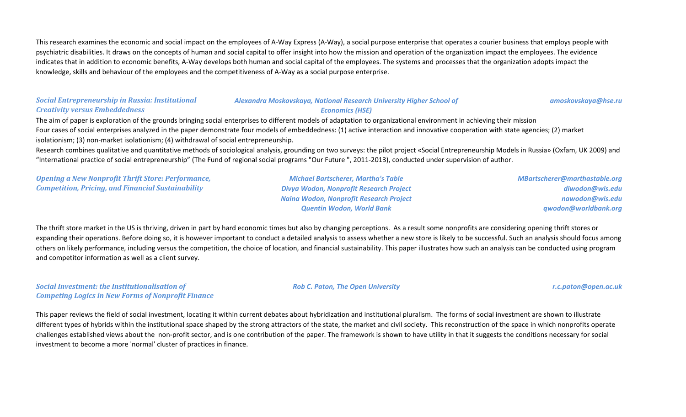This research examines the economic and social impact on the employees of A-Way Express (A-Way), a social purpose enterprise that operates a courier business that employs people with psychiatric disabilities. It draws on the concepts of human and social capital to offer insight into how the mission and operation of the organization impact the employees. The evidence indicates that in addition to economic benefits, A-Way develops both human and social capital of the employees. The systems and processes that the organization adopts impact the knowledge, skills and behaviour of the employees and the competitiveness of A-Way as a social purpose enterprise.

#### *Social Entrepreneurship in Russia: Institutional Creativity versus Embeddedness*

#### *Alexandra Moskovskaya, National Research University Higher School of Economics (HSE)*

*amoskovskaya@hse.ru*

The aim of paper is exploration of the grounds bringing social enterprises to different models of adaptation to organizational environment in achieving their mission Four cases of social enterprises analyzed in the paper demonstrate four models of embeddedness: (1) active interaction and innovative cooperation with state agencies; (2) market isolationism; (3) non-market isolationism; (4) withdrawal of social entrepreneurship.

Research combines qualitative and quantitative methods of sociological analysis, grounding on two surveys: the pilot project «Social Entrepreneurship Models in Russia» (Oxfam, UK 2009) and "International practice of social entrepreneurship" (The Fund of regional social programs "Our Future ", 2011-2013), conducted under supervision of author.

*Opening a New Nonprofit Thrift Store: Performance, Competition, Pricing, and Financial Sustainability*

*Michael Bartscherer, Martha's Table Divya Wodon, Nonprofit Research Project Naina Wodon, Nonprofit Research Project Quentin Wodon, World Bank*

*MBartscherer@marthastable.org diwodon@wis.edu nawodon@wis.edu qwodon@worldbank.org*

The thrift store market in the US is thriving, driven in part by hard economic times but also by changing perceptions. As a result some nonprofits are considering opening thrift stores or expanding their operations. Before doing so, it is however important to conduct a detailed analysis to assess whether a new store is likely to be successful. Such an analysis should focus among others on likely performance, including versus the competition, the choice of location, and financial sustainability. This paper illustrates how such an analysis can be conducted using program and competitor information as well as a client survey.

*Social Investment: the Institutionalisation of Competing Logics in New Forms of Nonprofit Finance* *Rob C. Paton, The Open University r.c.paton@open.ac.uk*

This paper reviews the field of social investment, locating it within current debates about hybridization and institutional pluralism. The forms of social investment are shown to illustrate different types of hybrids within the institutional space shaped by the strong attractors of the state, the market and civil society. This reconstruction of the space in which nonprofits operate challenges established views about the non-profit sector, and is one contribution of the paper. The framework is shown to have utility in that it suggests the conditions necessary for social investment to become a more 'normal' cluster of practices in finance.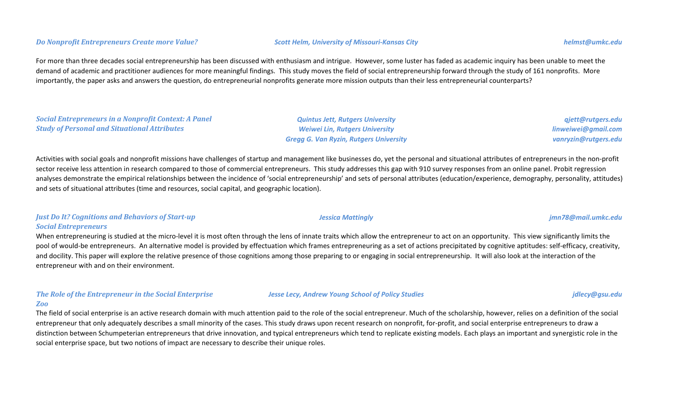#### *Do Nonprofit Entrepreneurs Create more Value? Scott Helm, University of Missouri-Kansas City helmst@umkc.edu*

For more than three decades social entrepreneurship has been discussed with enthusiasm and intrigue. However, some luster has faded as academic inquiry has been unable to meet the demand of academic and practitioner audiences for more meaningful findings. This study moves the field of social entrepreneurship forward through the study of 161 nonprofits. More importantly, the paper asks and answers the question, do entrepreneurial nonprofits generate more mission outputs than their less entrepreneurial counterparts?

*Social Entrepreneurs in a Nonprofit Context: A Panel Study of Personal and Situational Attributes*

*Quintus Jett, Rutgers University Weiwei Lin, Rutgers University Gregg G. Van Ryzin, Rutgers University* *qjett@rutgers.edu*

Activities with social goals and nonprofit missions have challenges of startup and management like businesses do, yet the personal and situational attributes of entrepreneurs in the non-profit sector receive less attention in research compared to those of commercial entrepreneurs. This study addresses this gap with 910 survey responses from an online panel. Probit regression analyses demonstrate the empirical relationships between the incidence of 'social entrepreneurship' and sets of personal attributes (education/experience, demography, personality, attitudes) and sets of situational attributes (time and resources, social capital, and geographic location).

#### *Just Do It? Cognitions and Behaviors of Start-up Social Entrepreneurs*

When entrepreneuring is studied at the micro-level it is most often through the lens of innate traits which allow the entrepreneur to act on an opportunity. This view significantly limits the pool of would-be entrepreneurs. An alternative model is provided by effectuation which frames entrepreneuring as a set of actions precipitated by cognitive aptitudes: self-efficacy, creativity, and docility. This paper will explore the relative presence of those cognitions among those preparing to or engaging in social entrepreneurship. It will also look at the interaction of the entrepreneur with and on their environment.

#### *The Role of the Entrepreneur in the Social Enterprise Zoo*

The field of social enterprise is an active research domain with much attention paid to the role of the social entrepreneur. Much of the scholarship, however, relies on a definition of the social entrepreneur that only adequately describes a small minority of the cases. This study draws upon recent research on nonprofit, for-profit, and social enterprise entrepreneurs to draw a distinction between Schumpeterian entrepreneurs that drive innovation, and typical entrepreneurs which tend to replicate existing models. Each plays an important and synergistic role in the social enterprise space, but two notions of impact are necessary to describe their unique roles.

#### *Jessica Mattingly jmn78@mail.umkc.edu*

#### *Jesse Lecy, Andrew Young School of Policy Studies jdlecy@gsu.edu*

# *linweiwei@gmail.com vanryzin@rutgers.edu*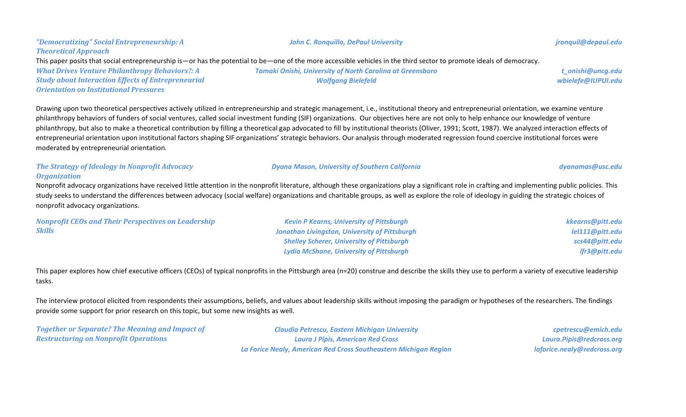#### *"Democratizing" Social Entrepreneurship: A Theoretical Approach What Drives Venture Philanthropy Behaviors?: A Study about Interaction Effects of Entrepreneurial Orientation on Institutional Pressures Tamaki Onishi, University of North Carolina at Greensboro Wolfgang Bielefeld t\_onishi@uncg.edu wbielefe@IUPUI.edu* This paper posits that social entrepreneurship is—or has the potential to be—one of the more accessible vehicles in the third sector to promote ideals of democracy.

Drawing upon two theoretical perspectives actively utilized in entrepreneurship and strategic management, i.e., institutional theory and entrepreneurial orientation, we examine venture philanthropy behaviors of funders of social ventures, called social investment funding (SIF) organizations. Our objectives here are not only to help enhance our knowledge of venture philanthropy, but also to make a theoretical contribution by filling a theoretical gap advocated to fill by institutional theorists (Oliver, 1991; Scott, 1987). We analyzed interaction effects of entrepreneurial orientation upon institutional factors shaping SIF organizations' strategic behaviors. Our analysis through moderated regression found coercive institutional forces were moderated by entrepreneurial orientation.

## *Organization* Nonprofit advocacy organizations have received little attention in the nonprofit literature, although these organizations play a significant role in crafting and implementing public policies. This study seeks to understand the differences between advocacy (social welfare) organizations and charitable groups, as well as explore the role of ideology in guiding the strategic choices of nonprofit advocacy organizations.

| <b>Nonprofit CEOs and Their Perspectives on Leadership</b> | <b>Kevin P Kearns, University of Pittsburgh</b>      | kkearns@pitt.edu |
|------------------------------------------------------------|------------------------------------------------------|------------------|
| <b>Skills</b>                                              | <b>Jonathan Livingston, University of Pittsburgh</b> | lel111@pitt.edu  |
|                                                            | <b>Shelley Scherer, University of Pittsburgh</b>     | scs44@pitt.edu   |
|                                                            | <b>Lydia McShane, University of Pittsburgh</b>       | Ifr3@pitt.edu    |

This paper explores how chief executive officers (CEOs) of typical nonprofits in the Pittsburgh area (n=20) construe and describe the skills they use to perform a variety of executive leadership tasks.

The interview protocol elicited from respondents their assumptions, beliefs, and values about leadership skills without imposing the paradigm or hypotheses of the researchers. The findings provide some support for prior research on this topic, but some new insights as well.

*Together or Separate? The Meaning and Impact of Restructuring on Nonprofit Operations*

*The Strategy of Ideology in Nonprofit Advocacy* 

*Claudia Petrescu, Eastern Michigan University Laura J Pipis, American Red Cross La Forice Nealy, American Red Cross Southeastern Michigan Region*

*cpetrescu@emich.edu Laura.Pipis@redcross.org laforice.nealy@redcross.org*

#### *John C. Ronquillo, DePaul University jronquil@depaul.edu*

*Dyana Mason, University of Southern California dyanamas@usc.edu*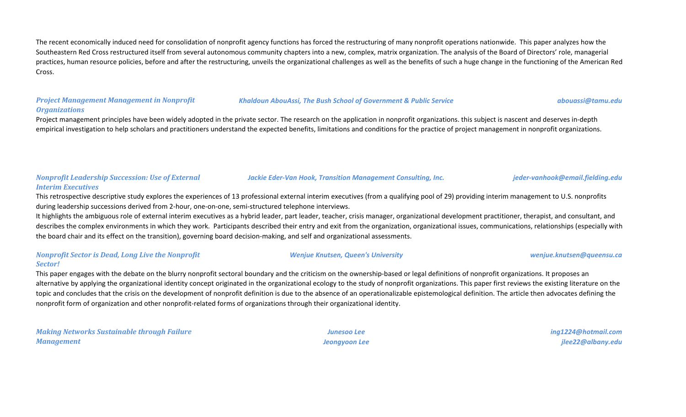The recent economically induced need for consolidation of nonprofit agency functions has forced the restructuring of many nonprofit operations nationwide. This paper analyzes how the Southeastern Red Cross restructured itself from several autonomous community chapters into a new, complex, matrix organization. The analysis of the Board of Directors' role, managerial practices, human resource policies, before and after the restructuring, unveils the organizational challenges as well as the benefits of such a huge change in the functioning of the American Red Cross.

#### *Project Management Management in Nonprofit Organizations*

#### *Khaldoun AbouAssi, The Bush School of Government & Public Service abouassi@tamu.edu*

Project management principles have been widely adopted in the private sector. The research on the application in nonprofit organizations. this subject is nascent and deserves in-depth empirical investigation to help scholars and practitioners understand the expected benefits, limitations and conditions for the practice of project management in nonprofit organizations.

#### *Nonprofit Leadership Succession: Use of External Interim Executives Jackie Eder-Van Hook, Transition Management Consulting, Inc. jeder-vanhook@email.fielding.edu*

This retrospective descriptive study explores the experiences of 13 professional external interim executives (from a qualifying pool of 29) providing interim management to U.S. nonprofits during leadership successions derived from 2-hour, one-on-one, semi-structured telephone interviews.

It highlights the ambiguous role of external interim executives as a hybrid leader, part leader, teacher, crisis manager, organizational development practitioner, therapist, and consultant, and describes the complex environments in which they work. Participants described their entry and exit from the organization, organizational issues, communications, relationships (especially with the board chair and its effect on the transition), governing board decision-making, and self and organizational assessments.

#### *Nonprofit Sector is Dead, Long Live the Nonprofit Sector!*

This paper engages with the debate on the blurry nonprofit sectoral boundary and the criticism on the ownership-based or legal definitions of nonprofit organizations. It proposes an alternative by applying the organizational identity concept originated in the organizational ecology to the study of nonprofit organizations. This paper first reviews the existing literature on the topic and concludes that the crisis on the development of nonprofit definition is due to the absence of an operationalizable epistemological definition. The article then advocates defining the nonprofit form of organization and other nonprofit-related forms of organizations through their organizational identity.

*Making Networks Sustainable through Failure Management*

*Junesoo Lee Jeongyoon Lee* *ing1224@hotmail.com jlee22@albany.edu*

*Wenjue Knutsen, Queen's University wenjue.knutsen@queensu.ca*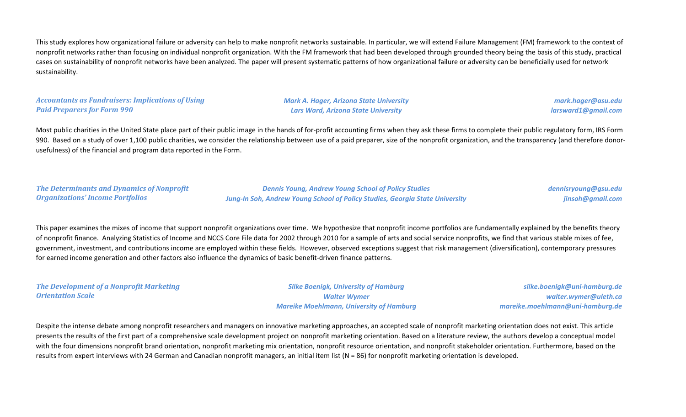This study explores how organizational failure or adversity can help to make nonprofit networks sustainable. In particular, we will extend Failure Management (FM) framework to the context of nonprofit networks rather than focusing on individual nonprofit organization. With the FM framework that had been developed through grounded theory being the basis of this study, practical cases on sustainability of nonprofit networks have been analyzed. The paper will present systematic patterns of how organizational failure or adversity can be beneficially used for network sustainability.

#### *Accountants as Fundraisers: Implications of Using Paid Preparers for Form 990*

*Mark A. Hager, Arizona State University Lars Ward, Arizona State University*

*mark.hager@asu.edu larsward1@gmail.com*

Most public charities in the United State place part of their public image in the hands of for-profit accounting firms when they ask these firms to complete their public regulatory form, IRS Form 990. Based on a study of over 1,100 public charities, we consider the relationship between use of a paid preparer, size of the nonprofit organization, and the transparency (and therefore donorusefulness) of the financial and program data reported in the Form.

*The Determinants and Dynamics of Nonprofit Organizations' Income Portfolios*

*Dennis Young, Andrew Young School of Policy Studies Jung-In Soh, Andrew Young School of Policy Studies, Georgia State University* *dennisryoung@gsu.edu jinsoh@gmail.com*

This paper examines the mixes of income that support nonprofit organizations over time. We hypothesize that nonprofit income portfolios are fundamentally explained by the benefits theory of nonprofit finance. Analyzing Statistics of Income and NCCS Core File data for 2002 through 2010 for a sample of arts and social service nonprofits, we find that various stable mixes of fee, government, investment, and contributions income are employed within these fields. However, observed exceptions suggest that risk management (diversification), contemporary pressures for earned income generation and other factors also influence the dynamics of basic benefit-driven finance patterns.

*The Development of a Nonprofit Marketing Orientation Scale Silke Boenigk, University of Hamburg Walter Wymer Mareike Moehlmann, University of Hamburg silke.boenigk@uni-hamburg.de walter.wymer@uleth.ca mareike.moehlmann@uni-hamburg.de*

Despite the intense debate among nonprofit researchers and managers on innovative marketing approaches, an accepted scale of nonprofit marketing orientation does not exist. This article presents the results of the first part of a comprehensive scale development project on nonprofit marketing orientation. Based on a literature review, the authors develop a conceptual model with the four dimensions nonprofit brand orientation, nonprofit marketing mix orientation, nonprofit resource orientation, and nonprofit stakeholder orientation. Furthermore, based on the results from expert interviews with 24 German and Canadian nonprofit managers, an initial item list (N = 86) for nonprofit marketing orientation is developed.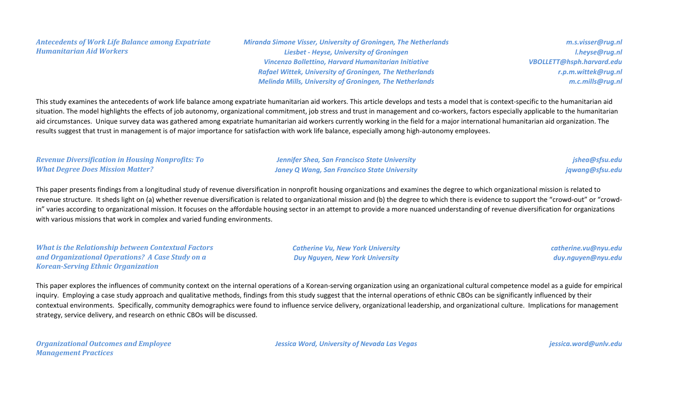*Antecedents of Work Life Balance among Expatriate Humanitarian Aid Workers*

*Miranda Simone Visser, University of Groningen, The Netherlands Liesbet - Heyse, University of Groningen Vincenzo Bollettino, Harvard Humanitarian Initiative Rafael Wittek, University of Groningen, The Netherlands Melinda Mills, University of Groningen, The Netherlands*

*m.s.visser@rug.nl l.heyse@rug.nl VBOLLETT@hsph.harvard.edu r.p.m.wittek@rug.nl m.c.mills@rug.nl*

This study examines the antecedents of work life balance among expatriate humanitarian aid workers. This article develops and tests a model that is context-specific to the humanitarian aid situation. The model highlights the effects of job autonomy, organizational commitment, job stress and trust in management and co-workers, factors especially applicable to the humanitarian aid circumstances. Unique survey data was gathered among expatriate humanitarian aid workers currently working in the field for a major international humanitarian aid organization. The results suggest that trust in management is of major importance for satisfaction with work life balance, especially among high-autonomy employees.

*Revenue Diversification in Housing Nonprofits: To What Degree Does Mission Matter?*

*Jennifer Shea, San Francisco State University Janey Q Wang, San Francisco State University*

*jshea@sfsu.edu jqwang@sfsu.edu*

This paper presents findings from a longitudinal study of revenue diversification in nonprofit housing organizations and examines the degree to which organizational mission is related to revenue structure. It sheds light on (a) whether revenue diversification is related to organizational mission and (b) the degree to which there is evidence to support the "crowd-out" or "crowdin" varies according to organizational mission. It focuses on the affordable housing sector in an attempt to provide a more nuanced understanding of revenue diversification for organizations with various missions that work in complex and varied funding environments.

*What is the Relationship between Contextual Factors and Organizational Operations? A Case Study on a Korean-Serving Ethnic Organization*

*Catherine Vu, New York University Duy Nguyen, New York University*

*catherine.vu@nyu.edu duy.nguyen@nyu.edu*

This paper explores the influences of community context on the internal operations of a Korean-serving organization using an organizational cultural competence model as a guide for empirical inquiry. Employing a case study approach and qualitative methods, findings from this study suggest that the internal operations of ethnic CBOs can be significantly influenced by their contextual environments. Specifically, community demographics were found to influence service delivery, organizational leadership, and organizational culture. Implications for management strategy, service delivery, and research on ethnic CBOs will be discussed.

*Organizational Outcomes and Employee Management Practices*

*Jessica Word, University of Nevada Las Vegas jessica.word@unlv.edu*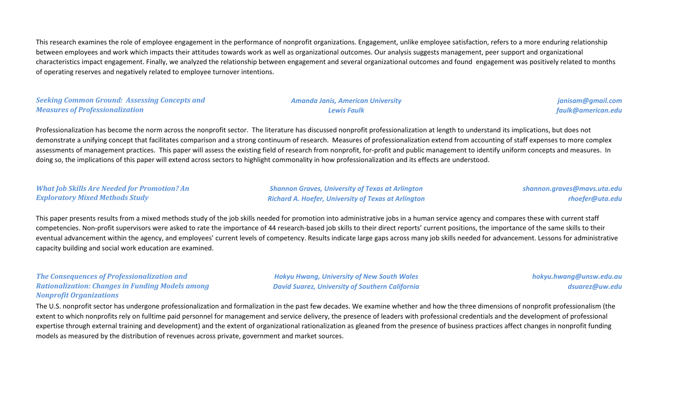This research examines the role of employee engagement in the performance of nonprofit organizations. Engagement, unlike employee satisfaction, refers to a more enduring relationship between employees and work which impacts their attitudes towards work as well as organizational outcomes. Our analysis suggests management, peer support and organizational characteristics impact engagement. Finally, we analyzed the relationship between engagement and several organizational outcomes and found engagement was positively related to months of operating reserves and negatively related to employee turnover intentions.

#### *Seeking Common Ground: Assessing Concepts and Measures of Professionalization*

#### *Amanda Janis, American University Lewis Faulk*

*janisam@gmail.com faulk@american.edu*

Professionalization has become the norm across the nonprofit sector. The literature has discussed nonprofit professionalization at length to understand its implications, but does not demonstrate a unifying concept that facilitates comparison and a strong continuum of research. Measures of professionalization extend from accounting of staff expenses to more complex assessments of management practices. This paper will assess the existing field of research from nonprofit, for-profit and public management to identify uniform concepts and measures. In doing so, the implications of this paper will extend across sectors to highlight commonality in how professionalization and its effects are understood.

#### *What Job Skills Are Needed for Promotion? An Exploratory Mixed Methods Study*

*Shannon Graves, University of Texas at Arlington Richard A. Hoefer, University of Texas at Arlington* *shannon.graves@mavs.uta.edu rhoefer@uta.edu*

This paper presents results from a mixed methods study of the job skills needed for promotion into administrative jobs in a human service agency and compares these with current staff competencies. Non-profit supervisors were asked to rate the importance of 44 research-based job skills to their direct reports' current positions, the importance of the same skills to their eventual advancement within the agency, and employees' current levels of competency. Results indicate large gaps across many job skills needed for advancement. Lessons for administrative capacity building and social work education are examined.

#### *The Consequences of Professionalization and Rationalization: Changes in Funding Models among Nonprofit Organizations*

*Hokyu Hwang, University of New South Wales David Suarez, University of Southern California* *hokyu.hwang@unsw.edu.au dsuarez@uw.edu*

The U.S. nonprofit sector has undergone professionalization and formalization in the past few decades. We examine whether and how the three dimensions of nonprofit professionalism (the extent to which nonprofits rely on fulltime paid personnel for management and service delivery, the presence of leaders with professional credentials and the development of professional expertise through external training and development) and the extent of organizational rationalization as gleaned from the presence of business practices affect changes in nonprofit funding models as measured by the distribution of revenues across private, government and market sources.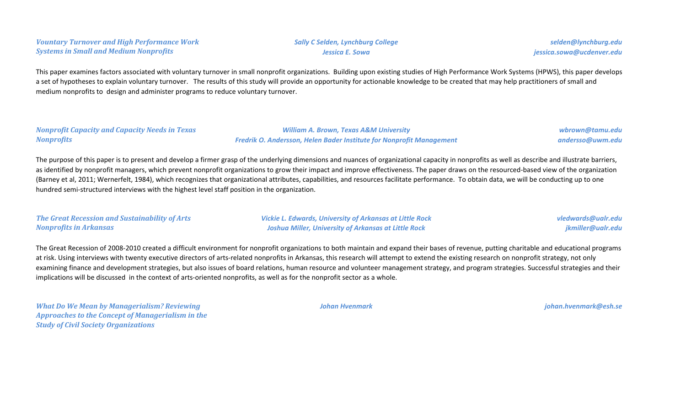*Vountary Turnover and High Performance Work Systems in Small and Medium Nonprofits*

*selden@lynchburg.edu jessica.sowa@ucdenver.edu*

This paper examines factors associated with voluntary turnover in small nonprofit organizations. Building upon existing studies of High Performance Work Systems (HPWS), this paper develops a set of hypotheses to explain voluntary turnover. The results of this study will provide an opportunity for actionable knowledge to be created that may help practitioners of small and medium nonprofits to design and administer programs to reduce voluntary turnover.

#### *Nonprofit Capacity and Capacity Needs in Texas Nonprofits*

*William A. Brown, Texas A&M University Fredrik O. Andersson, Helen Bader Institute for Nonprofit Management*

*wbrown@tamu.edu andersso@uwm.edu*

The purpose of this paper is to present and develop a firmer grasp of the underlying dimensions and nuances of organizational capacity in nonprofits as well as describe and illustrate barriers, as identified by nonprofit managers, which prevent nonprofit organizations to grow their impact and improve effectiveness. The paper draws on the resourced-based view of the organization (Barney et al, 2011; Wernerfelt, 1984), which recognizes that organizational attributes, capabilities, and resources facilitate performance. To obtain data, we will be conducting up to one hundred semi-structured interviews with the highest level staff position in the organization.

| The Great Recession and Sustainability of Arts | <b>Vickie L. Edwards, University of Arkansas at Little Rock</b> | vledwards@ualr.edu |
|------------------------------------------------|-----------------------------------------------------------------|--------------------|
| <b>Nonprofits in Arkansas</b>                  | <b>Joshua Miller, University of Arkansas at Little Rock</b>     | jkmiller@ualr.edu  |

The Great Recession of 2008-2010 created a difficult environment for nonprofit organizations to both maintain and expand their bases of revenue, putting charitable and educational programs at risk. Using interviews with twenty executive directors of arts-related nonprofits in Arkansas, this research will attempt to extend the existing research on nonprofit strategy, not only examining finance and development strategies, but also issues of board relations, human resource and volunteer management strategy, and program strategies. Successful strategies and their implications will be discussed in the context of arts-oriented nonprofits, as well as for the nonprofit sector as a whole.

*What Do We Mean by Managerialism? Reviewing Approaches to the Concept of Managerialism in the Study of Civil Society Organizations*

*Johan Hvenmark [johan.hvenmark@esh.se](mailto:johan.hvenmark@esh.se)*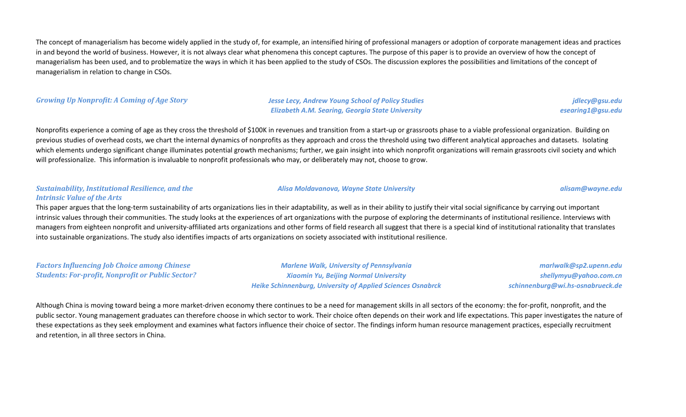The concept of managerialism has become widely applied in the study of, for example, an intensified hiring of professional managers or adoption of corporate management ideas and practices in and beyond the world of business. However, it is not always clear what phenomena this concept captures. The purpose of this paper is to provide an overview of how the concept of managerialism has been used, and to problematize the ways in which it has been applied to the study of CSOs. The discussion explores the possibilities and limitations of the concept of managerialism in relation to change in CSOs.

#### *Growing Up Nonprofit: A Coming of Age Story Jesse Lecy, Andrew Young School of Policy Studies*

*Elizabeth A.M. Searing, Georgia State University*

*jdlecy@gsu.edu esearing1@gsu.edu*

Nonprofits experience a coming of age as they cross the threshold of \$100K in revenues and transition from a start-up or grassroots phase to a viable professional organization. Building on previous studies of overhead costs, we chart the internal dynamics of nonprofits as they approach and cross the threshold using two different analytical approaches and datasets. Isolating which elements undergo significant change illuminates potential growth mechanisms; further, we gain insight into which nonprofit organizations will remain grassroots civil society and which will professionalize. This information is invaluable to nonprofit professionals who may, or deliberately may not, choose to grow.

#### *Sustainability, Institutional Resilience, and the Intrinsic Value of the Arts*

### This paper argues that the long-term sustainability of arts organizations lies in their adaptability, as well as in their ability to justify their vital social significance by carrying out important intrinsic values through their communities. The study looks at the experiences of art organizations with the purpose of exploring the determinants of institutional resilience. Interviews with managers from eighteen nonprofit and university-affiliated arts organizations and other forms of field research all suggest that there is a special kind of institutional rationality that translates into sustainable organizations. The study also identifies impacts of arts organizations on society associated with institutional resilience.

*Factors Influencing Job Choice among Chinese Students: For-profit, Nonprofit or Public Sector?*

*Marlene Walk, University of Pennsylvania Xiaomin Yu, Beijing Normal University Heike Schinnenburg, University of Applied Sciences Osnabrck*

*marlwalk@sp2.upenn.edu shellymyu@yahoo.com.cn schinnenburg@wi.hs-osnabrueck.de*

Although China is moving toward being a more market-driven economy there continues to be a need for management skills in all sectors of the economy: the for-profit, nonprofit, and the public sector. Young management graduates can therefore choose in which sector to work. Their choice often depends on their work and life expectations. This paper investigates the nature of these expectations as they seek employment and examines what factors influence their choice of sector. The findings inform human resource management practices, especially recruitment and retention, in all three sectors in China.

#### *Alisa Moldavanova, Wayne State University alisam@wayne.edu*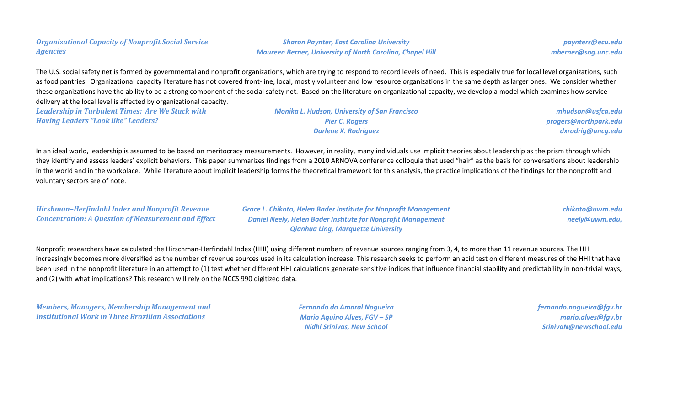### *Organizational Capacity of Nonprofit Social Service Agencies*

*Sharon Paynter, East Carolina University Maureen Berner, University of North Carolina, Chapel Hill*

*paynters@ecu.edu mberner@sog.unc.edu*

The U.S. social safety net is formed by governmental and nonprofit organizations, which are trying to respond to record levels of need. This is especially true for local level organizations, such as food pantries. Organizational capacity literature has not covered front-line, local, mostly volunteer and low resource organizations in the same depth as larger ones. We consider whether these organizations have the ability to be a strong component of the social safety net. Based on the literature on organizational capacity, we develop a model which examines how service delivery at the local level is affected by organizational capacity.

*Leadership in Turbulent Times: Are We Stuck with Having Leaders "Look like" Leaders?*

*Monika L. Hudson, University of San Francisco Pier C. Rogers Darlene X. Rodriguez*

*mhudson@usfca.edu progers@northpark.edu dxrodrig@uncg.edu*

In an ideal world, leadership is assumed to be based on meritocracy measurements. However, in reality, many individuals use implicit theories about leadership as the prism through which they identify and assess leaders' explicit behaviors. This paper summarizes findings from a 2010 ARNOVA conference colloquia that used "hair" as the basis for conversations about leadership in the world and in the workplace. While literature about implicit leadership forms the theoretical framework for this analysis, the practice implications of the findings for the nonprofit and voluntary sectors are of note.

*Hirshman–Herfindahl Index and Nonprofit Revenue Concentration: A Question of Measurement and Effect* *Grace L. Chikoto, Helen Bader Institute for Nonprofit Management Daniel Neely, Helen Bader Institute for Nonprofit Management Qianhua Ling, Marquette University*

*chikoto@uwm.edu neely@uwm.edu,*

Nonprofit researchers have calculated the Hirschman-Herfindahl Index (HHI) using different numbers of revenue sources ranging from 3, 4, to more than 11 revenue sources. The HHI increasingly becomes more diversified as the number of revenue sources used in its calculation increase. This research seeks to perform an acid test on different measures of the HHI that have been used in the nonprofit literature in an attempt to (1) test whether different HHI calculations generate sensitive indices that influence financial stability and predictability in non-trivial ways, and (2) with what implications? This research will rely on the NCCS 990 digitized data.

*Members, Managers, Membership Management and Institutional Work in Three Brazilian Associations*

*Fernando do Amaral Nogueira Mario Aquino Alves, FGV – SP Nidhi Srinivas, New School*

*fernando.nogueira@fgv.br mario.alves@fgv.br SrinivaN@newschool.edu*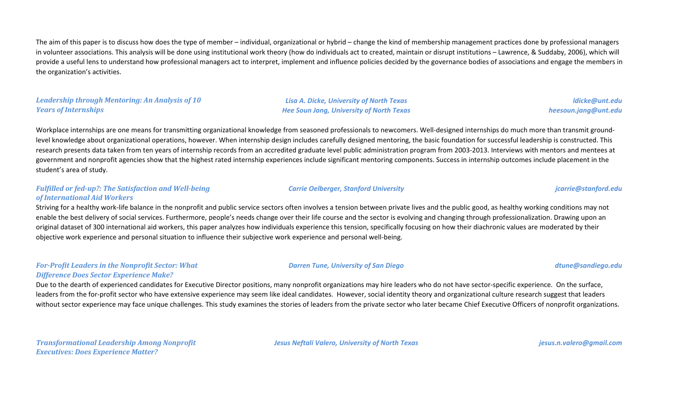The aim of this paper is to discuss how does the type of member – individual, organizational or hybrid – change the kind of membership management practices done by professional managers in volunteer associations. This analysis will be done using institutional work theory (how do individuals act to created, maintain or disrupt institutions – Lawrence, & Suddaby, 2006), which will provide a useful lens to understand how professional managers act to interpret, implement and influence policies decided by the governance bodies of associations and engage the members in the organization's activities.

#### *Leadership through Mentoring: An Analysis of 10 Years of Internships*

*Lisa A. Dicke, University of North Texas Hee Soun Jang, University of North Texas*

*ldicke@unt.edu heesoun.jang@unt.edu*

Workplace internships are one means for transmitting organizational knowledge from seasoned professionals to newcomers. Well-designed internships do much more than transmit groundlevel knowledge about organizational operations, however. When internship design includes carefully designed mentoring, the basic foundation for successful leadership is constructed. This research presents data taken from ten years of internship records from an accredited graduate level public administration program from 2003-2013. Interviews with mentors and mentees at government and nonprofit agencies show that the highest rated internship experiences include significant mentoring components. Success in internship outcomes include placement in the student's area of study.

#### *Fulfilled or fed-up?: The Satisfaction and Well-being of International Aid Workers*

Striving for a healthy work-life balance in the nonprofit and public service sectors often involves a tension between private lives and the public good, as healthy working conditions may not enable the best delivery of social services. Furthermore, people's needs change over their life course and the sector is evolving and changing through professionalization. Drawing upon an original dataset of 300 international aid workers, this paper analyzes how individuals experience this tension, specifically focusing on how their diachronic values are moderated by their objective work experience and personal situation to influence their subjective work experience and personal well-being.

#### *For-Profit Leaders in the Nonprofit Sector: What Difference Does Sector Experience Make?*

Due to the dearth of experienced candidates for Executive Director positions, many nonprofit organizations may hire leaders who do not have sector-specific experience. On the surface, leaders from the for-profit sector who have extensive experience may seem like ideal candidates. However, social identity theory and organizational culture research suggest that leaders without sector experience may face unique challenges. This study examines the stories of leaders from the private sector who later became Chief Executive Officers of nonprofit organizations.

*Transformational Leadership Among Nonprofit Executives: Does Experience Matter?*

*Jesus Neftali Valero, University of North Texas jesus.n.valero@gmail.com*

#### *Darren Tune, University of San Diego dtune@sandiego.edu*

## *Carrie Oelberger, Stanford University jcarrie@stanford.edu*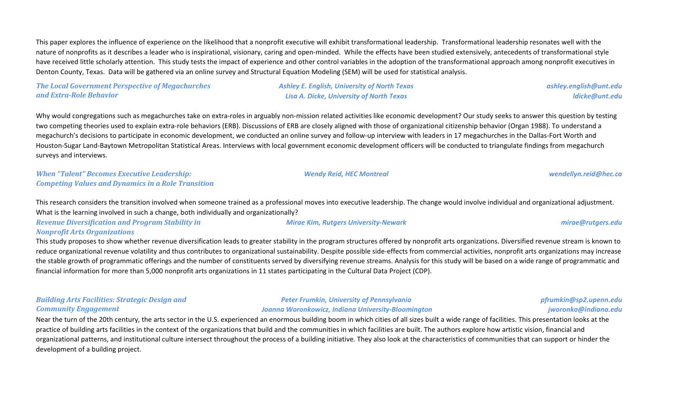This paper explores the influence of experience on the likelihood that a nonprofit executive will exhibit transformational leadership. Transformational leadership resonates well with the nature of nonprofits as it describes a leader who is inspirational, visionary, caring and open-minded. While the effects have been studied extensively, antecedents of transformational style have received little scholarly attention. This study tests the impact of experience and other control variables in the adoption of the transformational approach among nonprofit executives in Denton County, Texas. Data will be gathered via an online survey and Structural Equation Modeling (SEM) will be used for statistical analysis.

*The Local Government Perspective of Megachurches and Extra-Role Behavior*

*Ashley E. English, University of North Texas Lisa A. Dicke, University of North Texas*

Why would congregations such as megachurches take on extra-roles in arguably non-mission related activities like economic development? Our study seeks to answer this question by testing two competing theories used to explain extra-role behaviors (ERB). Discussions of ERB are closely aligned with those of organizational citizenship behavior (Organ 1988). To understand a megachurch's decisions to participate in economic development, we conducted an online survey and follow-up interview with leaders in 17 megachurches in the Dallas-Fort Worth and Houston-Sugar Land-Baytown Metropolitan Statistical Areas. Interviews with local government economic development officers will be conducted to triangulate findings from megachurch surveys and interviews.

*When "Talent" Becomes Executive Leadership: Competing Values and Dynamics in a Role Transition*

This research considers the transition involved when someone trained as a professional moves into executive leadership. The change would involve individual and organizational adjustment. What is the learning involved in such a change, both individually and organizationally?

*Revenue Diversification and Program Stability in Nonprofit Arts Organizations*

This study proposes to show whether revenue diversification leads to greater stability in the program structures offered by nonprofit arts organizations. Diversified revenue stream is known to reduce organizational revenue volatility and thus contributes to organizational sustainability. Despite possible side-effects from commercial activities, nonprofit arts organizations may increase the stable growth of programmatic offerings and the number of constituents served by diversifying revenue streams. Analysis for this study will be based on a wide range of programmatic and financial information for more than 5,000 nonprofit arts organizations in 11 states participating in the Cultural Data Project (CDP).

| <b>Building Arts Facilities: Strategic Design and</b> | <b>Peter Frumkin, University of Pennsylvania</b>   | pfrumkin@sp2.upenn.edu |
|-------------------------------------------------------|----------------------------------------------------|------------------------|
| <b>Community Engagement</b>                           | Joanna Woronkowicz, Indiana University-Bloomington | jworonko@indiana.edu   |

Near the turn of the 20th century, the arts sector in the U.S. experienced an enormous building boom in which cities of all sizes built a wide range of facilities. This presentation looks at the practice of building arts facilities in the context of the organizations that build and the communities in which facilities are built. The authors explore how artistic vision, financial and organizational patterns, and institutional culture intersect throughout the process of a building initiative. They also look at the characteristics of communities that can support or hinder the development of a building project.

### *Mirae Kim, Rutgers University-Newark mirae@rutgers.edu*

#### *Wendy Reid, HEC Montreal wendellyn.reid@hec.ca*

*ashley.english@unt.edu*

*ldicke@unt.edu*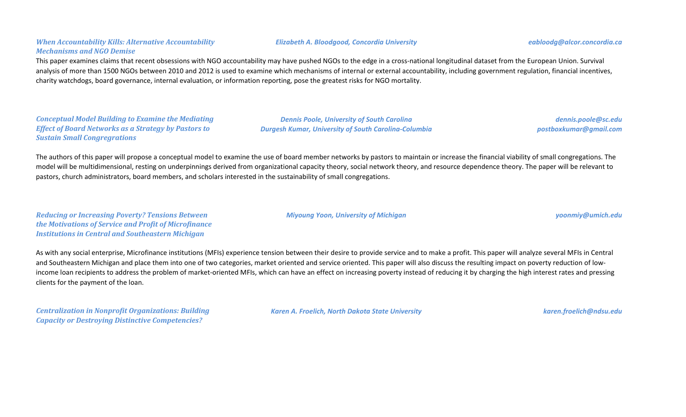### *When Accountability Kills: Alternative Accountability Mechanisms and NGO Demise*

This paper examines claims that recent obsessions with NGO accountability may have pushed NGOs to the edge in a cross-national longitudinal dataset from the European Union. Survival analysis of more than 1500 NGOs between 2010 and 2012 is used to examine which mechanisms of internal or external accountability, including government regulation, financial incentives, charity watchdogs, board governance, internal evaluation, or information reporting, pose the greatest risks for NGO mortality.

*Conceptual Model Building to Examine the Mediating Effect of Board Networks as a Strategy by Pastors to Sustain Small Congregrations*

*Dennis Poole, University of South Carolina Durgesh Kumar, University of South Carolina-Columbia*

*dennis.poole@sc.edu postboxkumar@gmail.com*

The authors of this paper will propose a conceptual model to examine the use of board member networks by pastors to maintain or increase the financial viability of small congregations. The model will be multidimensional, resting on underpinnings derived from organizational capacity theory, social network theory, and resource dependence theory. The paper will be relevant to pastors, church administrators, board members, and scholars interested in the sustainability of small congregations.

*Reducing or Increasing Poverty? Tensions Between the Motivations of Service and Profit of Microfinance Institutions in Central and Southeastern Michigan*

As with any social enterprise, Microfinance institutions (MFIs) experience tension between their desire to provide service and to make a profit. This paper will analyze several MFIs in Central and Southeastern Michigan and place them into one of two categories, market oriented and service oriented. This paper will also discuss the resulting impact on poverty reduction of lowincome loan recipients to address the problem of market-oriented MFIs, which can have an effect on increasing poverty instead of reducing it by charging the high interest rates and pressing clients for the payment of the loan.

*Centralization in Nonprofit Organizations: Building Capacity or Destroying Distinctive Competencies?*

*Karen A. Froelich, North Dakota State University karen.froelich@ndsu.edu*

#### *Elizabeth A. Bloodgood, Concordia University eabloodg@alcor.concordia.ca*

*Miyoung Yoon, University of Michigan yoonmiy@umich.edu*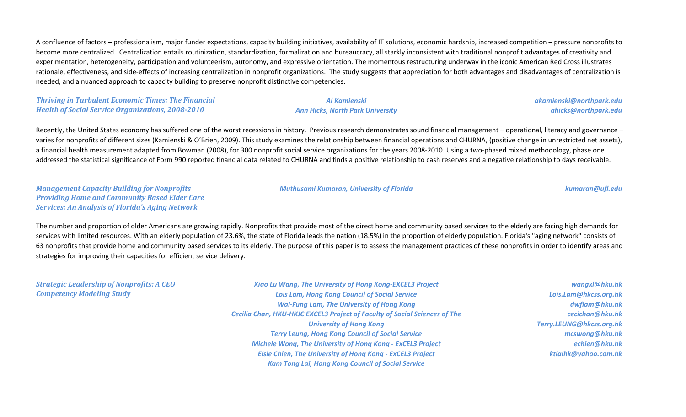A confluence of factors – professionalism, major funder expectations, capacity building initiatives, availability of IT solutions, economic hardship, increased competition – pressure nonprofits to become more centralized. Centralization entails routinization, standardization, formalization and bureaucracy, all starkly inconsistent with traditional nonprofit advantages of creativity and experimentation, heterogeneity, participation and volunteerism, autonomy, and expressive orientation. The momentous restructuring underway in the iconic American Red Cross illustrates rationale, effectiveness, and side-effects of increasing centralization in nonprofit organizations. The study suggests that appreciation for both advantages and disadvantages of centralization is needed, and a nuanced approach to capacity building to preserve nonprofit distinctive competencies.

*Thriving in Turbulent Economic Times: The Financial Health of Social Service Organizations, 2008-2010*

### *Al Kamienski Ann Hicks, North Park University*

*akamienski@northpark.edu ahicks@northpark.edu*

Recently, the United States economy has suffered one of the worst recessions in history. Previous research demonstrates sound financial management – operational, literacy and governance – varies for nonprofits of different sizes (Kamienski & O'Brien, 2009). This study examines the relationship between financial operations and CHURNA, (positive change in unrestricted net assets), a financial health measurement adapted from Bowman (2008), for 300 nonprofit social service organizations for the years 2008-2010. Using a two-phased mixed methodology, phase one addressed the statistical significance of Form 990 reported financial data related to CHURNA and finds a positive relationship to cash reserves and a negative relationship to days receivable.

*Management Capacity Building for Nonprofits Providing Home and Community Based Elder Care Services: An Analysis of Florida's Aging Network*

#### *Muthusami Kumaran, University of Florida kumaran@ufl.edu*

*Michele Wong, The University of Hong Kong - ExCEL3 Project Elsie Chien, The University of Hong Kong - ExCEL3 Project Kam Tong Lai, Hong Kong Council of Social Service*

The number and proportion of older Americans are growing rapidly. Nonprofits that provide most of the direct home and community based services to the elderly are facing high demands for services with limited resources. With an elderly population of 23.6%, the state of Florida leads the nation (18.5%) in the proportion of elderly population. Florida's "aging network" consists of 63 nonprofits that provide home and community based services to its elderly. The purpose of this paper is to assess the management practices of these nonprofits in order to identify areas and strategies for improving their capacities for efficient service delivery.

| wangxl@hku.hk            | Xiao Lu Wang, The University of Hong Kong-EXCEL3 Project                          | <b>Strategic Leadership of Nonprofits: A CEO</b> |
|--------------------------|-----------------------------------------------------------------------------------|--------------------------------------------------|
| Lois.Lam@hkcss.org.hk    | <b>Lois Lam, Hong Kong Council of Social Service</b>                              | <b>Competency Modeling Study</b>                 |
| dwflam@hku.hk            | <b>Wai-Fung Lam, The University of Hong Kong</b>                                  |                                                  |
| cecichan@hku.hk          | <b>Cecilia Chan, HKU-HKJC EXCEL3 Project of Faculty of Social Sciences of The</b> |                                                  |
| Terry.LEUNG@hkcss.org.hk | <b>University of Hong Kong</b>                                                    |                                                  |
| mcswong@hku.hk           | <b>Terry Leung, Hong Kong Council of Social Service</b>                           |                                                  |

*echien@hku.hk ktlaihk@yahoo.com.hk*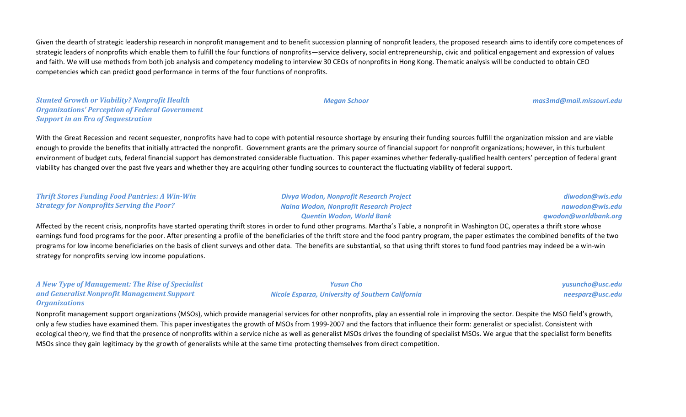Given the dearth of strategic leadership research in nonprofit management and to benefit succession planning of nonprofit leaders, the proposed research aims to identify core competences of strategic leaders of nonprofits which enable them to fulfill the four functions of nonprofits—service delivery, social entrepreneurship, civic and political engagement and expression of values and faith. We will use methods from both job analysis and competency modeling to interview 30 CEOs of nonprofits in Hong Kong. Thematic analysis will be conducted to obtain CEO competencies which can predict good performance in terms of the four functions of nonprofits.

*Stunted Growth or Viability? Nonprofit Health Organizations' Perception of Federal Government Support in an Era of Sequestration*

With the Great Recession and recent sequester, nonprofits have had to cope with potential resource shortage by ensuring their funding sources fulfill the organization mission and are viable enough to provide the benefits that initially attracted the nonprofit. Government grants are the primary source of financial support for nonprofit organizations; however, in this turbulent environment of budget cuts, federal financial support has demonstrated considerable fluctuation. This paper examines whether federally-qualified health centers' perception of federal grant viability has changed over the past five years and whether they are acquiring other funding sources to counteract the fluctuating viability of federal support.

#### *Thrift Stores Funding Food Pantries: A Win-Win Strategy for Nonprofits Serving the Poor?*

*Divya Wodon, Nonprofit Research Project Naina Wodon, Nonprofit Research Project Quentin Wodon, World Bank*

*diwodon@wis.edu nawodon@wis.edu qwodon@worldbank.org*

Affected by the recent crisis, nonprofits have started operating thrift stores in order to fund other programs. Martha's Table, a nonprofit in Washington DC, operates a thrift store whose earnings fund food programs for the poor. After presenting a profile of the beneficiaries of the thrift store and the food pantry program, the paper estimates the combined benefits of the two programs for low income beneficiaries on the basis of client surveys and other data. The benefits are substantial, so that using thrift stores to fund food pantries may indeed be a win-win strategy for nonprofits serving low income populations.

*A New Type of Management: The Rise of Specialist and Generalist Nonprofit Management Support Organizations*

Nonprofit management support organizations (MSOs), which provide managerial services for other nonprofits, play an essential role in improving the sector. Despite the MSO field's growth, only a few studies have examined them. This paper investigates the growth of MSOs from 1999-2007 and the factors that influence their form: generalist or specialist. Consistent with ecological theory, we find that the presence of nonprofits within a service niche as well as generalist MSOs drives the founding of specialist MSOs. We argue that the specialist form benefits MSOs since they gain legitimacy by the growth of generalists while at the same time protecting themselves from direct competition.

*Yusun Cho Nicole Esparza, University of Southern California*

*yusuncho@usc.edu neesparz@usc.edu*

*Megan Schoor mas3md@mail.missouri.edu*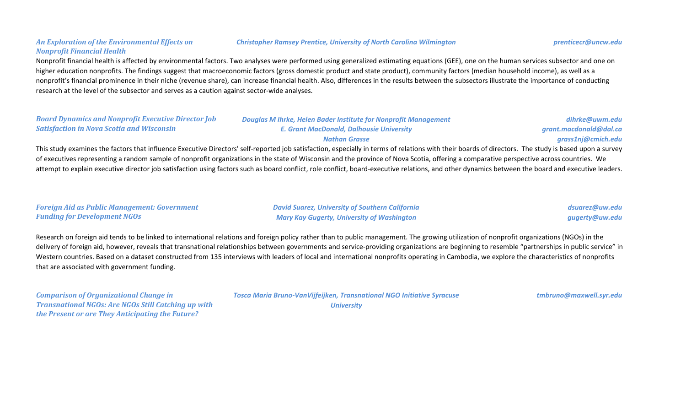### *An Exploration of the Environmental Effects on Nonprofit Financial Health*

#### *Christopher Ramsey Prentice, University of North Carolina Wilmington prenticecr@uncw.edu*

Nonprofit financial health is affected by environmental factors. Two analyses were performed using generalized estimating equations (GEE), one on the human services subsector and one on higher education nonprofits. The findings suggest that macroeconomic factors (gross domestic product and state product), community factors (median household income), as well as a nonprofit's financial prominence in their niche (revenue share), can increase financial health. Also, differences in the results between the subsectors illustrate the importance of conducting research at the level of the subsector and serves as a caution against sector-wide analyses.

| <b>Board Dynamics and Nonprofit Executive Director Job</b>                                                                       | <b>Douglas M Ihrke, Helen Bader Institute for Nonprofit Management</b>                                          | dihrke@uwm.edu         |
|----------------------------------------------------------------------------------------------------------------------------------|-----------------------------------------------------------------------------------------------------------------|------------------------|
| <b>Satisfaction in Nova Scotia and Wisconsin</b>                                                                                 | <b>E. Grant MacDonald, Dalhousie University</b>                                                                 | grant.macdonald@dal.ca |
|                                                                                                                                  | <b>Nathan Grasse</b>                                                                                            | grass1nj@cmich.edu     |
| the contract of the contract of the contract of the contract of the contract of the contract of the contract of<br>_____________ | the contract of the contract of the contract of the contract of the contract of the contract of the contract of |                        |

This study examines the factors that influence Executive Directors' self-reported job satisfaction, especially in terms of relations with their boards of directors. The study is based upon a survey of executives representing a random sample of nonprofit organizations in the state of Wisconsin and the province of Nova Scotia, offering a comparative perspective across countries. We attempt to explain executive director job satisfaction using factors such as board conflict, role conflict, board-executive relations, and other dynamics between the board and executive leaders.

#### *Foreign Aid as Public Management: Government Funding for Development NGOs*

*David Suarez, University of Southern California Mary Kay Gugerty, University of Washington*

*dsuarez@uw.edu gugerty@uw.edu*

Research on foreign aid tends to be linked to international relations and foreign policy rather than to public management. The growing utilization of nonprofit organizations (NGOs) in the delivery of foreign aid, however, reveals that transnational relationships between governments and service-providing organizations are beginning to resemble "partnerships in public service" in Western countries. Based on a dataset constructed from 135 interviews with leaders of local and international nonprofits operating in Cambodia, we explore the characteristics of nonprofits that are associated with government funding.

*Comparison of Organizational Change in Transnational NGOs: Are NGOs Still Catching up with the Present or are They Anticipating the Future?*

*Tosca Maria Bruno-VanVijfeijken, Transnational NGO Initiative Syracuse University*

*tmbruno@maxwell.syr.edu*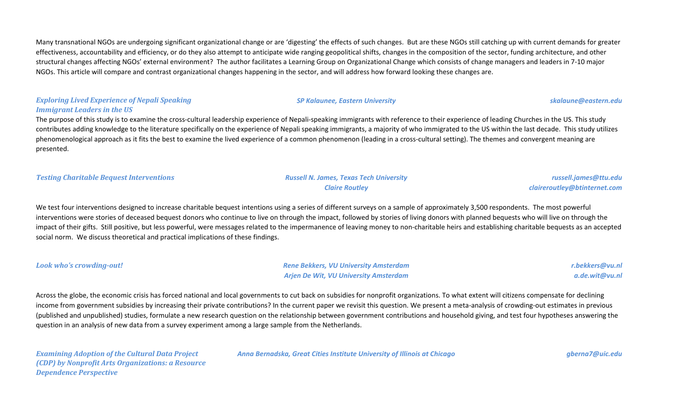Many transnational NGOs are undergoing significant organizational change or are 'digesting' the effects of such changes. But are these NGOs still catching up with current demands for greater effectiveness, accountability and efficiency, or do they also attempt to anticipate wide ranging geopolitical shifts, changes in the composition of the sector, funding architecture, and other structural changes affecting NGOs' external environment? The author facilitates a Learning Group on Organizational Change which consists of change managers and leaders in 7-10 major NGOs. This article will compare and contrast organizational changes happening in the sector, and will address how forward looking these changes are.

### *Exploring Lived Experience of Nepali Speaking Immigrant Leaders in the US*

The purpose of this study is to examine the cross-cultural leadership experience of Nepali-speaking immigrants with reference to their experience of leading Churches in the US. This study contributes adding knowledge to the literature specifically on the experience of Nepali speaking immigrants, a majority of who immigrated to the US within the last decade. This study utilizes phenomenological approach as it fits the best to examine the lived experience of a common phenomenon (leading in a cross-cultural setting). The themes and convergent meaning are presented.

*Testing Charitable Bequest Interventions Russell N. James, Texas Tech University*

# *Claire Routley*

*russell.james@ttu.edu claireroutley@btinternet.com*

We test four interventions designed to increase charitable bequest intentions using a series of different surveys on a sample of approximately 3,500 respondents. The most powerful interventions were stories of deceased bequest donors who continue to live on through the impact, followed by stories of living donors with planned bequests who will live on through the impact of their gifts. Still positive, but less powerful, were messages related to the impermanence of leaving money to non-charitable heirs and establishing charitable bequests as an accepted social norm. We discuss theoretical and practical implications of these findings.

*Look who's crowding-out! Rene Bekkers, VU University Amsterdam Arjen De Wit, VU University Amsterdam*

*r.bekkers@vu.nl a.de.wit@vu.nl*

Across the globe, the economic crisis has forced national and local governments to cut back on subsidies for nonprofit organizations. To what extent will citizens compensate for declining income from government subsidies by increasing their private contributions? In the current paper we revisit this question. We present a meta-analysis of crowding-out estimates in previous (published and unpublished) studies, formulate a new research question on the relationship between government contributions and household giving, and test four hypotheses answering the question in an analysis of new data from a survey experiment among a large sample from the Netherlands.

*Examining Adoption of the Cultural Data Project (CDP) by Nonprofit Arts Organizations: a Resource Dependence Perspective*

*Anna Bernadska, Great Cities Institute University of Illinois at Chicago gberna7@uic.edu*

*SP Kalaunee, Eastern University skalaune@eastern.edu*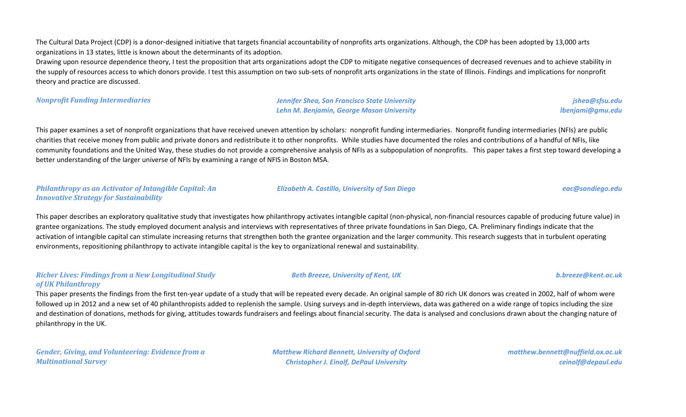The Cultural Data Project (CDP) is a donor-designed initiative that targets financial accountability of nonprofits arts organizations. Although, the CDP has been adopted by 13,000 arts organizations in 13 states, little is known about the determinants of its adoption.

Drawing upon resource dependence theory, I test the proposition that arts organizations adopt the CDP to mitigate negative consequences of decreased revenues and to achieve stability in the supply of resources access to which donors provide. I test this assumption on two sub-sets of nonprofit arts organizations in the state of Illinois. Findings and implications for nonprofit theory and practice are discussed.

*Nonprofit Funding Intermediaries Jennifer Shea, San Francisco State University Lehn M. Benjamin, George Mason University*

*jshea@sfsu.edu lbenjami@gmu.edu*

This paper examines a set of nonprofit organizations that have received uneven attention by scholars: nonprofit funding intermediaries. Nonprofit funding intermediaries (NFIs) are public charities that receive money from public and private donors and redistribute it to other nonprofits. While studies have documented the roles and contributions of a handful of NFIs, like community foundations and the United Way, these studies do not provide a comprehensive analysis of NFIs as a subpopulation of nonprofits. This paper takes a first step toward developing a better understanding of the larger universe of NFIs by examining a range of NFIS in Boston MSA.

#### *Philanthropy as an Activator of Intangible Capital: An Innovative Strategy for Sustainability*

This paper describes an exploratory qualitative study that investigates how philanthropy activates intangible capital (non-physical, non-financial resources capable of producing future value) in grantee organizations. The study employed document analysis and interviews with representatives of three private foundations in San Diego, CA. Preliminary findings indicate that the activation of intangible capital can stimulate increasing returns that strengthen both the grantee organization and the larger community. This research suggests that in turbulent operating environments, repositioning philanthropy to activate intangible capital is the key to organizational renewal and sustainability.

### *Richer Lives: Findings from a New Longitudinal Study of UK Philanthropy*

This paper presents the findings from the first ten-year update of a study that will be repeated every decade. An original sample of 80 rich UK donors was created in 2002, half of whom were followed up in 2012 and a new set of 40 philanthropists added to replenish the sample. Using surveys and in-depth interviews, data was gathered on a wide range of topics including the size and destination of donations, methods for giving, attitudes towards fundraisers and feelings about financial security. The data is analysed and conclusions drawn about the changing nature of philanthropy in the UK.

*Gender, Giving, and Volunteering: Evidence from a Multinational Survey*

*Matthew Richard Bennett, University of Oxford Christopher J. Einolf, DePaul University*

*matthew.bennett@nuffield.ox.ac.uk ceinolf@depaul.edu*

#### *Beth Breeze, University of Kent, UK b.breeze@kent.ac.uk*

# *Elizabeth A. Castillo, University of San Diego eac@sandiego.edu*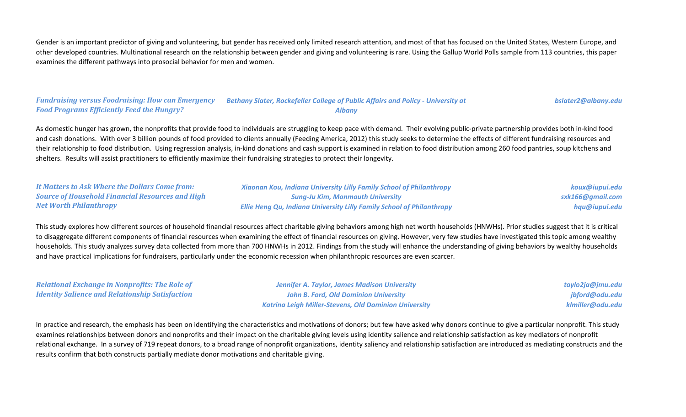Gender is an important predictor of giving and volunteering, but gender has received only limited research attention, and most of that has focused on the United States, Western Europe, and other developed countries. Multinational research on the relationship between gender and giving and volunteering is rare. Using the Gallup World Polls sample from 113 countries, this paper examines the different pathways into prosocial behavior for men and women.

#### *Fundraising versus Foodraising: How can Emergency Food Programs Efficiently Feed the Hungry? Bethany Slater, Rockefeller College of Public Affairs and Policy - University at Albany*

*bslater2@albany.edu*

As domestic hunger has grown, the nonprofits that provide food to individuals are struggling to keep pace with demand. Their evolving public-private partnership provides both in-kind food and cash donations. With over 3 billion pounds of food provided to clients annually (Feeding America, 2012) this study seeks to determine the effects of different fundraising resources and their relationship to food distribution. Using regression analysis, in-kind donations and cash support is examined in relation to food distribution among 260 food pantries, soup kitchens and shelters. Results will assist practitioners to efficiently maximize their fundraising strategies to protect their longevity.

| It Matters to Ask Where the Dollars Come from:          | <b>Xiaonan Kou, Indiana University Lilly Family School of Philanthropy</b>   | koux@iupui.edu   |
|---------------------------------------------------------|------------------------------------------------------------------------------|------------------|
| <b>Source of Household Financial Resources and High</b> | <b>Sung-Ju Kim, Monmouth University</b>                                      | sxk166@gmail.com |
| <b>Net Worth Philanthropy</b>                           | <b>Ellie Heng Qu, Indiana University Lilly Family School of Philanthropy</b> | hqu@iupui.edu    |

This study explores how different sources of household financial resources affect charitable giving behaviors among high net worth households (HNWHs). Prior studies suggest that it is critical to disaggregate different components of financial resources when examining the effect of financial resources on giving. However, very few studies have investigated this topic among wealthy households. This study analyzes survey data collected from more than 700 HNWHs in 2012. Findings from the study will enhance the understanding of giving behaviors by wealthy households and have practical implications for fundraisers, particularly under the economic recession when philanthropic resources are even scarcer.

*Relational Exchange in Nonprofits: The Role of Identity Salience and Relationship Satisfaction*

*Jennifer A. Taylor, James Madison University John B. Ford, Old Dominion University Katrina Leigh Miller-Stevens, Old Dominion University* *taylo2ja@jmu.edu jbford@odu.edu klmiller@odu.edu*

In practice and research, the emphasis has been on identifying the characteristics and motivations of donors; but few have asked why donors continue to give a particular nonprofit. This study examines relationships between donors and nonprofits and their impact on the charitable giving levels using identity salience and relationship satisfaction as key mediators of nonprofit relational exchange. In a survey of 719 repeat donors, to a broad range of nonprofit organizations, identity saliency and relationship satisfaction are introduced as mediating constructs and the results confirm that both constructs partially mediate donor motivations and charitable giving.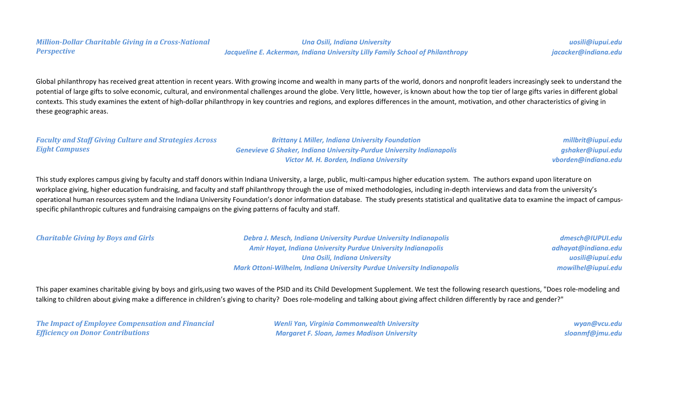#### *Million-Dollar Charitable Giving in a Cross-National Perspective*

*Una Osili, Indiana University Jacqueline E. Ackerman, Indiana University Lilly Family School of Philanthropy*

*uosili@iupui.edu jacacker@indiana.edu*

Global philanthropy has received great attention in recent years. With growing income and wealth in many parts of the world, donors and nonprofit leaders increasingly seek to understand the potential of large gifts to solve economic, cultural, and environmental challenges around the globe. Very little, however, is known about how the top tier of large gifts varies in different global contexts. This study examines the extent of high-dollar philanthropy in key countries and regions, and explores differences in the amount, motivation, and other characteristics of giving in these geographic areas.

#### *Faculty and Staff Giving Culture and Strategies Across Eight Campuses*

*Brittany L Miller, Indiana University Foundation Genevieve G Shaker, Indiana University-Purdue University Indianapolis Victor M. H. Borden, Indiana University*

*millbrit@iupui.edu gshaker@iupui.edu vborden@indiana.edu*

This study explores campus giving by faculty and staff donors within Indiana University, a large, public, multi-campus higher education system. The authors expand upon literature on workplace giving, higher education fundraising, and faculty and staff philanthropy through the use of mixed methodologies, including in-depth interviews and data from the university's operational human resources system and the Indiana University Foundation's donor information database. The study presents statistical and qualitative data to examine the impact of campusspecific philanthropic cultures and fundraising campaigns on the giving patterns of faculty and staff.

*Charitable Giving by Boys and Girls Debra J. Mesch, Indiana University Purdue University Indianapolis Amir Hayat, Indiana University Purdue University Indianapolis Una Osili, Indiana University Mark Ottoni-Wilhelm, Indiana University Purdue University Indianapolis*

*dmesch@IUPUI.edu adhayat@indiana.edu uosili@iupui.edu mowilhel@iupui.edu*

This paper examines charitable giving by boys and girls,using two waves of the PSID and its Child Development Supplement. We test the following research questions, "Does role-modeling and talking to children about giving make a difference in children's giving to charity? Does role-modeling and talking about giving affect children differently by race and gender?"

*The Impact of Employee Compensation and Financial Efficiency on Donor Contributions*

*Wenli Yan, Virginia Commonwealth University Margaret F. Sloan, James Madison University*

*wyan@vcu.edu sloanmf@jmu.edu*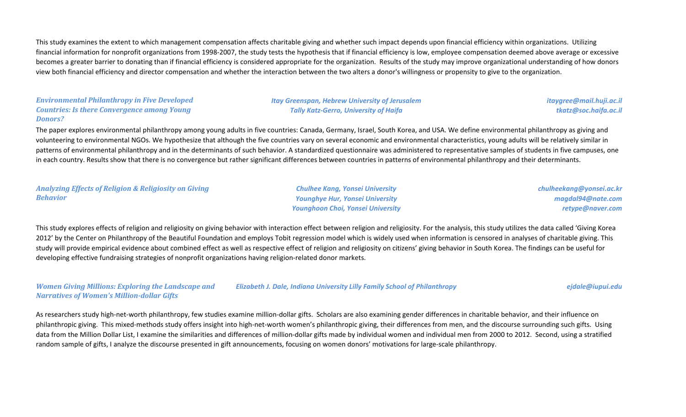This study examines the extent to which management compensation affects charitable giving and whether such impact depends upon financial efficiency within organizations. Utilizing financial information for nonprofit organizations from 1998-2007, the study tests the hypothesis that if financial efficiency is low, employee compensation deemed above average or excessive becomes a greater barrier to donating than if financial efficiency is considered appropriate for the organization. Results of the study may improve organizational understanding of how donors view both financial efficiency and director compensation and whether the interaction between the two alters a donor's willingness or propensity to give to the organization.

#### *Environmental Philanthropy in Five Developed Countries: Is there Convergence among Young Donors?*

#### *Itay Greenspan, Hebrew University of Jerusalem Tally Katz-Gerro, University of Haifa*

*itaygree@mail.huji.ac.il tkatz@soc.haifa.ac.il*

The paper explores environmental philanthropy among young adults in five countries: Canada, Germany, Israel, South Korea, and USA. We define environmental philanthropy as giving and volunteering to environmental NGOs. We hypothesize that although the five countries vary on several economic and environmental characteristics, young adults will be relatively similar in patterns of environmental philanthropy and in the determinants of such behavior. A standardized questionnaire was administered to representative samples of students in five campuses, one in each country. Results show that there is no convergence but rather significant differences between countries in patterns of environmental philanthropy and their determinants.

#### *Analyzing Effects of Religion & Religiosity on Giving Behavior*

*Chulhee Kang, Yonsei University Younghye Hur, Yonsei University Younghoon Choi, Yonsei University* *chulheekang@yonsei.ac.kr magdal94@nate.com retype@naver.com*

This study explores effects of religion and religiosity on giving behavior with interaction effect between religion and religiosity. For the analysis, this study utilizes the data called 'Giving Korea 2012' by the Center on Philanthropy of the Beautiful Foundation and employs Tobit regression model which is widely used when information is censored in analyses of charitable giving. This study will provide empirical evidence about combined effect as well as respective effect of religion and religiosity on citizens' giving behavior in South Korea. The findings can be useful for developing effective fundraising strategies of nonprofit organizations having religion-related donor markets.

*Women Giving Millions: Exploring the Landscape and Narratives of Women's Million-dollar Gifts Elizabeth J. Dale, Indiana University Lilly Family School of Philanthropy ejdale@iupui.edu*

As researchers study high-net-worth philanthropy, few studies examine million-dollar gifts. Scholars are also examining gender differences in charitable behavior, and their influence on philanthropic giving. This mixed-methods study offers insight into high-net-worth women's philanthropic giving, their differences from men, and the discourse surrounding such gifts. Using data from the Million Dollar List, I examine the similarities and differences of million-dollar gifts made by individual women and individual men from 2000 to 2012. Second, using a stratified random sample of gifts, I analyze the discourse presented in gift announcements, focusing on women donors' motivations for large-scale philanthropy.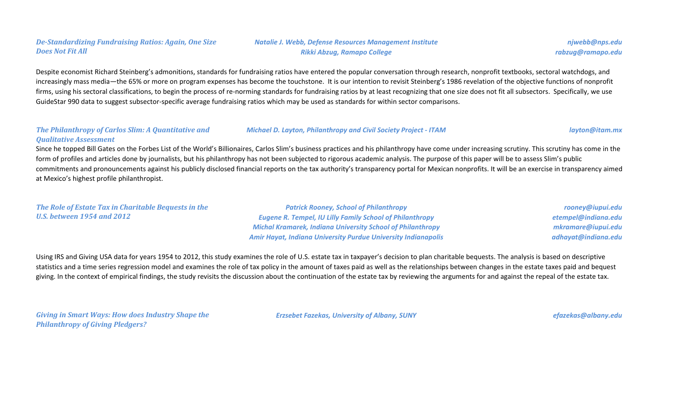### *De-Standardizing Fundraising Ratios: Again, One Size Does Not Fit All*

*Natalie J. Webb, Defense Resources Management Institute Rikki Abzug, Ramapo College*

*njwebb@nps.edu rabzug@ramapo.edu*

Despite economist Richard Steinberg's admonitions, standards for fundraising ratios have entered the popular conversation through research, nonprofit textbooks, sectoral watchdogs, and increasingly mass media—the 65% or more on program expenses has become the touchstone. It is our intention to revisit Steinberg's 1986 revelation of the objective functions of nonprofit firms, using his sectoral classifications, to begin the process of re-norming standards for fundraising ratios by at least recognizing that one size does not fit all subsectors. Specifically, we use GuideStar 990 data to suggest subsector-specific average fundraising ratios which may be used as standards for within sector comparisons.

#### *The Philanthropy of Carlos Slim: A Quantitative and Qualitative Assessment*

Since he topped Bill Gates on the Forbes List of the World's Billionaires, Carlos Slim's business practices and his philanthropy have come under increasing scrutiny. This scrutiny has come in the form of profiles and articles done by journalists, but his philanthropy has not been subjected to rigorous academic analysis. The purpose of this paper will be to assess Slim's public commitments and pronouncements against his publicly disclosed financial reports on the tax authority's transparency portal for Mexican nonprofits. It will be an exercise in transparency aimed at Mexico's highest profile philanthropist.

*The Role of Estate Tax in Charitable Bequests in the U.S. between 1954 and 2012*

*Patrick Rooney, School of Philanthropy Eugene R. Tempel, IU Lilly Family School of Philanthropy Michal Kramarek, Indiana University School of Philanthropy Amir Hayat, Indiana University Purdue University Indianapolis*

*rooney@iupui.edu etempel@indiana.edu mkramare@iupui.edu adhayat@indiana.edu*

Using IRS and Giving USA data for years 1954 to 2012, this study examines the role of U.S. estate tax in taxpayer's decision to plan charitable bequests. The analysis is based on descriptive statistics and a time series regression model and examines the role of tax policy in the amount of taxes paid as well as the relationships between changes in the estate taxes paid and bequest giving. In the context of empirical findings, the study revisits the discussion about the continuation of the estate tax by reviewing the arguments for and against the repeal of the estate tax.

*Giving in Smart Ways: How does Industry Shape the Philanthropy of Giving Pledgers?*

*Erzsebet Fazekas, University of Albany, SUNY efazekas@albany.edu*

*Michael D. Layton, Philanthropy and Civil Society Project - ITAM layton@itam.mx*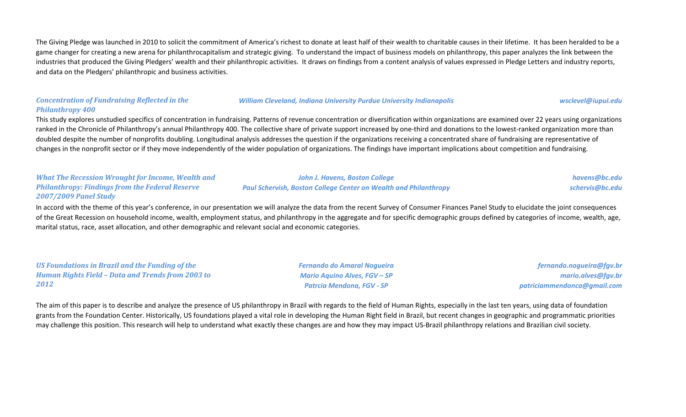The Giving Pledge was launched in 2010 to solicit the commitment of America's richest to donate at least half of their wealth to charitable causes in their lifetime. It has been heralded to be a game changer for creating a new arena for philanthrocapitalism and strategic giving. To understand the impact of business models on philanthropy, this paper analyzes the link between the industries that produced the Giving Pledgers' wealth and their philanthropic activities. It draws on findings from a content analysis of values expressed in Pledge Letters and industry reports, and data on the Pledgers' philanthropic and business activities.

#### *Concentration of Fundraising Reflected in the Philanthropy 400*

#### *William Cleveland, Indiana University Purdue University Indianapolis wsclevel@iupui.edu*

This study explores unstudied specifics of concentration in fundraising. Patterns of revenue concentration or diversification within organizations are examined over 22 years using organizations ranked in the Chronicle of Philanthropy's annual Philanthropy 400. The collective share of private support increased by one-third and donations to the lowest-ranked organization more than doubled despite the number of nonprofits doubling. Longitudinal analysis addresses the question if the organizations receiving a concentrated share of fundraising are representative of changes in the nonprofit sector or if they move independently of the wider population of organizations. The findings have important implications about competition and fundraising.

#### *What The Recession Wrought for Income, Wealth and Philanthropy: Findings from the Federal Reserve 2007/2009 Panel Study*

#### *John J. Havens, Boston College Paul Schervish, Boston College Center on Wealth and Philanthropy*

*havens@bc.edu schervis@bc.edu*

In accord with the theme of this year's conference, in our presentation we will analyze the data from the recent Survey of Consumer Finances Panel Study to elucidate the joint consequences of the Great Recession on household income, wealth, employment status, and philanthropy in the aggregate and for specific demographic groups defined by categories of income, wealth, age, marital status, race, asset allocation, and other demographic and relevant social and economic categories.

*US Foundations in Brazil and the Funding of the Human Rights Field – Data and Trends from 2003 to 2012*

*Fernando do Amaral Nogueira Mario Aquino Alves, FGV – SP Patrcia Mendona, FGV - SP*

*fernando.nogueira@fgv.br mario.alves@fgv.br patriciammendonca@gmail.com*

The aim of this paper is to describe and analyze the presence of US philanthropy in Brazil with regards to the field of Human Rights, especially in the last ten years, using data of foundation grants from the Foundation Center. Historically, US foundations played a vital role in developing the Human Right field in Brazil, but recent changes in geographic and programmatic priorities may challenge this position. This research will help to understand what exactly these changes are and how they may impact US-Brazil philanthropy relations and Brazilian civil society.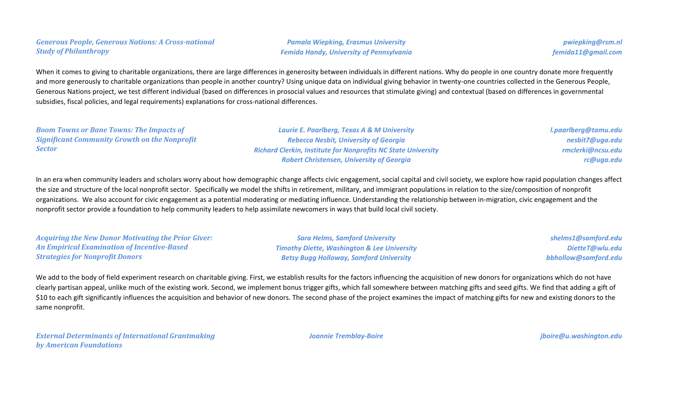#### *Generous People, Generous Nations: A Cross-national Study of Philanthropy*

*Pamala Wiepking, Erasmus University Femida Handy, University of Pennsylvania*

*pwiepking@rsm.nl femida11@gmail.com*

When it comes to giving to charitable organizations, there are large differences in generosity between individuals in different nations. Why do people in one country donate more frequently and more generously to charitable organizations than people in another country? Using unique data on individual giving behavior in twenty-one countries collected in the Generous People, Generous Nations project, we test different individual (based on differences in prosocial values and resources that stimulate giving) and contextual (based on differences in governmental subsidies, fiscal policies, and legal requirements) explanations for cross-national differences.

| <b>Boom Towns or Bane Towns: The Impacts of</b>      | Laurie E. Paarlberg, Texas A & M University                          | I.paarlberg@tamu.edu |
|------------------------------------------------------|----------------------------------------------------------------------|----------------------|
| <b>Significant Community Growth on the Nonprofit</b> | <b>Rebecca Nesbit, University of Georgia</b>                         | nesbit7@uga.edu      |
| <b>Sector</b>                                        | <b>Richard Clerkin, Institute for Nonprofits NC State University</b> | rmclerki@ncsu.edu    |
|                                                      | <b>Robert Christensen, University of Georgia</b>                     | rc@uga.edu           |
|                                                      |                                                                      |                      |

In an era when community leaders and scholars worry about how demographic change affects civic engagement, social capital and civil society, we explore how rapid population changes affect the size and structure of the local nonprofit sector. Specifically we model the shifts in retirement, military, and immigrant populations in relation to the size/composition of nonprofit organizations. We also account for civic engagement as a potential moderating or mediating influence. Understanding the relationship between in-migration, civic engagement and the nonprofit sector provide a foundation to help community leaders to help assimilate newcomers in ways that build local civil society.

*Acquiring the New Donor Motivating the Prior Giver: An Empirical Examination of Incentive-Based Strategies for Nonprofit Donors*

*Sara Helms, Samford University Timothy Diette, Washington & Lee University Betsy Bugg Holloway, Samford University*

*shelms1@samford.edu DietteT@wlu.edu bbhollow@samford.edu*

We add to the body of field experiment research on charitable giving. First, we establish results for the factors influencing the acquisition of new donors for organizations which do not have clearly partisan appeal, unlike much of the existing work. Second, we implement bonus trigger gifts, which fall somewhere between matching gifts and seed gifts. We find that adding a gift of \$10 to each gift significantly influences the acquisition and behavior of new donors. The second phase of the project examines the impact of matching gifts for new and existing donors to the same nonprofit.

*External Determinants of International Grantmaking by American Foundations*

*Joannie Tremblay-Boire jboire@u.washington.edu*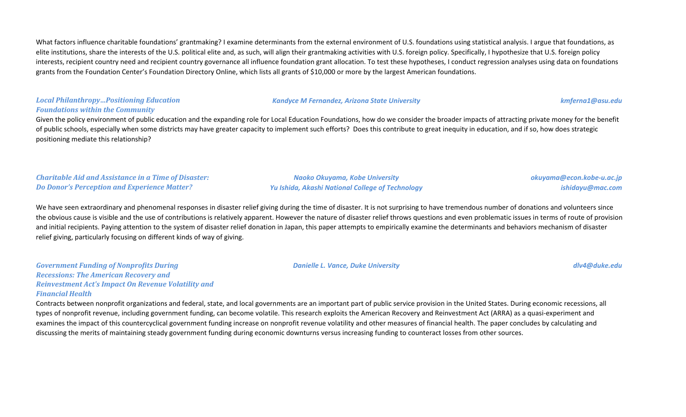What factors influence charitable foundations' grantmaking? I examine determinants from the external environment of U.S. foundations using statistical analysis. I argue that foundations, as elite institutions, share the interests of the U.S. political elite and, as such, will align their grantmaking activities with U.S. foreign policy. Specifically, I hypothesize that U.S. foreign policy interests, recipient country need and recipient country governance all influence foundation grant allocation. To test these hypotheses, I conduct regression analyses using data on foundations grants from the Foundation Center's Foundation Directory Online, which lists all grants of \$10,000 or more by the largest American foundations.

#### *Local Philanthropy…Positioning Education Foundations within the Community*

*Kandyce M Fernandez, Arizona State University kmferna1@asu.edu*

Given the policy environment of public education and the expanding role for Local Education Foundations, how do we consider the broader impacts of attracting private money for the benefit of public schools, especially when some districts may have greater capacity to implement such efforts? Does this contribute to great inequity in education, and if so, how does strategic positioning mediate this relationship?

#### *Charitable Aid and Assistance in a Time of Disaster: Do Donor's Perception and Experience Matter?*

*Naoko Okuyama, Kobe University Yu Ishida, Akashi National College of Technology* *okuyama@econ.kobe-u.ac.jp ishidayu@mac.com*

We have seen extraordinary and phenomenal responses in disaster relief giving during the time of disaster. It is not surprising to have tremendous number of donations and volunteers since the obvious cause is visible and the use of contributions is relatively apparent. However the nature of disaster relief throws questions and even problematic issues in terms of route of provision and initial recipients. Paying attention to the system of disaster relief donation in Japan, this paper attempts to empirically examine the determinants and behaviors mechanism of disaster relief giving, particularly focusing on different kinds of way of giving.

*Government Funding of Nonprofits During Recessions: The American Recovery and Reinvestment Act's Impact On Revenue Volatility and Financial Health*

Contracts between nonprofit organizations and federal, state, and local governments are an important part of public service provision in the United States. During economic recessions, all types of nonprofit revenue, including government funding, can become volatile. This research exploits the American Recovery and Reinvestment Act (ARRA) as a quasi-experiment and examines the impact of this countercyclical government funding increase on nonprofit revenue volatility and other measures of financial health. The paper concludes by calculating and discussing the merits of maintaining steady government funding during economic downturns versus increasing funding to counteract losses from other sources.

*Danielle L. Vance, Duke University dlv4@duke.edu*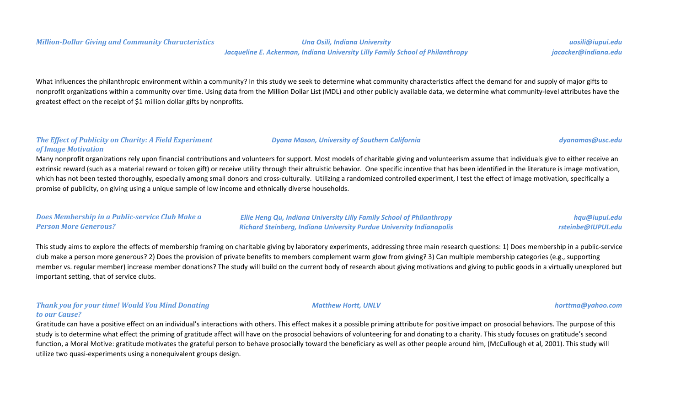#### *Million-Dollar Giving and Community Characteristics Una Osili, Indiana University*

What influences the philanthropic environment within a community? In this study we seek to determine what community characteristics affect the demand for and supply of major gifts to nonprofit organizations within a community over time. Using data from the Million Dollar List (MDL) and other publicly available data, we determine what community-level attributes have the greatest effect on the receipt of \$1 million dollar gifts by nonprofits.

#### *The Effect of Publicity on Charity: A Field Experiment of Image Motivation*

Many nonprofit organizations rely upon financial contributions and volunteers for support. Most models of charitable giving and volunteerism assume that individuals give to either receive an extrinsic reward (such as a material reward or token gift) or receive utility through their altruistic behavior. One specific incentive that has been identified in the literature is image motivation, which has not been tested thoroughly, especially among small donors and cross-culturally. Utilizing a randomized controlled experiment, I test the effect of image motivation, specifically a promise of publicity, on giving using a unique sample of low income and ethnically diverse households.

| Does Membership in a Public-service Club Make a | <b>Ellie Heng Qu, Indiana University Lilly Family School of Philanthropy</b> | hqu@iupui.edu      |
|-------------------------------------------------|------------------------------------------------------------------------------|--------------------|
| <b>Person More Generous?</b>                    | <b>Richard Steinberg, Indiana University Purdue University Indianapolis</b>  | rsteinbe@IUPUI.edu |

This study aims to explore the effects of membership framing on charitable giving by laboratory experiments, addressing three main research questions: 1) Does membership in a public-service club make a person more generous? 2) Does the provision of private benefits to members complement warm glow from giving? 3) Can multiple membership categories (e.g., supporting member vs. regular member) increase member donations? The study will build on the current body of research about giving motivations and giving to public goods in a virtually unexplored but important setting, that of service clubs.

## *Thank you for your time! Would You Mind Donating to our Cause?*

Gratitude can have a positive effect on an individual's interactions with others. This effect makes it a possible priming attribute for positive impact on prosocial behaviors. The purpose of this study is to determine what effect the priming of gratitude affect will have on the prosocial behaviors of volunteering for and donating to a charity. This study focuses on gratitude's second function, a Moral Motive: gratitude motivates the grateful person to behave prosocially toward the beneficiary as well as other people around him, (McCullough et al, 2001). This study will utilize two quasi-experiments using a nonequivalent groups design.



*Dyana Mason, University of Southern California dyanamas@usc.edu*

*Matthew Hortt, UNLV horttma@yahoo.com*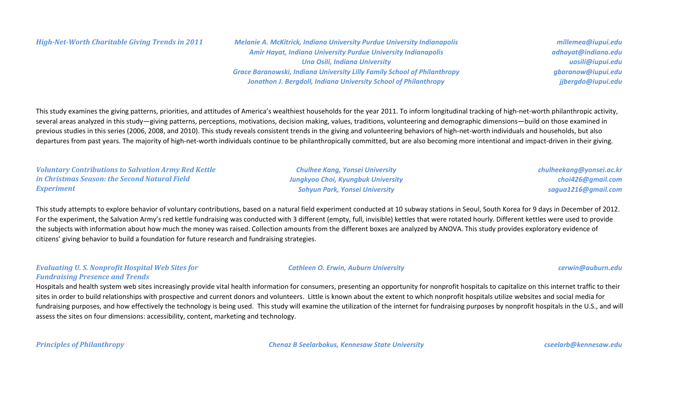*High-Net-Worth Charitable Giving Trends in 2011 Melanie A. McKitrick, Indiana University Purdue University Indianapolis Amir Hayat, Indiana University Purdue University Indianapolis Una Osili, Indiana University Grace Baranowski, Indiana University Lilly Family School of Philanthropy Jonathon J. Bergdoll, Indiana University School of Philanthropy*

*millemea@iupui.edu adhayat@indiana.edu uosili@iupui.edu gbaranow@iupui.edu jjbergdo@iupui.edu*

This study examines the giving patterns, priorities, and attitudes of America's wealthiest households for the year 2011. To inform longitudinal tracking of high-net-worth philanthropic activity, several areas analyzed in this study—giving patterns, perceptions, motivations, decision making, values, traditions, volunteering and demographic dimensions—build on those examined in previous studies in this series (2006, 2008, and 2010). This study reveals consistent trends in the giving and volunteering behaviors of high-net-worth individuals and households, but also departures from past years. The majority of high-net-worth individuals continue to be philanthropically committed, but are also becoming more intentional and impact-driven in their giving.

*Voluntary Contributions to Salvation Army Red Kettle in Christmas Season: the Second Natural Field Experiment*

*Chulhee Kang, Yonsei University Jungkyoo Choi, Kyungbuk University Sohyun Park, Yonsei University*

*chulheekang@yonsei.ac.kr choi426@gmail.com sagua1216@gmail.com*

This study attempts to explore behavior of voluntary contributions, based on a natural field experiment conducted at 10 subway stations in Seoul, South Korea for 9 days in December of 2012. For the experiment, the Salvation Army's red kettle fundraising was conducted with 3 different (empty, full, invisible) kettles that were rotated hourly. Different kettles were used to provide the subjects with information about how much the money was raised. Collection amounts from the different boxes are analyzed by ANOVA. This study provides exploratory evidence of citizens' giving behavior to build a foundation for future research and fundraising strategies.

*Evaluating U. S. Nonprofit Hospital Web Sites for Fundraising Presence and Trends*

Hospitals and health system web sites increasingly provide vital health information for consumers, presenting an opportunity for nonprofit hospitals to capitalize on this internet traffic to their sites in order to build relationships with prospective and current donors and volunteers. Little is known about the extent to which nonprofit hospitals utilize websites and social media for fundraising purposes, and how effectively the technology is being used. This study will examine the utilization of the internet for fundraising purposes by nonprofit hospitals in the U.S., and will assess the sites on four dimensions: accessibility, content, marketing and technology.

*Principles of Philanthropy Chenaz B Seelarbokus, Kennesaw State University cseelarb@kennesaw.edu*

*Cathleen O. Erwin, Auburn University cerwin@auburn.edu*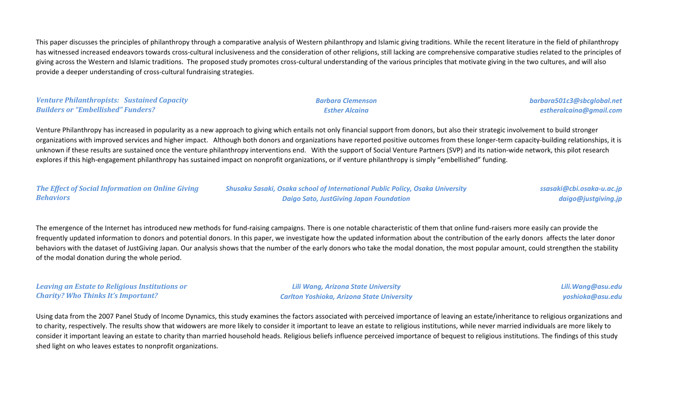This paper discusses the principles of philanthropy through a comparative analysis of Western philanthropy and Islamic giving traditions. While the recent literature in the field of philanthropy has witnessed increased endeavors towards cross-cultural inclusiveness and the consideration of other religions, still lacking are comprehensive comparative studies related to the principles of giving across the Western and Islamic traditions. The proposed study promotes cross-cultural understanding of the various principles that motivate giving in the two cultures, and will also provide a deeper understanding of cross-cultural fundraising strategies.

| <b>Venture Philanthropists: Sustained Capacity</b> |  |
|----------------------------------------------------|--|
| <b>Builders or "Embellished" Funders?</b>          |  |

*Barbara Clemenson Esther Alcaina*

*barbara501c3@sbcglobal.net estheralcaina@gmail.com*

Venture Philanthropy has increased in popularity as a new approach to giving which entails not only financial support from donors, but also their strategic involvement to build stronger organizations with improved services and higher impact. Although both donors and organizations have reported positive outcomes from these longer-term capacity-building relationships, it is unknown if these results are sustained once the venture philanthropy interventions end. With the support of Social Venture Partners (SVP) and its nation-wide network, this pilot research explores if this high-engagement philanthropy has sustained impact on nonprofit organizations, or if venture philanthropy is simply "embellished" funding.

*The Effect of Social Information on Online Giving Behaviors*

*Shusaku Sasaki, Osaka school of International Public Policy, Osaka University Daigo Sato, JustGiving Japan Foundation*

*ssasaki@cbi.osaka-u.ac.jp daigo@justgiving.jp*

The emergence of the Internet has introduced new methods for fund-raising campaigns. There is one notable characteristic of them that online fund-raisers more easily can provide the frequently updated information to donors and potential donors. In this paper, we investigate how the updated information about the contribution of the early donors affects the later donor behaviors with the dataset of JustGiving Japan. Our analysis shows that the number of the early donors who take the modal donation, the most popular amount, could strengthen the stability of the modal donation during the whole period.

*Leaving an Estate to Religious Institutions or Charity? Who Thinks It's Important?*

*Lili Wang, Arizona State University Carlton Yoshioka, Arizona State University* *Lili.Wang@asu.edu yoshioka@asu.edu*

Using data from the 2007 Panel Study of Income Dynamics, this study examines the factors associated with perceived importance of leaving an estate/inheritance to religious organizations and to charity, respectively. The results show that widowers are more likely to consider it important to leave an estate to religious institutions, while never married individuals are more likely to consider it important leaving an estate to charity than married household heads. Religious beliefs influence perceived importance of bequest to religious institutions. The findings of this study shed light on who leaves estates to nonprofit organizations.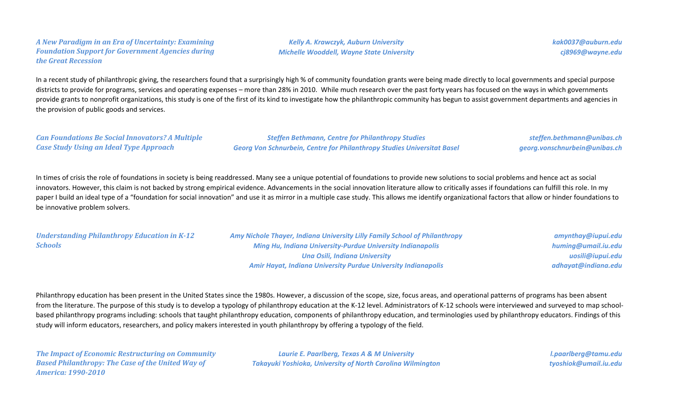#### *A New Paradigm in an Era of Uncertainty: Examining Foundation Support for Government Agencies during the Great Recession*

*Kelly A. Krawczyk, Auburn University Michelle Wooddell, Wayne State University* *kak0037@auburn.edu cj8969@wayne.edu*

In a recent study of philanthropic giving, the researchers found that a surprisingly high % of community foundation grants were being made directly to local governments and special purpose districts to provide for programs, services and operating expenses – more than 28% in 2010. While much research over the past forty years has focused on the ways in which governments provide grants to nonprofit organizations, this study is one of the first of its kind to investigate how the philanthropic community has begun to assist government departments and agencies in the provision of public goods and services.

*Can Foundations Be Social Innovators? A Multiple Case Study Using an Ideal Type Approach*

*Schools*

*Steffen Bethmann, Centre for Philanthropy Studies Georg Von Schnurbein, Centre for Philanthropy Studies Universitat Basel*

*steffen.bethmann@unibas.ch georg.vonschnurbein@unibas.ch*

In times of crisis the role of foundations in society is being readdressed. Many see a unique potential of foundations to provide new solutions to social problems and hence act as social innovators. However, this claim is not backed by strong empirical evidence. Advancements in the social innovation literature allow to critically asses if foundations can fulfill this role. In my paper I build an ideal type of a "foundation for social innovation" and use it as mirror in a multiple case study. This allows me identify organizational factors that allow or hinder foundations to be innovative problem solvers.

*Understanding Philanthropy Education in K-12 Amy Nichole Thayer, Indiana University Lilly Family School of Philanthropy Ming Hu, Indiana University-Purdue University Indianapolis Una Osili, Indiana University Amir Hayat, Indiana University Purdue University Indianapolis amynthay@iupui.edu huming@umail.iu.edu uosili@iupui.edu adhayat@indiana.edu*

Philanthropy education has been present in the United States since the 1980s. However, a discussion of the scope, size, focus areas, and operational patterns of programs has been absent from the literature. The purpose of this study is to develop a typology of philanthropy education at the K-12 level. Administrators of K-12 schools were interviewed and surveyed to map schoolbased philanthropy programs including: schools that taught philanthropy education, components of philanthropy education, and terminologies used by philanthropy educators. Findings of this study will inform educators, researchers, and policy makers interested in youth philanthropy by offering a typology of the field.

*The Impact of Economic Restructuring on Community Based Philanthropy: The Case of the United Way of America: 1990-2010*

*Laurie E. Paarlberg, Texas A & M University Takayuki Yoshioka, University of North Carolina Wilmington*

*l.paarlberg@tamu.edu tyoshiok@umail.iu.edu*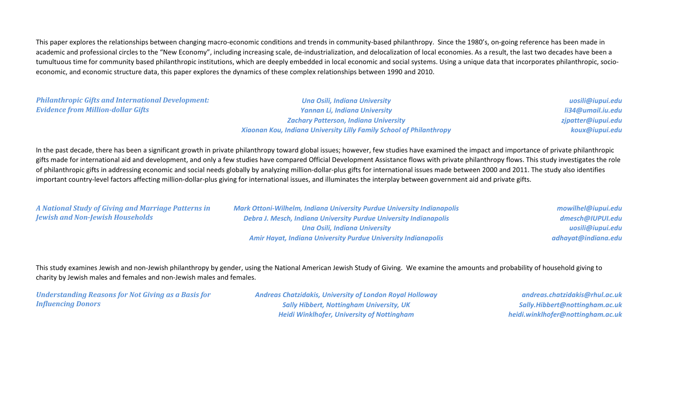This paper explores the relationships between changing macro-economic conditions and trends in community-based philanthropy. Since the 1980's, on-going reference has been made in academic and professional circles to the "New Economy", including increasing scale, de-industrialization, and delocalization of local economies. As a result, the last two decades have been a tumultuous time for community based philanthropic institutions, which are deeply embedded in local economic and social systems. Using a unique data that incorporates philanthropic, socioeconomic, and economic structure data, this paper explores the dynamics of these complex relationships between 1990 and 2010.

*Philanthropic Gifts and International Development: Evidence from Million-dollar Gifts*

*Una Osili, Indiana University Yannan Li, Indiana University Zachary Patterson, Indiana University Xiaonan Kou, Indiana University Lilly Family School of Philanthropy*

*uosili@iupui.edu li34@umail.iu.edu zjpatter@iupui.edu koux@iupui.edu*

In the past decade, there has been a significant growth in private philanthropy toward global issues; however, few studies have examined the impact and importance of private philanthropic gifts made for international aid and development, and only a few studies have compared Official Development Assistance flows with private philanthropy flows. This study investigates the role of philanthropic gifts in addressing economic and social needs globally by analyzing million-dollar-plus gifts for international issues made between 2000 and 2011. The study also identifies important country-level factors affecting million-dollar-plus giving for international issues, and illuminates the interplay between government aid and private gifts.

*A National Study of Giving and Marriage Patterns in Jewish and Non-Jewish Households*

*Mark Ottoni-Wilhelm, Indiana University Purdue University Indianapolis Debra J. Mesch, Indiana University Purdue University Indianapolis Una Osili, Indiana University Amir Hayat, Indiana University Purdue University Indianapolis*

*mowilhel@iupui.edu dmesch@IUPUI.edu uosili@iupui.edu adhayat@indiana.edu*

This study examines Jewish and non-Jewish philanthropy by gender, using the National American Jewish Study of Giving. We examine the amounts and probability of household giving to charity by Jewish males and females and non-Jewish males and females.

*Understanding Reasons for Not Giving as a Basis for Influencing Donors*

*Andreas Chatzidakis, University of London Royal Holloway Sally Hibbert, Nottingham University, UK Heidi Winklhofer, University of Nottingham*

*andreas.chatzidakis@rhul.ac.uk Sally.Hibbert@nottingham.ac.uk heidi.winklhofer@nottingham.ac.uk*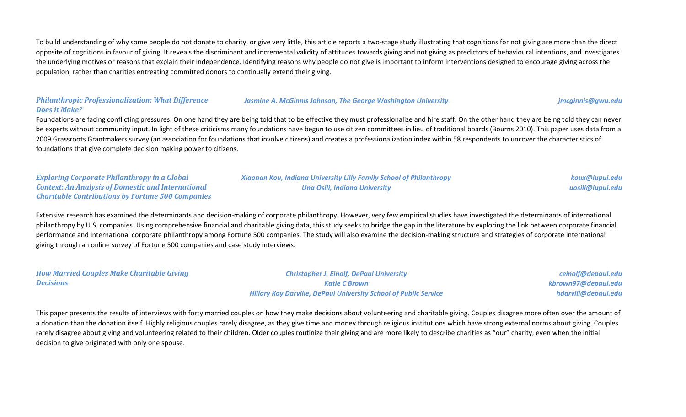To build understanding of why some people do not donate to charity, or give very little, this article reports a two-stage study illustrating that cognitions for not giving are more than the direct opposite of cognitions in favour of giving. It reveals the discriminant and incremental validity of attitudes towards giving and not giving as predictors of behavioural intentions, and investigates the underlying motives or reasons that explain their independence. Identifying reasons why people do not give is important to inform interventions designed to encourage giving across the population, rather than charities entreating committed donors to continually extend their giving.

### *Philanthropic Professionalization: What Difference Does it Make?*

#### *Jasmine A. McGinnis Johnson, The George Washington University jmcginnis@gwu.edu*

Foundations are facing conflicting pressures. On one hand they are being told that to be effective they must professionalize and hire staff. On the other hand they are being told they can never be experts without community input. In light of these criticisms many foundations have begun to use citizen committees in lieu of traditional boards (Bourns 2010). This paper uses data from a 2009 Grassroots Grantmakers survey (an association for foundations that involve citizens) and creates a professionalization index within 58 respondents to uncover the characteristics of foundations that give complete decision making power to citizens.

*Exploring Corporate Philanthropy in a Global Context: An Analysis of Domestic and International Charitable Contributions by Fortune 500 Companies*

*Xiaonan Kou, Indiana University Lilly Family School of Philanthropy Una Osili, Indiana University*

*koux@iupui.edu uosili@iupui.edu*

Extensive research has examined the determinants and decision-making of corporate philanthropy. However, very few empirical studies have investigated the determinants of international philanthropy by U.S. companies. Using comprehensive financial and charitable giving data, this study seeks to bridge the gap in the literature by exploring the link between corporate financial performance and international corporate philanthropy among Fortune 500 companies. The study will also examine the decision-making structure and strategies of corporate international giving through an online survey of Fortune 500 companies and case study interviews.

*How Married Couples Make Charitable Giving Decisions Christopher J. Einolf, DePaul University Katie C Brown Hillary Kay Darville, DePaul University School of Public Service ceinolf@depaul.edu kbrown97@depaul.edu hdarvill@depaul.edu*

This paper presents the results of interviews with forty married couples on how they make decisions about volunteering and charitable giving. Couples disagree more often over the amount of a donation than the donation itself. Highly religious couples rarely disagree, as they give time and money through religious institutions which have strong external norms about giving. Couples rarely disagree about giving and volunteering related to their children. Older couples routinize their giving and are more likely to describe charities as "our" charity, even when the initial decision to give originated with only one spouse.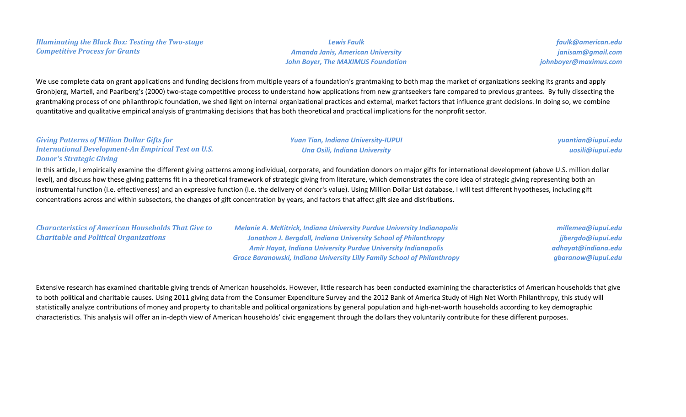*Lewis Faulk Amanda Janis, American University John Boyer, The MAXIMUS Foundation*

*faulk@american.edu janisam@gmail.com johnboyer@maximus.com*

We use complete data on grant applications and funding decisions from multiple years of a foundation's grantmaking to both map the market of organizations seeking its grants and apply Gronbjerg, Martell, and Paarlberg's (2000) two-stage competitive process to understand how applications from new grantseekers fare compared to previous grantees. By fully dissecting the grantmaking process of one philanthropic foundation, we shed light on internal organizational practices and external, market factors that influence grant decisions. In doing so, we combine quantitative and qualitative empirical analysis of grantmaking decisions that has both theoretical and practical implications for the nonprofit sector.

### *Giving Patterns of Million Dollar Gifts for International Development-An Empirical Test on U.S. Donor's Strategic Giving*

*Yuan Tian, Indiana University-IUPUI Una Osili, Indiana University*

*yuantian@iupui.edu uosili@iupui.edu*

In this article, I empirically examine the different giving patterns among individual, corporate, and foundation donors on major gifts for international development (above U.S. million dollar level), and discuss how these giving patterns fit in a theoretical framework of strategic giving from literature, which demonstrates the core idea of strategic giving representing both an instrumental function (i.e. effectiveness) and an expressive function (i.e. the delivery of donor's value). Using Million Dollar List database, I will test different hypotheses, including gift concentrations across and within subsectors, the changes of gift concentration by years, and factors that affect gift size and distributions.

*Characteristics of American Households That Give to Charitable and Political Organizations*

*Melanie A. McKitrick, Indiana University Purdue University Indianapolis Jonathon J. Bergdoll, Indiana University School of Philanthropy Amir Hayat, Indiana University Purdue University Indianapolis Grace Baranowski, Indiana University Lilly Family School of Philanthropy*

*millemea@iupui.edu jjbergdo@iupui.edu adhayat@indiana.edu gbaranow@iupui.edu*

Extensive research has examined charitable giving trends of American households. However, little research has been conducted examining the characteristics of American households that give to both political and charitable causes. Using 2011 giving data from the Consumer Expenditure Survey and the 2012 Bank of America Study of High Net Worth Philanthropy, this study will statistically analyze contributions of money and property to charitable and political organizations by general population and high-net-worth households according to key demographic characteristics. This analysis will offer an in-depth view of American households' civic engagement through the dollars they voluntarily contribute for these different purposes.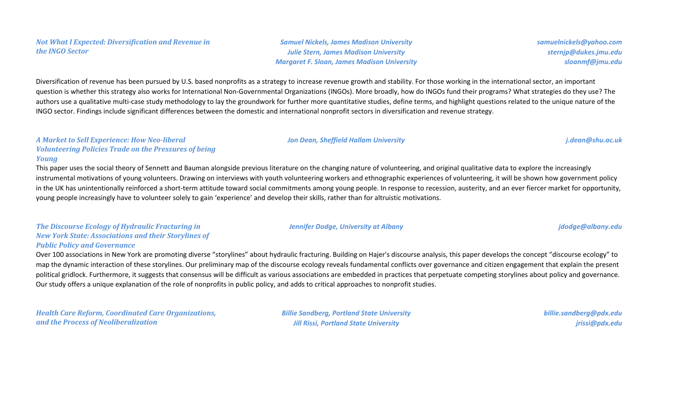*Not What I Expected: Diversification and Revenue in the INGO Sector*

Diversification of revenue has been pursued by U.S. based nonprofits as a strategy to increase revenue growth and stability. For those working in the international sector, an important question is whether this strategy also works for International Non-Governmental Organizations (INGOs). More broadly, how do INGOs fund their programs? What strategies do they use? The authors use a qualitative multi-case study methodology to lay the groundwork for further more quantitative studies, define terms, and highlight questions related to the unique nature of the INGO sector. Findings include significant differences between the domestic and international nonprofit sectors in diversification and revenue strategy.

#### *A Market to Sell Experience: How Neo-liberal Volunteering Policies Trade on the Pressures of being Young*

This paper uses the social theory of Sennett and Bauman alongside previous literature on the changing nature of volunteering, and original qualitative data to explore the increasingly instrumental motivations of young volunteers. Drawing on interviews with youth volunteering workers and ethnographic experiences of volunteering, it will be shown how government policy in the UK has unintentionally reinforced a short-term attitude toward social commitments among young people. In response to recession, austerity, and an ever fiercer market for opportunity, young people increasingly have to volunteer solely to gain 'experience' and develop their skills, rather than for altruistic motivations.

## *The Discourse Ecology of Hydraulic Fracturing in New York State: Associations and their Storylines of Public Policy and Governance*

Over 100 associations in New York are promoting diverse "storylines" about hydraulic fracturing. Building on Hajer's discourse analysis, this paper develops the concept "discourse ecology" to map the dynamic interaction of these storylines. Our preliminary map of the discourse ecology reveals fundamental conflicts over governance and citizen engagement that explain the present political gridlock. Furthermore, it suggests that consensus will be difficult as various associations are embedded in practices that perpetuate competing storylines about policy and governance. Our study offers a unique explanation of the role of nonprofits in public policy, and adds to critical approaches to nonprofit studies.

*Health Care Reform, Coordinated Care Organizations, and the Process of Neoliberalization*

*Billie Sandberg, Portland State University Jill Rissi, Portland State University*

*billie.sandberg@pdx.edu jrissi@pdx.edu*

### *samuelnickels@yahoo.com sternjp@dukes.jmu.edu sloanmf@jmu.edu*

*Jon Dean, Sheffield Hallam University j.dean@shu.ac.uk*

*Samuel Nickels, James Madison University Julie Stern, James Madison University Margaret F. Sloan, James Madison University*

*Jennifer Dodge, University at Albany jdodge@albany.edu*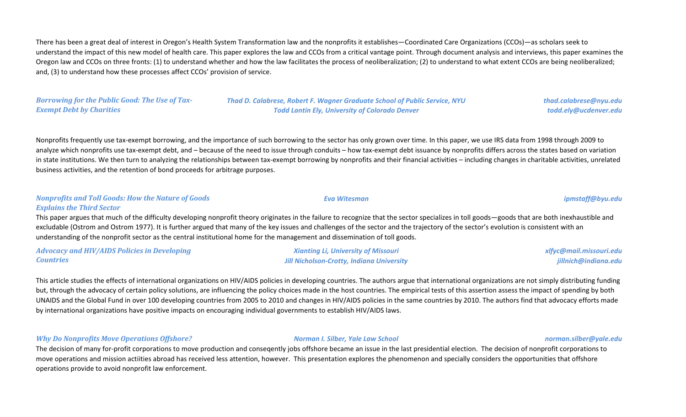There has been a great deal of interest in Oregon's Health System Transformation law and the nonprofits it establishes—Coordinated Care Organizations (CCOs)—as scholars seek to understand the impact of this new model of health care. This paper explores the law and CCOs from a critical vantage point. Through document analysis and interviews, this paper examines the Oregon law and CCOs on three fronts: (1) to understand whether and how the law facilitates the process of neoliberalization; (2) to understand to what extent CCOs are being neoliberalized; and, (3) to understand how these processes affect CCOs' provision of service.

### *Borrowing for the Public Good: The Use of Tax-Exempt Debt by Charities*

*Thad D. Calabrese, Robert F. Wagner Graduate School of Public Service, NYU Todd Lantin Ely, University of Colorado Denver*

Nonprofits frequently use tax-exempt borrowing, and the importance of such borrowing to the sector has only grown over time. In this paper, we use IRS data from 1998 through 2009 to analyze which nonprofits use tax-exempt debt, and – because of the need to issue through conduits – how tax-exempt debt issuance by nonprofits differs across the states based on variation in state institutions. We then turn to analyzing the relationships between tax-exempt borrowing by nonprofits and their financial activities – including changes in charitable activities, unrelated business activities, and the retention of bond proceeds for arbitrage purposes.

#### *Nonprofits and Toll Goods: How the Nature of Goods*

*Explains the Third Sector*

This paper argues that much of the difficulty developing nonprofit theory originates in the failure to recognize that the sector specializes in toll goods—goods that are both inexhaustible and excludable (Ostrom and Ostrom 1977). It is further argued that many of the key issues and challenges of the sector and the trajectory of the sector's evolution is consistent with an understanding of the nonprofit sector as the central institutional home for the management and dissemination of toll goods.

*Advocacy and HIV/AIDS Policies in Developing Countries Xianting Li, University of Missouri Jill Nicholson-Crotty, Indiana University xlfyc@mail.missouri.edu jillnich@indiana.edu*

This article studies the effects of international organizations on HIV/AIDS policies in developing countries. The authors argue that international organizations are not simply distributing funding but, through the advocacy of certain policy solutions, are influencing the policy choices made in the host countries. The empirical tests of this assertion assess the impact of spending by both UNAIDS and the Global Fund in over 100 developing countries from 2005 to 2010 and changes in HIV/AIDS policies in the same countries by 2010. The authors find that advocacy efforts made by international organizations have positive impacts on encouraging individual governments to establish HIV/AIDS laws.

*Why Do Nonprofits Move Operations Offshore? Norman I. Silber, Yale Law School norman.silber@yale.edu*

The decision of many for-profit corporations to move production and conseqently jobs offshore became an issue in the last presidential election. The decision of nonprofit corporations to move operations and mission actiities abroad has received less attention, however. This presentation explores the phenomenon and specially considers the opportunities that offshore operations provide to avoid nonprofit law enforcement.

*Eva Witesman ipmstaff@byu.edu*

*thad.calabrese@nyu.edu todd.ely@ucdenver.edu*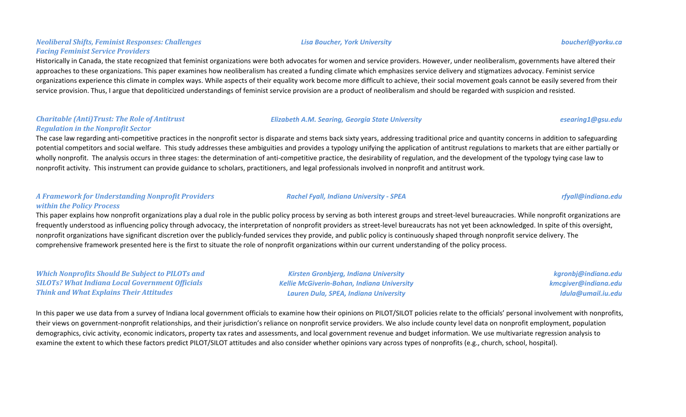### *Neoliberal Shifts, Feminist Responses: Challenges Facing Feminist Service Providers*

Historically in Canada, the state recognized that feminist organizations were both advocates for women and service providers. However, under neoliberalism, governments have altered their approaches to these organizations. This paper examines how neoliberalism has created a funding climate which emphasizes service delivery and stigmatizes advocacy. Feminist service organizations experience this climate in complex ways. While aspects of their equality work become more difficult to achieve, their social movement goals cannot be easily severed from their service provision. Thus, I argue that depoliticized understandings of feminist service provision are a product of neoliberalism and should be regarded with suspicion and resisted.

#### *Charitable (Anti)Trust: The Role of Antitrust Regulation in the Nonprofit Sector*

The case law regarding anti-competitive practices in the nonprofit sector is disparate and stems back sixty years, addressing traditional price and quantity concerns in addition to safeguarding potential competitors and social welfare. This study addresses these ambiguities and provides a typology unifying the application of antitrust regulations to markets that are either partially or wholly nonprofit. The analysis occurs in three stages: the determination of anti-competitive practice, the desirability of regulation, and the development of the typology tying case law to nonprofit activity. This instrument can provide guidance to scholars, practitioners, and legal professionals involved in nonprofit and antitrust work.

*Elizabeth A.M. Searing, Georgia State University esearing1@gsu.edu*

### *A Framework for Understanding Nonprofit Providers within the Policy Process*

This paper explains how nonprofit organizations play a dual role in the public policy process by serving as both interest groups and street-level bureaucracies. While nonprofit organizations are frequently understood as influencing policy through advocacy, the interpretation of nonprofit providers as street-level bureaucrats has not yet been acknowledged. In spite of this oversight, nonprofit organizations have significant discretion over the publicly-funded services they provide, and public policy is continuously shaped through nonprofit service delivery. The comprehensive framework presented here is the first to situate the role of nonprofit organizations within our current understanding of the policy process.

*Which Nonprofits Should Be Subject to PILOTs and SILOTs? What Indiana Local Government Officials Think and What Explains Their Attitudes*

*Kirsten Gronbjerg, Indiana University Kellie McGiverin-Bohan, Indiana University Lauren Dula, SPEA, Indiana University*

*kgronbj@indiana.edu kmcgiver@indiana.edu ldula@umail.iu.edu*

In this paper we use data from a survey of Indiana local government officials to examine how their opinions on PILOT/SILOT policies relate to the officials' personal involvement with nonprofits, their views on government-nonprofit relationships, and their jurisdiction's reliance on nonprofit service providers. We also include county level data on nonprofit employment, population demographics, civic activity, economic indicators, property tax rates and assessments, and local government revenue and budget information. We use multivariate regression analysis to examine the extent to which these factors predict PILOT/SILOT attitudes and also consider whether opinions vary across types of nonprofits (e.g., church, school, hospital).

#### *Lisa Boucher, York University boucherl@yorku.ca*

*Rachel Fyall, Indiana University - SPEA rfyall@indiana.edu*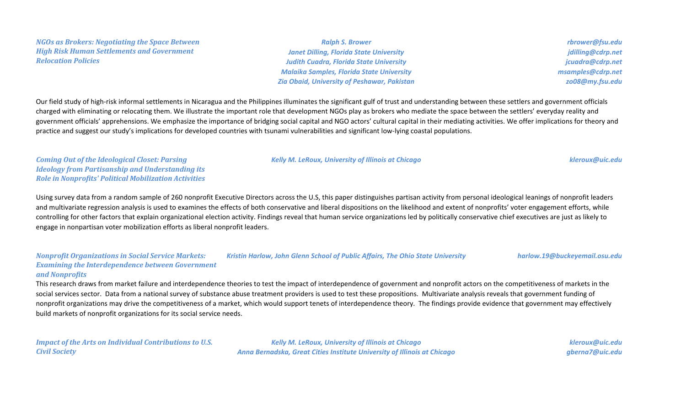*NGOs as Brokers: Negotiating the Space Between High Risk Human Settlements and Government Relocation Policies*

*Ralph S. Brower Janet Dilling, Florida State University Judith Cuadra, Florida State University Malaika Samples, Florida State University Zia Obaid, University of Peshawar, Pakistan*

*rbrower@fsu.edu jdilling@cdrp.net jcuadra@cdrp.net msamples@cdrp.net zo08@my.fsu.edu*

Our field study of high-risk informal settlements in Nicaragua and the Philippines illuminates the significant gulf of trust and understanding between these settlers and government officials charged with eliminating or relocating them. We illustrate the important role that development NGOs play as brokers who mediate the space between the settlers' everyday reality and government officials' apprehensions. We emphasize the importance of bridging social capital and NGO actors' cultural capital in their mediating activities. We offer implications for theory and practice and suggest our study's implications for developed countries with tsunami vulnerabilities and significant low-lying coastal populations.

*Coming Out of the Ideological Closet: Parsing Ideology from Partisanship and Understanding its Role in Nonprofits' Political Mobilization Activities*

Using survey data from a random sample of 260 nonprofit Executive Directors across the U.S, this paper distinguishes partisan activity from personal ideological leanings of nonprofit leaders and multivariate regression analysis is used to examines the effects of both conservative and liberal dispositions on the likelihood and extent of nonprofits' voter engagement efforts, while controlling for other factors that explain organizational election activity. Findings reveal that human service organizations led by politically conservative chief executives are just as likely to engage in nonpartisan voter mobilization efforts as liberal nonprofit leaders.

*Nonprofit Organizations in Social Service Markets: Examining the Interdependence between Government and Nonprofits Kristin Harlow, John Glenn School of Public Affairs, The Ohio State University harlow.19@buckeyemail.osu.edu*

This research draws from market failure and interdependence theories to test the impact of interdependence of government and nonprofit actors on the competitiveness of markets in the social services sector. Data from a national survey of substance abuse treatment providers is used to test these propositions. Multivariate analysis reveals that government funding of nonprofit organizations may drive the competitiveness of a market, which would support tenets of interdependence theory. The findings provide evidence that government may effectively build markets of nonprofit organizations for its social service needs.

*Impact of the Arts on Individual Contributions to U.S. Civil Society*

*Kelly M. LeRoux, University of Illinois at Chicago Anna Bernadska, Great Cities Institute University of Illinois at Chicago*

*kleroux@uic.edu gberna7@uic.edu*

## *Kelly M. LeRoux, University of Illinois at Chicago kleroux@uic.edu*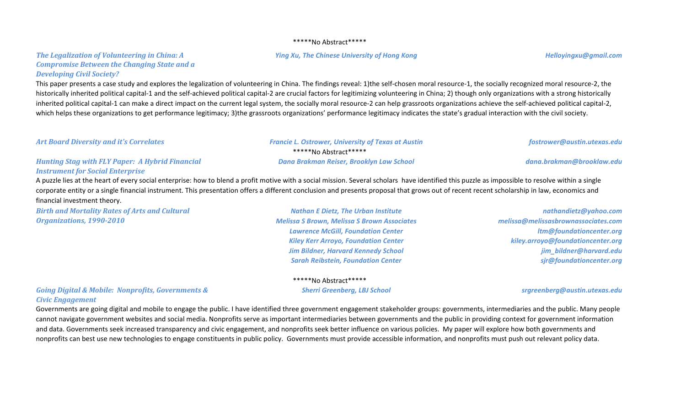#### \*\*\*\*\*No Abstract\*\*\*\*\*

#### *Ying Xu, The Chinese University of Hong Kong Helloyingxu@gmail.com*

### *The Legalization of Volunteering in China: A Compromise Between the Changing State and a Developing Civil Society?*

This paper presents a case study and explores the legalization of volunteering in China. The findings reveal: 1)the self-chosen moral resource-1, the socially recognized moral resource-2, the historically inherited political capital-1 and the self-achieved political capital-2 are crucial factors for legitimizing volunteering in China; 2) though only organizations with a strong historically inherited political capital-1 can make a direct impact on the current legal system, the socially moral resource-2 can help grassroots organizations achieve the self-achieved political capital-2, which helps these organizations to get performance legitimacy; 3)the grassroots organizations' performance legitimacy indicates the state's gradual interaction with the civil society.

| <b>Art Board Diversity and it's Correlates</b>                                                    | <b>Francie L. Ostrower, University of Texas at Austin</b>                                                                                                                                                                                                                                                                                                                                      | fostrower@austin.utexas.edu                                                                                                   |
|---------------------------------------------------------------------------------------------------|------------------------------------------------------------------------------------------------------------------------------------------------------------------------------------------------------------------------------------------------------------------------------------------------------------------------------------------------------------------------------------------------|-------------------------------------------------------------------------------------------------------------------------------|
|                                                                                                   | *****No Abstract*****                                                                                                                                                                                                                                                                                                                                                                          |                                                                                                                               |
| <b>Hunting Stag with FLY Paper: A Hybrid Financial</b><br><b>Instrument for Social Enterprise</b> | Dana Brakman Reiser, Brooklyn Law School                                                                                                                                                                                                                                                                                                                                                       | dana.brakman@brooklaw.edu                                                                                                     |
| financial investment theory.                                                                      | A puzzle lies at the heart of every social enterprise: how to blend a profit motive with a social mission. Several scholars have identified this puzzle as impossible to resolve within a single<br>corporate entity or a single financial instrument. This presentation offers a different conclusion and presents proposal that grows out of recent recent scholarship in law, economics and |                                                                                                                               |
| <b>Birth and Mortality Rates of Arts and Cultural</b><br>Organizations, 1990-2010                 | <b>Nathan E Dietz, The Urban Institute</b><br><b>Melissa S Brown, Melissa S Brown Associates</b><br><b>Lawrence McGill, Foundation Center</b><br><b>Kiley Kerr Arroyo, Foundation Center</b>                                                                                                                                                                                                   | nathandietz@yahoo.com<br>melissa@melissasbrownassociates.com<br>Itm@foundationcenter.org<br>kiley.arroyo@foundationcenter.org |

## *Going Digital & Mobile: Nonprofits, Governments & Civic Engagement*

Governments are going digital and mobile to engage the public. I have identified three government engagement stakeholder groups: governments, intermediaries and the public. Many people cannot navigate government websites and social media. Nonprofits serve as important intermediaries between governments and the public in providing context for government information and data. Governments seek increased transparency and civic engagement, and nonprofits seek better influence on various policies. My paper will explore how both governments and nonprofits can best use new technologies to engage constituents in public policy. Governments must provide accessible information, and nonprofits must push out relevant policy data.

# \*\*\*\*\*No Abstract\*\*\*\*\*

*Jim Bildner, Harvard Kennedy School Sarah Reibstein, Foundation Center*

#### *Sherri Greenberg, LBJ School srgreenberg@austin.utexas.edu*

*jim\_bildner@harvard.edu sjr@foundationcenter.org*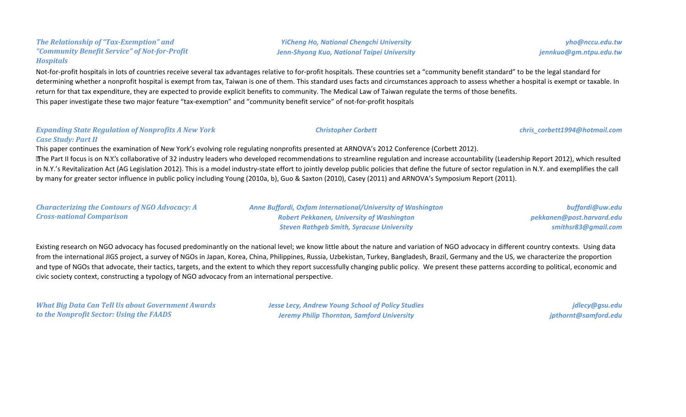#### *The Relationship of "Tax-Exemption" and "Community Benefit Service" of Not-for-Profit Hospitals*

Not-for-profit hospitals in lots of countries receive several tax advantages relative to for-profit hospitals. These countries set a "community benefit standard" to be the legal standard for determining whether a nonprofit hospital is exempt from tax, Taiwan is one of them. This standard uses facts and circumstances approach to assess whether a hospital is exempt or taxable. In return for that tax expenditure, they are expected to provide explicit benefits to community. The Medical Law of Taiwan regulate the terms of those benefits. This paper investigate these two major feature "tax-exemption" and "community benefit service" of not-for-profit hospitals

### *Expanding State Regulation of Nonprofits A New York Case Study: Part II*

*Characterizing the Contours of NGO Advocacy: A* 

This paper continues the examination of New York's evolving role regulating nonprofits presented at ARNOVA's 2012 Conference (Corbett 2012). The Part II focus is on N.Y.'s collaborative of 32 industry leaders who developed recommendations to streamline regulation and increase accountability (Leadership Report 2012), which resulted in N.Y.'s Revitalization Act (AG Legislation 2012). This is a model industry-state effort to jointly develop public policies that define the future of sector regulation in N.Y. and exemplifies the call by many for greater sector influence in public policy including Young (2010a, b), Guo & Saxton (2010), Casey (2011) and ARNOVA's Symposium Report (2011).

*Cross-national Comparison Robert Pekkanen, University of Washington Steven Rathgeb Smith, Syracuse University pekkanen@post.harvard.edu smithsr83@gmail.com* Existing research on NGO advocacy has focused predominantly on the national level; we know little about the nature and variation of NGO advocacy in different country contexts. Using data from the international JIGS project, a survey of NGOs in Japan, Korea, China, Philippines, Russia, Uzbekistan, Turkey, Bangladesh, Brazil, Germany and the US, we characterize the proportion

and type of NGOs that advocate, their tactics, targets, and the extent to which they report successfully changing public policy. We present these patterns according to political, economic and civic society context, constructing a typology of NGO advocacy from an international perspective.

*What Big Data Can Tell Us about Government Awards to the Nonprofit Sector: Using the FAADS*

*Jesse Lecy, Andrew Young School of Policy Studies Jeremy Philip Thornton, Samford University*

*jdlecy@gsu.edu jpthornt@samford.edu*

*yho@nccu.edu.tw jennkuo@gm.ntpu.edu.tw*

*Anne Buffardi, Oxfam International/University of Washington*

*buffardi@uw.edu*

*YiCheng Ho, National Chengchi University Jenn-Shyong Kuo, National Taipei University*

*Christopher Corbett chris\_corbett1994@hotmail.com*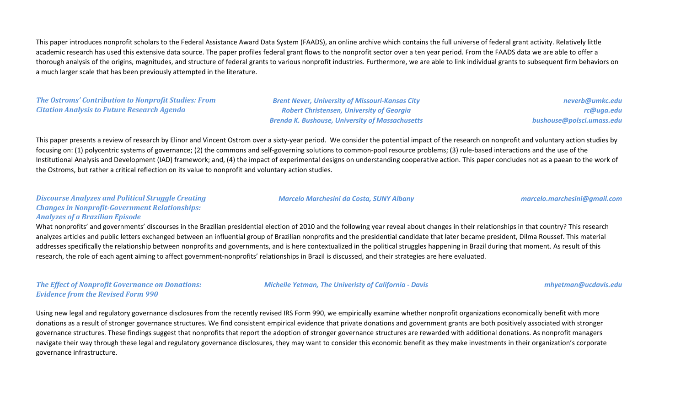This paper introduces nonprofit scholars to the Federal Assistance Award Data System (FAADS), an online archive which contains the full universe of federal grant activity. Relatively little academic research has used this extensive data source. The paper profiles federal grant flows to the nonprofit sector over a ten year period. From the FAADS data we are able to offer a thorough analysis of the origins, magnitudes, and structure of federal grants to various nonprofit industries. Furthermore, we are able to link individual grants to subsequent firm behaviors on a much larger scale that has been previously attempted in the literature.

### *The Ostroms' Contribution to Nonprofit Studies: From Citation Analysis to Future Research Agenda*

*Brent Never, University of Missouri-Kansas City Robert Christensen, University of Georgia Brenda K. Bushouse, University of Massachusetts*

*Marcelo Marchesini da Costa, SUNY Albany marcelo.marchesini@gmail.com*

*neverb@umkc.edu rc@uga.edu bushouse@polsci.umass.edu*

This paper presents a review of research by Elinor and Vincent Ostrom over a sixty-year period. We consider the potential impact of the research on nonprofit and voluntary action studies by focusing on: (1) polycentric systems of governance; (2) the commons and self-governing solutions to common-pool resource problems; (3) rule-based interactions and the use of the Institutional Analysis and Development (IAD) framework; and, (4) the impact of experimental designs on understanding cooperative action. This paper concludes not as a paean to the work of the Ostroms, but rather a critical reflection on its value to nonprofit and voluntary action studies.

*Discourse Analyzes and Political Struggle Creating Changes in Nonprofit-Government Relationships: Analyzes of a Brazilian Episode*

What nonprofits' and governments' discourses in the Brazilian presidential election of 2010 and the following year reveal about changes in their relationships in that country? This research analyzes articles and public letters exchanged between an influential group of Brazilian nonprofits and the presidential candidate that later became president, Dilma Roussef. This material addresses specifically the relationship between nonprofits and governments, and is here contextualized in the political struggles happening in Brazil during that moment. As result of this research, the role of each agent aiming to affect government-nonprofits' relationships in Brazil is discussed, and their strategies are here evaluated.

*The Effect of Nonprofit Governance on Donations: Evidence from the Revised Form 990*

*Michelle Yetman, The Univeristy of California - Davis mhyetman@ucdavis.edu*

Using new legal and regulatory governance disclosures from the recently revised IRS Form 990, we empirically examine whether nonprofit organizations economically benefit with more donations as a result of stronger governance structures. We find consistent empirical evidence that private donations and government grants are both positively associated with stronger governance structures. These findings suggest that nonprofits that report the adoption of stronger governance structures are rewarded with additional donations. As nonprofit managers navigate their way through these legal and regulatory governance disclosures, they may want to consider this economic benefit as they make investments in their organization's corporate governance infrastructure.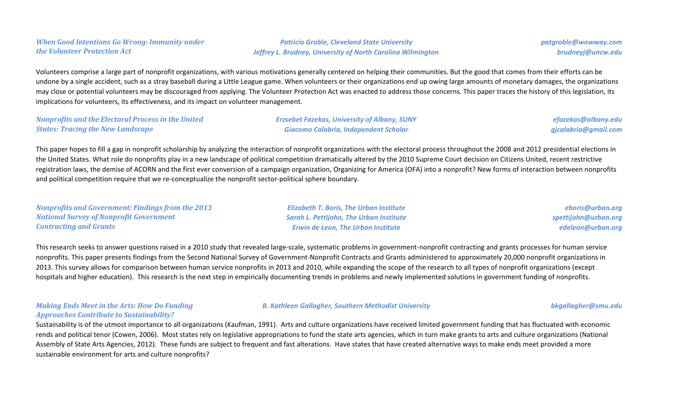### *When Good Intentions Go Wrong: Immunity under the Volunteer Protection Act*

*Patricia Groble, Cleveland State University Jeffrey L. Brudney, University of North Carolina Wilmington* *patgroble@wowway.com brudneyj@uncw.edu*

Volunteers comprise a large part of nonprofit organizations, with various motivations generally centered on helping their communities. But the good that comes from their efforts can be undone by a single accident, such as a stray baseball during a Little League game. When volunteers or their organizations end up owing large amounts of monetary damages, the organizations may close or potential volunteers may be discouraged from applying. The Volunteer Protection Act was enacted to address those concerns. This paper traces the history of this legislation, its implications for volunteers, its effectiveness, and its impact on volunteer management.

*Nonprofits and the Electoral Process in the United States: Tracing the New Landscape*

*Erzsebet Fazekas, University of Albany, SUNY Giacomo Calabria, Independent Scholar*

*efazekas@albany.edu gjcalabria@gmail.com*

This paper hopes to fill a gap in nonprofit scholarship by analyzing the interaction of nonprofit organizations with the electoral process throughout the 2008 and 2012 presidential elections in the United States. What role do nonprofits play in a new landscape of political competition dramatically altered by the 2010 Supreme Court decision on Citizens United, recent restrictive registration laws, the demise of ACORN and the first ever conversion of a campaign organization, Organizing for America (OFA) into a nonprofit? New forms of interaction between nonprofits and political competition require that we re-conceptualize the nonprofit sector-political sphere boundary.

*Nonprofits and Government: Findings from the 2013 National Survey of Nonprofit Government Contracting and Grants*

*Elizabeth T. Boris, The Urban Institute Sarah L. Pettijohn, The Urban Institute Erwin de Leon, The Urban Institute*

*eboris@urban.org spettijohn@urban.org edeleon@urban.org*

This research seeks to answer questions raised in a 2010 study that revealed large-scale, systematic problems in government-nonprofit contracting and grants processes for human service nonprofits. This paper presents findings from the Second National Survey of Government-Nonprofit Contracts and Grants administered to approximately 20,000 nonprofit organizations in 2013. This survey allows for comparison between human service nonprofits in 2013 and 2010, while expanding the scope of the research to all types of nonprofit organizations (except hospitals and higher education). This research is the next step in empirically documenting trends in problems and newly implemented solutions in government funding of nonprofits.

#### *Making Ends Meet in the Arts: How Do Funding Approaches Contribute to Sustainability?*

*B. Kathleen Gallagher, Southern Methodist University bkgallagher@smu.edu*

Sustainability is of the utmost importance to all organizations (Kaufman, 1991). Arts and culture organizations have received limited government funding that has fluctuated with economic rends and political tenor (Cowen, 2006). Most states rely on legislative appropriations to fund the state arts agencies, which in turn make grants to arts and culture organizations (National Assembly of State Arts Agencies, 2012). These funds are subject to frequent and fast alterations. Have states that have created alternative ways to make ends meet provided a more sustainable environment for arts and culture nonprofits?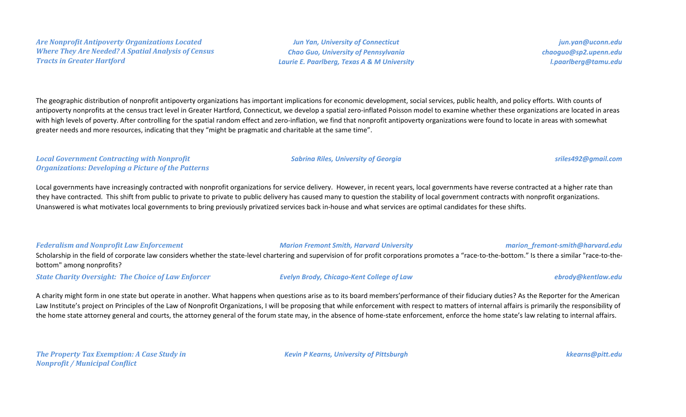*Are Nonprofit Antipoverty Organizations Located Where They Are Needed? A Spatial Analysis of Census Tracts in Greater Hartford*

*Jun Yan, University of Connecticut Chao Guo, University of Pennsylvania Laurie E. Paarlberg, Texas A & M University*

*jun.yan@uconn.edu chaoguo@sp2.upenn.edu l.paarlberg@tamu.edu*

The geographic distribution of nonprofit antipoverty organizations has important implications for economic development, social services, public health, and policy efforts. With counts of antipoverty nonprofits at the census tract level in Greater Hartford, Connecticut, we develop a spatial zero-inflated Poisson model to examine whether these organizations are located in areas with high levels of poverty. After controlling for the spatial random effect and zero-inflation, we find that nonprofit antipoverty organizations were found to locate in areas with somewhat greater needs and more resources, indicating that they "might be pragmatic and charitable at the same time".

*Local Government Contracting with Nonprofit Organizations: Developing a Picture of the Patterns*

Local governments have increasingly contracted with nonprofit organizations for service delivery. However, in recent years, local governments have reverse contracted at a higher rate than they have contracted. This shift from public to private to private to public delivery has caused many to question the stability of local government contracts with nonprofit organizations. Unanswered is what motivates local governments to bring previously privatized services back in-house and what services are optimal candidates for these shifts.

#### *Federalism and Nonprofit Law Enforcement Marion Fremont Smith, Harvard University marion\_fremont-smith@harvard.edu*

Scholarship in the field of corporate law considers whether the state-level chartering and supervision of for profit corporations promotes a "race-to-the-bottom." Is there a similar "race-to-thebottom" among nonprofits?

*State Charity Oversight: The Choice of Law Enforcer Evelyn Brody, Chicago-Kent College of Law ebrody@kentlaw.edu*

A charity might form in one state but operate in another. What happens when questions arise as to its board members'performance of their fiduciary duties? As the Reporter for the American Law Institute's project on Principles of the Law of Nonprofit Organizations, I will be proposing that while enforcement with respect to matters of internal affairs is primarily the responsibility of the home state attorney general and courts, the attorney general of the forum state may, in the absence of home-state enforcement, enforce the home state's law relating to internal affairs.

*The Property Tax Exemption: A Case Study in Nonprofit / Municipal Conflict*

*Kevin P Kearns, University of Pittsburgh kkearns@pitt.edu*

## *Sabrina Riles, University of Georgia sriles492@gmail.com*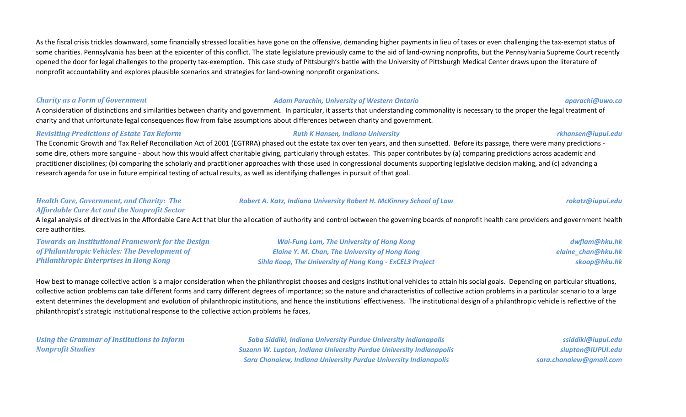As the fiscal crisis trickles downward, some financially stressed localities have gone on the offensive, demanding higher payments in lieu of taxes or even challenging the tax-exempt status of some charities. Pennsylvania has been at the epicenter of this conflict. The state legislature previously came to the aid of land-owning nonprofits, but the Pennsylvania Supreme Court recently opened the door for legal challenges to the property tax-exemption. This case study of Pittsburgh's battle with the University of Pittsburgh Medical Center draws upon the literature of nonprofit accountability and explores plausible scenarios and strategies for land-owning nonprofit organizations.

#### *Charity as a Form of Government Adam Parachin, University of Western Ontario aparachi@uwo.ca*

A consideration of distinctions and similarities between charity and government. In particular, it asserts that understanding commonality is necessary to the proper the legal treatment of charity and that unfortunate legal consequences flow from false assumptions about differences between charity and government.

#### *Revisiting Predictions of Estate Tax Reform Ruth K Hansen, Indiana University rkhansen@iupui.edu*

The Economic Growth and Tax Relief Reconciliation Act of 2001 (EGTRRA) phased out the estate tax over ten years, and then sunsetted. Before its passage, there were many predictions some dire, others more sanguine - about how this would affect charitable giving, particularly through estates. This paper contributes by (a) comparing predictions across academic and practitioner disciplines; (b) comparing the scholarly and practitioner approaches with those used in congressional documents supporting legislative decision making, and (c) advancing a research agenda for use in future empirical testing of actual results, as well as identifying challenges in pursuit of that goal.

#### *Health Care, Government, and Charity: The Affordable Care Act and the Nonprofit Sector*

A legal analysis of directives in the Affordable Care Act that blur the allocation of authority and control between the governing boards of nonprofit health care providers and government health care authorities.

*Towards an Institutional Framework for the Design of Philanthropic Vehicles: The Development of Philanthropic Enterprises in Hong Kong*

*Wai-Fung Lam, The University of Hong Kong Elaine Y. M. Chan, The University of Hong Kong Sihla Koop, The University of Hong Kong - ExCEL3 Project*

How best to manage collective action is a major consideration when the philanthropist chooses and designs institutional vehicles to attain his social goals. Depending on particular situations, collective action problems can take different forms and carry different degrees of importance; so the nature and characteristics of collective action problems in a particular scenario to a large extent determines the development and evolution of philanthropic institutions, and hence the institutions' effectiveness. The institutional design of a philanthropic vehicle is reflective of the philanthropist's strategic institutional response to the collective action problems he faces.

*Using the Grammar of Institutions to Inform Nonprofit Studies*

*Saba Siddiki, Indiana University Purdue University Indianapolis Suzann W. Lupton, Indiana University Purdue University Indianapolis Sara Chonaiew, Indiana University Purdue University Indianapolis*

*ssiddiki@iupui.edu slupton@IUPUI.edu sara.chonaiew@gmail.com*

### *Robert A. Katz, Indiana University Robert H. McKinney School of Law rokatz@iupui.edu*

*dwflam@hku.hk elaine\_chan@hku.hk skoop@hku.hk*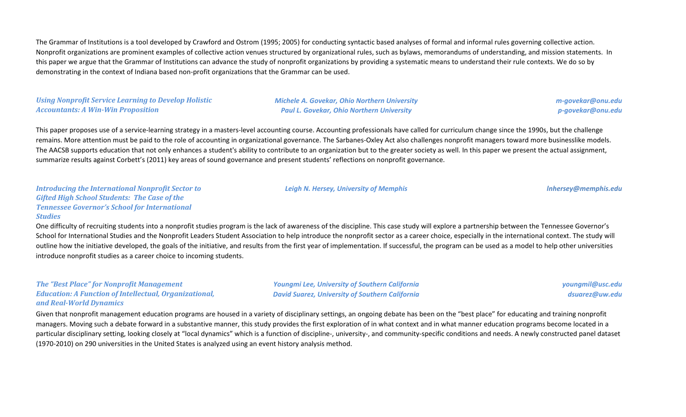The Grammar of Institutions is a tool developed by Crawford and Ostrom (1995; 2005) for conducting syntactic based analyses of formal and informal rules governing collective action. Nonprofit organizations are prominent examples of collective action venues structured by organizational rules, such as bylaws, memorandums of understanding, and mission statements. In this paper we argue that the Grammar of Institutions can advance the study of nonprofit organizations by providing a systematic means to understand their rule contexts. We do so by demonstrating in the context of Indiana based non-profit organizations that the Grammar can be used.

### *Using Nonprofit Service Learning to Develop Holistic Accountants: A Win-Win Proposition*

*Michele A. Govekar, Ohio Northern University Paul L. Govekar, Ohio Northern University*

*Leigh N. Hersey, University of Memphis [lnhersey@memphis.edu](mailto:lnhersey@memphis.edu)*

*m-govekar@onu.edu p-govekar@onu.edu*

This paper proposes use of a service-learning strategy in a masters-level accounting course. Accounting professionals have called for curriculum change since the 1990s, but the challenge remains. More attention must be paid to the role of accounting in organizational governance. The Sarbanes-Oxley Act also challenges nonprofit managers toward more businesslike models. The AACSB supports education that not only enhances a student's ability to contribute to an organization but to the greater society as well. In this paper we present the actual assignment, summarize results against Corbett's (2011) key areas of sound governance and present students' reflections on nonprofit governance.

#### *Introducing the International Nonprofit Sector to Gifted High School Students: The Case of the Tennessee Governor's School for International Studies*

One difficulty of recruiting students into a nonprofit studies program is the lack of awareness of the discipline. This case study will explore a partnership between the Tennessee Governor's School for International Studies and the Nonprofit Leaders Student Association to help introduce the nonprofit sector as a career choice, especially in the international context. The study will outline how the initiative developed, the goals of the initiative, and results from the first year of implementation. If successful, the program can be used as a model to help other universities introduce nonprofit studies as a career choice to incoming students.

#### *The "Best Place" for Nonprofit Management Education: A Function of Intellectual, Organizational, and Real-World Dynamics*

*Youngmi Lee, University of Southern California David Suarez, University of Southern California* *youngmil@usc.edu dsuarez@uw.edu*

Given that nonprofit management education programs are housed in a variety of disciplinary settings, an ongoing debate has been on the "best place" for educating and training nonprofit managers. Moving such a debate forward in a substantive manner, this study provides the first exploration of in what context and in what manner education programs become located in a particular disciplinary setting, looking closely at "local dynamics" which is a function of discipline-, university-, and community-specific conditions and needs. A newly constructed panel dataset (1970-2010) on 290 universities in the United States is analyzed using an event history analysis method.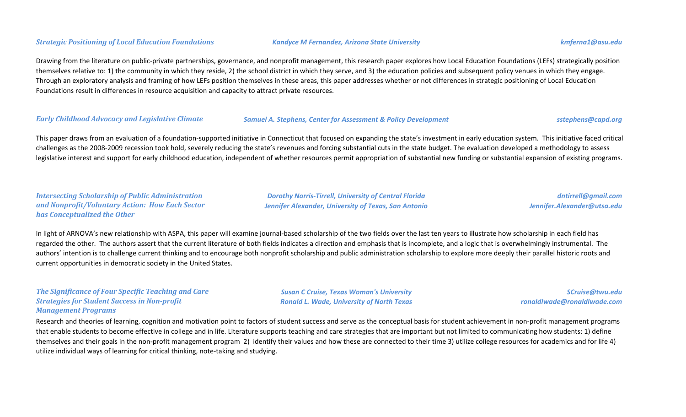#### *Strategic Positioning of Local Education Foundations Kandyce M Fernandez, Arizona State University kmferna1@asu.edu*

Drawing from the literature on public-private partnerships, governance, and nonprofit management, this research paper explores how Local Education Foundations (LEFs) strategically position themselves relative to: 1) the community in which they reside, 2) the school district in which they serve, and 3) the education policies and subsequent policy venues in which they engage. Through an exploratory analysis and framing of how LEFs position themselves in these areas, this paper addresses whether or not differences in strategic positioning of Local Education Foundations result in differences in resource acquisition and capacity to attract private resources.

#### *Early Childhood Advocacy and Legislative Climate Samuel A. Stephens, Center for Assessment & Policy Development sstephens@capd.org*

This paper draws from an evaluation of a foundation-supported initiative in Connecticut that focused on expanding the state's investment in early education system. This initiative faced critical challenges as the 2008-2009 recession took hold, severely reducing the state's revenues and forcing substantial cuts in the state budget. The evaluation developed a methodology to assess legislative interest and support for early childhood education, independent of whether resources permit appropriation of substantial new funding or substantial expansion of existing programs.

### *Intersecting Scholarship of Public Administration and Nonprofit/Voluntary Action: How Each Sector has Conceptualized the Other*

*Dorothy Norris-Tirrell, University of Central Florida Jennifer Alexander, University of Texas, San Antonio*

*dntirrell@gmail.com Jennifer.Alexander@utsa.edu*

In light of ARNOVA's new relationship with ASPA, this paper will examine journal-based scholarship of the two fields over the last ten years to illustrate how scholarship in each field has regarded the other. The authors assert that the current literature of both fields indicates a direction and emphasis that is incomplete, and a logic that is overwhelmingly instrumental. The authors' intention is to challenge current thinking and to encourage both nonprofit scholarship and public administration scholarship to explore more deeply their parallel historic roots and current opportunities in democratic society in the United States.

### *The Significance of Four Specific Teaching and Care Strategies for Student Success in Non-profit Management Programs*

*Susan C Cruise, Texas Woman's University Ronald L. Wade, University of North Texas*

*SCruise@twu.edu ronaldlwade@ronaldlwade.com*

Research and theories of learning, cognition and motivation point to factors of student success and serve as the conceptual basis for student achievement in non-profit management programs that enable students to become effective in college and in life. Literature supports teaching and care strategies that are important but not limited to communicating how students: 1) define themselves and their goals in the non-profit management program 2) identify their values and how these are connected to their time 3) utilize college resources for academics and for life 4) utilize individual ways of learning for critical thinking, note-taking and studying.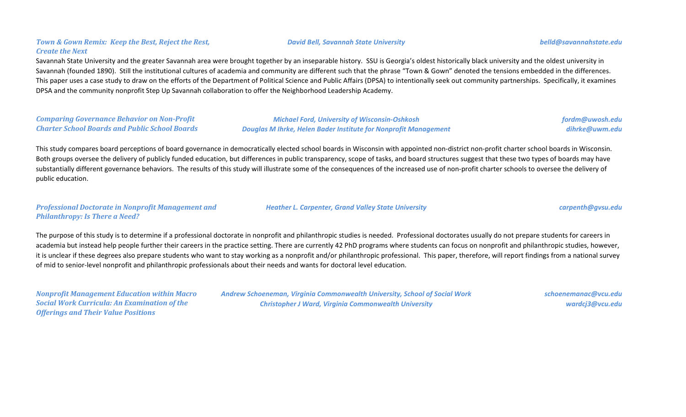### *Town & Gown Remix: Keep the Best, Reject the Rest, Create the Next*

Savannah State University and the greater Savannah area were brought together by an inseparable history. SSU is Georgia's oldest historically black university and the oldest university in Savannah (founded 1890). Still the institutional cultures of academia and community are different such that the phrase "Town & Gown" denoted the tensions embedded in the differences. This paper uses a case study to draw on the efforts of the Department of Political Science and Public Affairs (DPSA) to intentionally seek out community partnerships. Specifically, it examines DPSA and the community nonprofit Step Up Savannah collaboration to offer the Neighborhood Leadership Academy.

*Comparing Governance Behavior on Non-Profit Charter School Boards and Public School Boards*

*Michael Ford, University of Wisconsin-Oshkosh Douglas M Ihrke, Helen Bader Institute for Nonprofit Management* *fordm@uwosh.edu dihrke@uwm.edu*

This study compares board perceptions of board governance in democratically elected school boards in Wisconsin with appointed non-district non-profit charter school boards in Wisconsin. Both groups oversee the delivery of publicly funded education, but differences in public transparency, scope of tasks, and board structures suggest that these two types of boards may have substantially different governance behaviors. The results of this study will illustrate some of the consequences of the increased use of non-profit charter schools to oversee the delivery of public education.

### *Professional Doctorate in Nonprofit Management and Philanthropy: Is There a Need?*

*Heather L. Carpenter, Grand Valley State University carpenth@gvsu.edu*

The purpose of this study is to determine if a professional doctorate in nonprofit and philanthropic studies is needed. Professional doctorates usually do not prepare students for careers in academia but instead help people further their careers in the practice setting. There are currently 42 PhD programs where students can focus on nonprofit and philanthropic studies, however, it is unclear if these degrees also prepare students who want to stay working as a nonprofit and/or philanthropic professional. This paper, therefore, will report findings from a national survey of mid to senior-level nonprofit and philanthropic professionals about their needs and wants for doctoral level education.

*Nonprofit Management Education within Macro Social Work Curricula: An Examination of the Offerings and Their Value Positions*

*Andrew Schoeneman, Virginia Commonwealth University, School of Social Work Christopher J Ward, Virginia Commonwealth University*

*schoenemanac@vcu.edu wardcj3@vcu.edu*

*David Bell, Savannah State University belld@savannahstate.edu*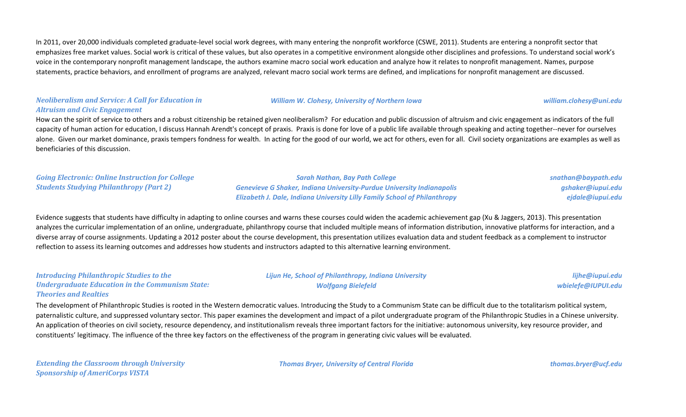In 2011, over 20,000 individuals completed graduate-level social work degrees, with many entering the nonprofit workforce (CSWE, 2011). Students are entering a nonprofit sector that emphasizes free market values. Social work is critical of these values, but also operates in a competitive environment alongside other disciplines and professions. To understand social work's voice in the contemporary nonprofit management landscape, the authors examine macro social work education and analyze how it relates to nonprofit management. Names, purpose statements, practice behaviors, and enrollment of programs are analyzed, relevant macro social work terms are defined, and implications for nonprofit management are discussed.

### *Neoliberalism and Service: A Call for Education in Altruism and Civic Engagement*

#### *William W. Clohesy, University of Northern Iowa william.clohesy@uni.edu*

How can the spirit of service to others and a robust citizenship be retained given neoliberalism? For education and public discussion of altruism and civic engagement as indicators of the full capacity of human action for education, I discuss Hannah Arendt's concept of praxis. Praxis is done for love of a public life available through speaking and acting together--never for ourselves alone. Given our market dominance, praxis tempers fondness for wealth. In acting for the good of our world, we act for others, even for all. Civil society organizations are examples as well as beneficiaries of this discussion.

*Going Electronic: Online Instruction for College Students Studying Philanthropy (Part 2) Sarah Nathan, Bay Path College Genevieve G Shaker, Indiana University-Purdue University Indianapolis Elizabeth J. Dale, Indiana University Lilly Family School of Philanthropy*

*snathan@baypath.edu gshaker@iupui.edu ejdale@iupui.edu*

> *lijhe@iupui.edu wbielefe@IUPUI.edu*

Evidence suggests that students have difficulty in adapting to online courses and warns these courses could widen the academic achievement gap (Xu & Jaggers, 2013). This presentation analyzes the curricular implementation of an online, undergraduate, philanthropy course that included multiple means of information distribution, innovative platforms for interaction, and a diverse array of course assignments. Updating a 2012 poster about the course development, this presentation utilizes evaluation data and student feedback as a complement to instructor reflection to assess its learning outcomes and addresses how students and instructors adapted to this alternative learning environment.

## *Introducing Philanthropic Studies to the Undergraduate Education in the Communism State: Theories and Realties*

The development of Philanthropic Studies is rooted in the Western democratic values. Introducing the Study to a Communism State can be difficult due to the totalitarism political system, paternalistic culture, and suppressed voluntary sector. This paper examines the development and impact of a pilot undergraduate program of the Philanthropic Studies in a Chinese university. An application of theories on civil society, resource dependency, and institutionalism reveals three important factors for the initiative: autonomous university, key resource provider, and constituents' legitimacy. The influence of the three key factors on the effectiveness of the program in generating civic values will be evaluated.

*Extending the Classroom through University Sponsorship of AmeriCorps VISTA*

*Thomas Bryer, University of Central Florida thomas.bryer@ucf.edu*

*Lijun He, School of Philanthropy, Indiana University Wolfgang Bielefeld*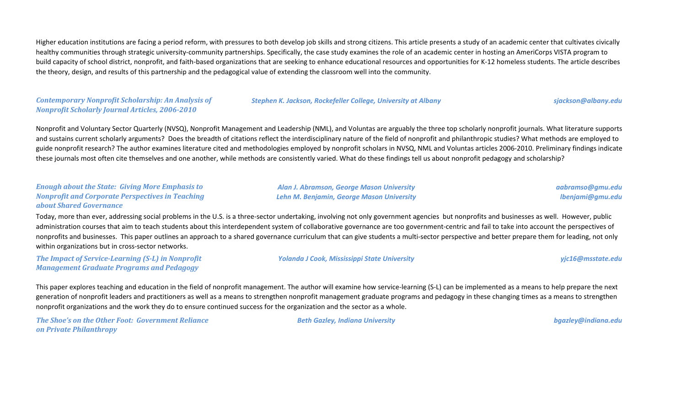Higher education institutions are facing a period reform, with pressures to both develop job skills and strong citizens. This article presents a study of an academic center that cultivates civically healthy communities through strategic university-community partnerships. Specifically, the case study examines the role of an academic center in hosting an AmeriCorps VISTA program to build capacity of school district, nonprofit, and faith-based organizations that are seeking to enhance educational resources and opportunities for K-12 homeless students. The article describes the theory, design, and results of this partnership and the pedagogical value of extending the classroom well into the community.

### *Contemporary Nonprofit Scholarship: An Analysis of Nonprofit Scholarly Journal Articles, 2006-2010*

#### *Stephen K. Jackson, Rockefeller College, University at Albany sjackson@albany.edu*

Nonprofit and Voluntary Sector Quarterly (NVSQ), Nonprofit Management and Leadership (NML), and Voluntas are arguably the three top scholarly nonprofit journals. What literature supports and sustains current scholarly arguments? Does the breadth of citations reflect the interdisciplinary nature of the field of nonprofit and philanthropic studies? What methods are employed to guide nonprofit research? The author examines literature cited and methodologies employed by nonprofit scholars in NVSQ, NML and Voluntas articles 2006-2010. Preliminary findings indicate these journals most often cite themselves and one another, while methods are consistently varied. What do these findings tell us about nonprofit pedagogy and scholarship?

### *Enough about the State: Giving More Emphasis to Nonprofit and Corporate Perspectives in Teaching about Shared Governance*

*Alan J. Abramson, George Mason University Lehn M. Benjamin, George Mason University* *aabramso@gmu.edu lbenjami@gmu.edu*

Today, more than ever, addressing social problems in the U.S. is a three-sector undertaking, involving not only government agencies but nonprofits and businesses as well. However, public administration courses that aim to teach students about this interdependent system of collaborative governance are too government-centric and fail to take into account the perspectives of nonprofits and businesses. This paper outlines an approach to a shared governance curriculum that can give students a multi-sector perspective and better prepare them for leading, not only within organizations but in cross-sector networks.

*The Impact of Service-Learning (S-L) in Nonprofit Management Graduate Programs and Pedagogy*

#### *Yolanda J Cook, Mississippi State University yjc16@msstate.edu*

This paper explores teaching and education in the field of nonprofit management. The author will examine how service-learning (S-L) can be implemented as a means to help prepare the next generation of nonprofit leaders and practitioners as well as a means to strengthen nonprofit management graduate programs and pedagogy in these changing times as a means to strengthen nonprofit organizations and the work they do to ensure continued success for the organization and the sector as a whole.

*The Shoe's on the Other Foot: Government Reliance on Private Philanthropy*

*Beth Gazley, Indiana University bgazley@indiana.edu*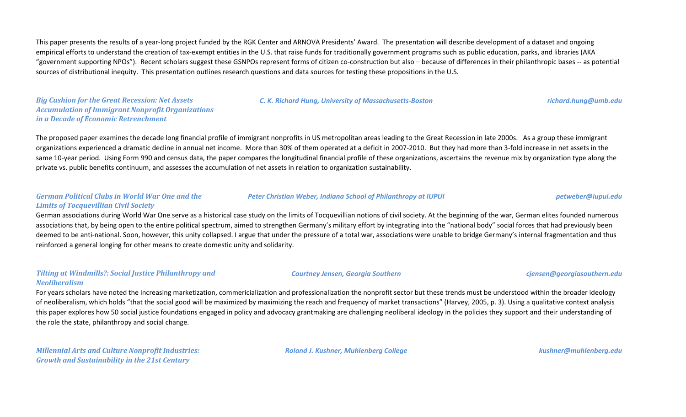This paper presents the results of a year-long project funded by the RGK Center and ARNOVA Presidents' Award. The presentation will describe development of a dataset and ongoing empirical efforts to understand the creation of tax-exempt entities in the U.S. that raise funds for traditionally government programs such as public education, parks, and libraries (AKA "government supporting NPOs"). Recent scholars suggest these GSNPOs represent forms of citizen co-construction but also – because of differences in their philanthropic bases -- as potential sources of distributional inequity. This presentation outlines research questions and data sources for testing these propositions in the U.S.

*Big Cushion for the Great Recession: Net Assets Accumulation of Immigrant Nonprofit Organizations in a Decade of Economic Retrenchment*

*C. K. Richard Hung, University of Massachusetts-Boston richard.hung@umb.edu*

The proposed paper examines the decade long financial profile of immigrant nonprofits in US metropolitan areas leading to the Great Recession in late 2000s. As a group these immigrant organizations experienced a dramatic decline in annual net income. More than 30% of them operated at a deficit in 2007-2010. But they had more than 3-fold increase in net assets in the same 10-year period. Using Form 990 and census data, the paper compares the longitudinal financial profile of these organizations, ascertains the revenue mix by organization type along the private vs. public benefits continuum, and assesses the accumulation of net assets in relation to organization sustainability.

### *German Political Clubs in World War One and the Limits of Tocquevillian Civil Society*

#### *Peter Christian Weber, Indiana School of Philanthropy at IUPUI petweber@iupui.edu*

German associations during World War One serve as a historical case study on the limits of Tocquevillian notions of civil society. At the beginning of the war, German elites founded numerous associations that, by being open to the entire political spectrum, aimed to strengthen Germany's military effort by integrating into the "national body" social forces that had previously been deemed to be anti-national. Soon, however, this unity collapsed. I argue that under the pressure of a total war, associations were unable to bridge Germany's internal fragmentation and thus reinforced a general longing for other means to create domestic unity and solidarity.

### *Tilting at Windmills?: Social Justice Philanthropy and Neoliberalism*

For years scholars have noted the increasing marketization, commericialization and professionalization the nonprofit sector but these trends must be understood within the broader ideology of neoliberalism, which holds "that the social good will be maximized by maximizing the reach and frequency of market transactions" (Harvey, 2005, p. 3). Using a qualitative context analysis this paper explores how 50 social justice foundations engaged in policy and advocacy grantmaking are challenging neoliberal ideology in the policies they support and their understanding of the role the state, philanthropy and social change.

*Millennial Arts and Culture Nonprofit Industries: Growth and Sustainability in the 21st Century*

*Roland J. Kushner, Muhlenberg College kushner@muhlenberg.edu*

*Courtney Jensen, Georgia Southern cjensen@georgiasouthern.edu*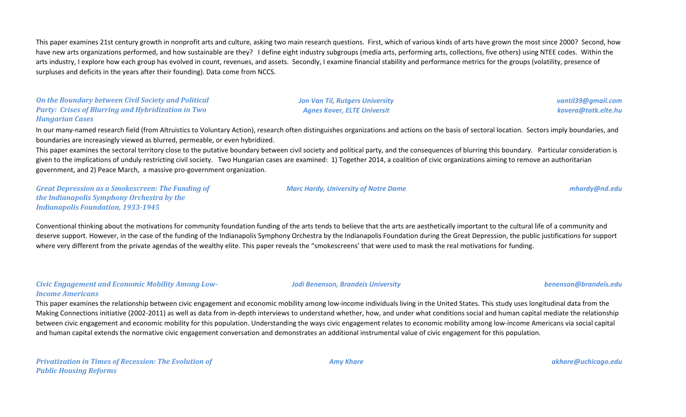This paper examines 21st century growth in nonprofit arts and culture, asking two main research questions. First, which of various kinds of arts have grown the most since 2000? Second, how have new arts organizations performed, and how sustainable are they? I define eight industry subgroups (media arts, performing arts, collections, five others) using NTEE codes. Within the arts industry, I explore how each group has evolved in count, revenues, and assets. Secondly, I examine financial stability and performance metrics for the groups (volatility, presence of surpluses and deficits in the years after their founding). Data come from NCCS.

*On the Boundary between Civil Society and Political Party: Crises of Blurring and Hybridization in Two Hungarian Cases*

*Jon Van Til, Rutgers University Agnes Kover, ELTE Universit*

*vantil39@gmail.com kovera@tatk.elte.hu*

In our many-named research field (from Altruistics to Voluntary Action), research often distinguishes organizations and actions on the basis of sectoral location. Sectors imply boundaries, and boundaries are increasingly viewed as blurred, permeable, or even hybridized.

This paper examines the sectoral territory close to the putative boundary between civil society and political party, and the consequences of blurring this boundary. Particular consideration is given to the implications of unduly restricting civil society. Two Hungarian cases are examined: 1) Together 2014, a coalition of civic organizations aiming to remove an authoritarian government, and 2) Peace March, a massive pro-government organization.

*Great Depression as a Smokescreen: The Funding of the Indianapolis Symphony Orchestra by the Indianapolis Foundation, 1933-1945*

#### *Marc Hardy, University of Notre Dame mhardy@nd.edu*

Conventional thinking about the motivations for community foundation funding of the arts tends to believe that the arts are aesthetically important to the cultural life of a community and deserve support. However, in the case of the funding of the Indianapolis Symphony Orchestra by the Indianapolis Foundation during the Great Depression, the public justifications for support where very different from the private agendas of the wealthy elite. This paper reveals the "smokescreens' that were used to mask the real motivations for funding.

#### *Civic Engagement and Economic Mobility Among Low-Income Americans*

This paper examines the relationship between civic engagement and economic mobility among low-income individuals living in the United States. This study uses longitudinal data from the Making Connections initiative (2002-2011) as well as data from in-depth interviews to understand whether, how, and under what conditions social and human capital mediate the relationship between civic engagement and economic mobility for this population. Understanding the ways civic engagement relates to economic mobility among low-income Americans via social capital and human capital extends the normative civic engagement conversation and demonstrates an additional instrumental value of civic engagement for this population.

*Jodi Benenson, Brandeis University benenson@brandeis.edu*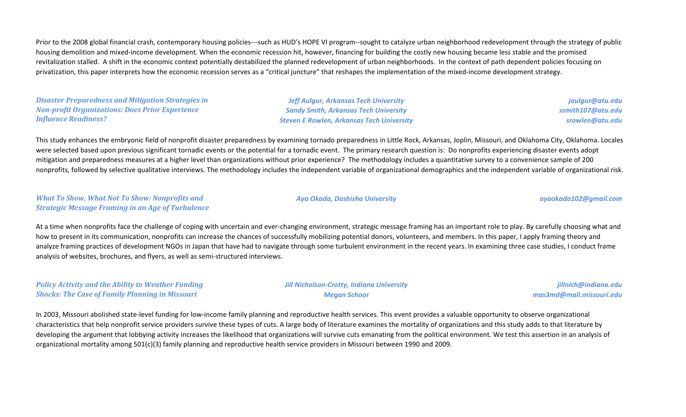Prior to the 2008 global financial crash, contemporary housing policies---such as HUD's HOPE VI program--sought to catalyze urban neighborhood redevelopment through the strategy of public housing demolition and mixed-income development. When the economic recession hit, however, financing for building the costly new housing became less stable and the promised revitalization stalled. A shift in the economic context potentially destabilized the planned redevelopment of urban neighborhoods. In the context of path dependent policies focusing on privatization, this paper interprets how the economic recession serves as a "critical juncture" that reshapes the implementation of the mixed-income development strategy.

*Disaster Preparedness and Mitigation Strategies in Non-profit Organizations: Does Prior Experience Influence Readiness?*

*Jeff Aulgur, Arkansas Tech University Sandy Smith, Arkansas Tech University Steven E Rowlen, Arkansas Tech University*

*jaulgur@atu.edu ssmith107@atu.edu srowlen@atu.edu*

This study enhances the embryonic field of nonprofit disaster preparedness by examining tornado preparedness in Little Rock, Arkansas, Joplin, Missouri, and Oklahoma City, Oklahoma. Locales were selected based upon previous significant tornadic events or the potential for a tornadic event. The primary research question is: Do nonprofits experiencing disaster events adopt mitigation and preparedness measures at a higher level than organizations without prior experience? The methodology includes a quantitative survey to a convenience sample of 200 nonprofits, followed by selective qualitative interviews. The methodology includes the independent variable of organizational demographics and the independent variable of organizational risk.

*What To Show, What Not To Show: Nonprofits and Strategic Message Framing in an Age of Turbulence*

At a time when nonprofits face the challenge of coping with uncertain and ever-changing environment, strategic message framing has an important role to play. By carefully choosing what and how to present in its communication, nonprofits can increase the chances of successfully mobilizing potential donors, volunteers, and members. In this paper, I apply framing theory and analyze framing practices of development NGOs in Japan that have had to navigate through some turbulent environment in the recent years. In examining three case studies, I conduct frame analysis of websites, brochures, and flyers, as well as semi-structured interviews.

*Policy Activity and the Ability to Weather Funding Shocks: The Case of Family Planning in Missouri*

*Jill Nicholson-Crotty, Indiana University Megan Schoor*

*jillnich@indiana.edu mas3md@mail.missouri.edu*

In 2003, Missouri abolished state-level funding for low-income family planning and reproductive health services. This event provides a valuable opportunity to observe organizational characteristics that help nonprofit service providers survive these types of cuts. A large body of literature examines the mortality of organizations and this study adds to that literature by developing the argument that lobbying activity increases the likelihood that organizations will survive cuts emanating from the political environment. We test this assertion in an analysis of organizational mortality among 501(c)(3) family planning and reproductive health service providers in Missouri between 1990 and 2009.

#### *Aya Okada, Doshisha University ayaokada102@gmail.com*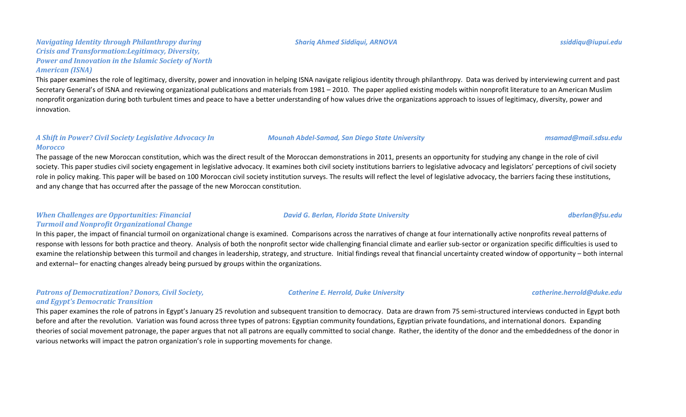#### *Shariq Ahmed Siddiqui, ARNOVA ssiddiqu@iupui.edu*

### *Navigating Identity through Philanthropy during Crisis and Transformation:Legitimacy, Diversity, Power and Innovation in the Islamic Society of North American (ISNA)*

This paper examines the role of legitimacy, diversity, power and innovation in helping ISNA navigate religious identity through philanthropy. Data was derived by interviewing current and past Secretary General's of ISNA and reviewing organizational publications and materials from 1981 – 2010. The paper applied existing models within nonprofit literature to an American Muslim nonprofit organization during both turbulent times and peace to have a better understanding of how values drive the organizations approach to issues of legitimacy, diversity, power and innovation.

#### *A Shift in Power? Civil Society Legislative Advocacy In Morocco*

The passage of the new Moroccan constitution, which was the direct result of the Moroccan demonstrations in 2011, presents an opportunity for studying any change in the role of civil society. This paper studies civil society engagement in legislative advocacy. It examines both civil society institutions barriers to legislative advocacy and legislators' perceptions of civil society role in policy making. This paper will be based on 100 Moroccan civil society institution surveys. The results will reflect the level of legislative advocacy, the barriers facing these institutions, and any change that has occurred after the passage of the new Moroccan constitution.

#### *When Challenges are Opportunities: Financial Turmoil and Nonprofit Organizational Change*

In this paper, the impact of financial turmoil on organizational change is examined. Comparisons across the narratives of change at four internationally active nonprofits reveal patterns of response with lessons for both practice and theory. Analysis of both the nonprofit sector wide challenging financial climate and earlier sub-sector or organization specific difficulties is used to examine the relationship between this turmoil and changes in leadership, strategy, and structure. Initial findings reveal that financial uncertainty created window of opportunity – both internal and external– for enacting changes already being pursued by groups within the organizations.

### *Patrons of Democratization? Donors, Civil Society, and Egypt's Democratic Transition*

This paper examines the role of patrons in Egypt's January 25 revolution and subsequent transition to democracy. Data are drawn from 75 semi-structured interviews conducted in Egypt both before and after the revolution. Variation was found across three types of patrons: Egyptian community foundations, Egyptian private foundations, and international donors. Expanding theories of social movement patronage, the paper argues that not all patrons are equally committed to social change. Rather, the identity of the donor and the embeddedness of the donor in various networks will impact the patron organization's role in supporting movements for change.

*Catherine E. Herrold, Duke University catherine.herrold@duke.edu*

*Mounah Abdel-Samad, San Diego State University msamad@mail.sdsu.edu*

#### *David G. Berlan, Florida State University dberlan@fsu.edu*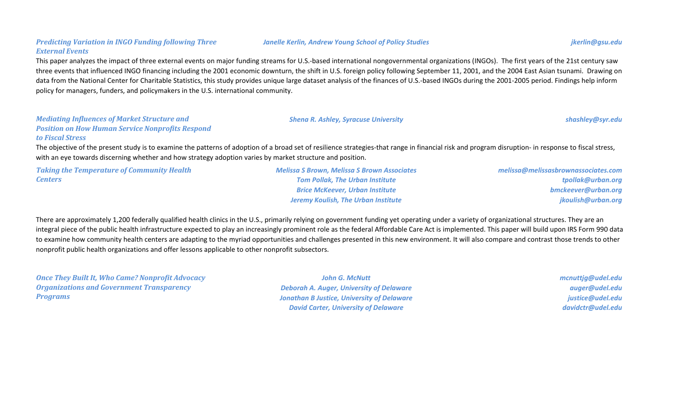#### *Janelle Kerlin, Andrew Young School of Policy Studies jkerlin@gsu.edu*

#### *External Events*

This paper analyzes the impact of three external events on major funding streams for U.S.-based international nongovernmental organizations (INGOs). The first years of the 21st century saw three events that influenced INGO financing including the 2001 economic downturn, the shift in U.S. foreign policy following September 11, 2001, and the 2004 East Asian tsunami. Drawing on data from the National Center for Charitable Statistics, this study provides unique large dataset analysis of the finances of U.S.-based INGOs during the 2001-2005 period. Findings help inform policy for managers, funders, and policymakers in the U.S. international community.

#### *Mediating Influences of Market Structure and Position on How Human Service Nonprofits Respond to Fiscal Stress*

*Predicting Variation in INGO Funding following Three* 

The objective of the present study is to examine the patterns of adoption of a broad set of resilience strategies-that range in financial risk and program disruption- in response to fiscal stress, with an eve towards discerning whether and how strategy adoption varies by market structure and position.

*Taking the Temperature of Community Health Centers*

*Melissa S Brown, Melissa S Brown Associates Tom Pollak, The Urban Institute Brice McKeever, Urban Institute Jeremy Koulish, The Urban Institute*

*melissa@melissasbrownassociates.com tpollak@urban.org bmckeever@urban.org jkoulish@urban.org*

There are approximately 1,200 federally qualified health clinics in the U.S., primarily relying on government funding yet operating under a variety of organizational structures. They are an integral piece of the public health infrastructure expected to play an increasingly prominent role as the federal Affordable Care Act is implemented. This paper will build upon IRS Form 990 data to examine how community health centers are adapting to the myriad opportunities and challenges presented in this new environment. It will also compare and contrast those trends to other nonprofit public health organizations and offer lessons applicable to other nonprofit subsectors.

*Once They Built It, Who Came? Nonprofit Advocacy Organizations and Government Transparency Programs*

*John G. McNutt Deborah A. Auger, University of Delaware Jonathan B Justice, University of Delaware David Carter, University of Delaware*

*mcnuttjg@udel.edu auger@udel.edu justice@udel.edu davidctr@udel.edu*

*Shena R. Ashley, Syracuse University shashley@syr.edu*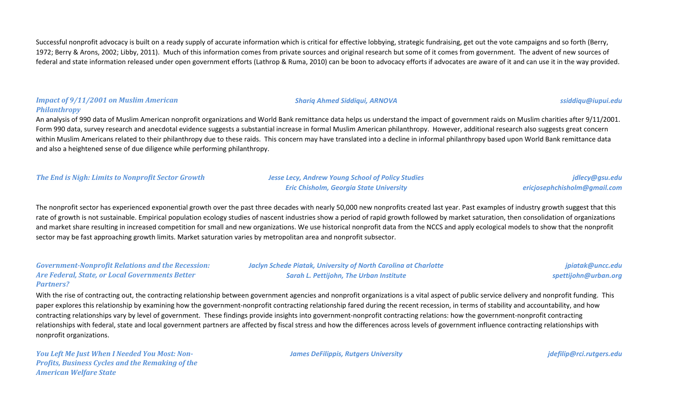Successful nonprofit advocacy is built on a ready supply of accurate information which is critical for effective lobbying, strategic fundraising, get out the vote campaigns and so forth (Berry, 1972; Berry & Arons, 2002; Libby, 2011). Much of this information comes from private sources and original research but some of it comes from government. The advent of new sources of federal and state information released under open government efforts (Lathrop & Ruma, 2010) can be boon to advocacy efforts if advocates are aware of it and can use it in the way provided.

#### *Impact of 9/11/2001 on Muslim American Philanthropy*

An analysis of 990 data of Muslim American nonprofit organizations and World Bank remittance data helps us understand the impact of government raids on Muslim charities after 9/11/2001. Form 990 data, survey research and anecdotal evidence suggests a substantial increase in formal Muslim American philanthropy. However, additional research also suggests great concern within Muslim Americans related to their philanthropy due to these raids. This concern may have translated into a decline in informal philanthropy based upon World Bank remittance data and also a heightened sense of due diligence while performing philanthropy.

*The End is Nigh: Limits to Nonprofit Sector Growth Jesse Lecy, Andrew Young School of Policy Studies*

*Eric Chisholm, Georgia State University*

*ericjosephchisholm@gmail.com*

The nonprofit sector has experienced exponential growth over the past three decades with nearly 50,000 new nonprofits created last year. Past examples of industry growth suggest that this rate of growth is not sustainable. Empirical population ecology studies of nascent industries show a period of rapid growth followed by market saturation, then consolidation of organizations and market share resulting in increased competition for small and new organizations. We use historical nonprofit data from the NCCS and apply ecological models to show that the nonprofit sector may be fast approaching growth limits. Market saturation varies by metropolitan area and nonprofit subsector.

*Government-Nonprofit Relations and the Recession: Are Federal, State, or Local Governments Better Partners?*

*Jaclyn Schede Piatak, University of North Carolina at Charlotte Sarah L. Pettijohn, The Urban Institute*

*jpiatak@uncc.edu spettijohn@urban.org*

With the rise of contracting out, the contracting relationship between government agencies and nonprofit organizations is a vital aspect of public service delivery and nonprofit funding. This paper explores this relationship by examining how the government-nonprofit contracting relationship fared during the recent recession, in terms of stability and accountability, and how contracting relationships vary by level of government. These findings provide insights into government-nonprofit contracting relations: how the government-nonprofit contracting relationships with federal, state and local government partners are affected by fiscal stress and how the differences across levels of government influence contracting relationships with nonprofit organizations.

*You Left Me Just When I Needed You Most: Non-Profits, Business Cycles and the Remaking of the American Welfare State*

*James DeFilippis, Rutgers University [jdefilip@rci.rutgers.edu](mailto:jdefilip@rci.rutgers.edu)*

*jdlecy@gsu.edu*

#### *Shariq Ahmed Siddiqui, ARNOVA ssiddiqu@iupui.edu*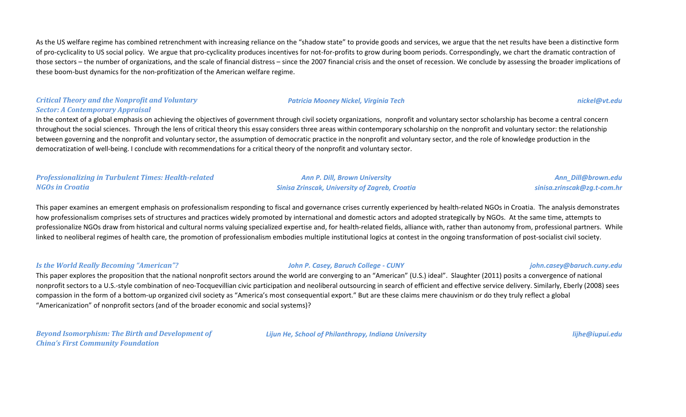As the US welfare regime has combined retrenchment with increasing reliance on the "shadow state" to provide goods and services, we argue that the net results have been a distinctive form of pro-cyclicality to US social policy. We argue that pro-cyclicality produces incentives for not-for-profits to grow during boom periods. Correspondingly, we chart the dramatic contraction of those sectors – the number of organizations, and the scale of financial distress – since the 2007 financial crisis and the onset of recession. We conclude by assessing the broader implications of these boom-bust dynamics for the non-profitization of the American welfare regime.

## *Critical Theory and the Nonprofit and Voluntary Sector: A Contemporary Appraisal*

In the context of a global emphasis on achieving the objectives of government through civil society organizations, nonprofit and voluntary sector scholarship has become a central concern throughout the social sciences. Through the lens of critical theory this essay considers three areas within contemporary scholarship on the nonprofit and voluntary sector: the relationship between governing and the nonprofit and voluntary sector, the assumption of democratic practice in the nonprofit and voluntary sector, and the role of knowledge production in the democratization of well-being. I conclude with recommendations for a critical theory of the nonprofit and voluntary sector.

#### *Professionalizing in Turbulent Times: Health-related NGOs in Croatia*

*Ann P. Dill, Brown University Sinisa Zrinscak, University of Zagreb, Croatia*

*Ann\_Dill@brown.edu sinisa.zrinscak@zg.t-com.hr*

This paper examines an emergent emphasis on professionalism responding to fiscal and governance crises currently experienced by health-related NGOs in Croatia. The analysis demonstrates how professionalism comprises sets of structures and practices widely promoted by international and domestic actors and adopted strategically by NGOs. At the same time, attempts to professionalize NGOs draw from historical and cultural norms valuing specialized expertise and, for health-related fields, alliance with, rather than autonomy from, professional partners. While linked to neoliberal regimes of health care, the promotion of professionalism embodies multiple institutional logics at contest in the ongoing transformation of post-socialist civil society.

#### *Is the World Really Becoming "American"? John P. Casey, Baruch College - CUNY john.casey@baruch.cuny.edu*

This paper explores the proposition that the national nonprofit sectors around the world are converging to an "American" (U.S.) ideal". Slaughter (2011) posits a convergence of national nonprofit sectors to a U.S.-style combination of neo-Tocquevillian civic participation and neoliberal outsourcing in search of efficient and effective service delivery. Similarly, Eberly (2008) sees compassion in the form of a bottom-up organized civil society as "America's most consequential export." But are these claims mere chauvinism or do they truly reflect a global "Americanization" of nonprofit sectors (and of the broader economic and social systems)?

*Beyond Isomorphism: The Birth and Development of China's First Community Foundation*

*Lijun He, School of Philanthropy, Indiana University lijhe@iupui.edu*

#### *Patricia Mooney Nickel, Virginia Tech nickel@vt.edu*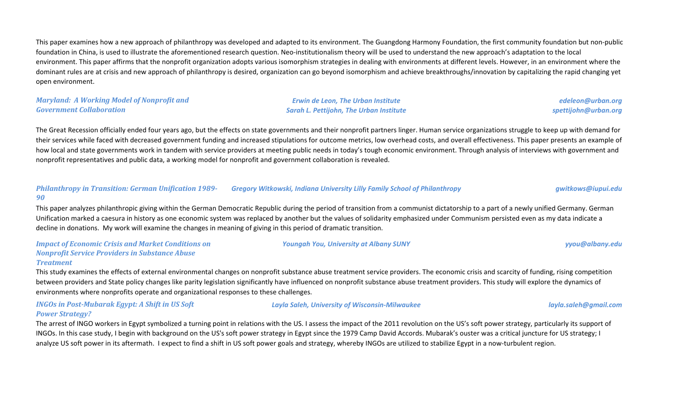This paper examines how a new approach of philanthropy was developed and adapted to its environment. The Guangdong Harmony Foundation, the first community foundation but non-public foundation in China, is used to illustrate the aforementioned research question. Neo-institutionalism theory will be used to understand the new approach's adaptation to the local environment. This paper affirms that the nonprofit organization adopts various isomorphism strategies in dealing with environments at different levels. However, in an environment where the dominant rules are at crisis and new approach of philanthropy is desired, organization can go beyond isomorphism and achieve breakthroughs/innovation by capitalizing the rapid changing yet open environment.

### *Maryland: A Working Model of Nonprofit and Government Collaboration*

*Erwin de Leon, The Urban Institute Sarah L. Pettijohn, The Urban Institute*

*edeleon@urban.org spettijohn@urban.org*

The Great Recession officially ended four years ago, but the effects on state governments and their nonprofit partners linger. Human service organizations struggle to keep up with demand for their services while faced with decreased government funding and increased stipulations for outcome metrics, low overhead costs, and overall effectiveness. This paper presents an example of how local and state governments work in tandem with service providers at meeting public needs in today's tough economic environment. Through analysis of interviews with government and nonprofit representatives and public data, a working model for nonprofit and government collaboration is revealed.

#### *Philanthropy in Transition: German Unification 1989- 90 Gregory Witkowski, Indiana University Lilly Family School of Philanthropy gwitkows@iupui.edu*

This paper analyzes philanthropic giving within the German Democratic Republic during the period of transition from a communist dictatorship to a part of a newly unified Germany. German Unification marked a caesura in history as one economic system was replaced by another but the values of solidarity emphasized under Communism persisted even as my data indicate a decline in donations. My work will examine the changes in meaning of giving in this period of dramatic transition.

#### *Impact of Economic Crisis and Market Conditions on Nonprofit Service Providers in Substance Abuse Treatment*

This study examines the effects of external environmental changes on nonprofit substance abuse treatment service providers. The economic crisis and scarcity of funding, rising competition between providers and State policy changes like parity legislation significantly have influenced on nonprofit substance abuse treatment providers. This study will explore the dynamics of environments where nonprofits operate and organizational responses to these challenges.

## *INGOs in Post-Mubarak Egypt: A Shift in US Soft Power Strategy?*

The arrest of INGO workers in Egypt symbolized a turning point in relations with the US. I assess the impact of the 2011 revolution on the US's soft power strategy, particularly its support of INGOs. In this case study, I begin with background on the US's soft power strategy in Egypt since the 1979 Camp David Accords. Mubarak's ouster was a critical juncture for US strategy; I analyze US soft power in its aftermath. I expect to find a shift in US soft power goals and strategy, whereby INGOs are utilized to stabilize Egypt in a now-turbulent region.

#### *Layla Saleh, University of Wisconsin-Milwaukee layla.saleh@gmail.com*

*Youngah You, University at Albany SUNY yyou@albany.edu*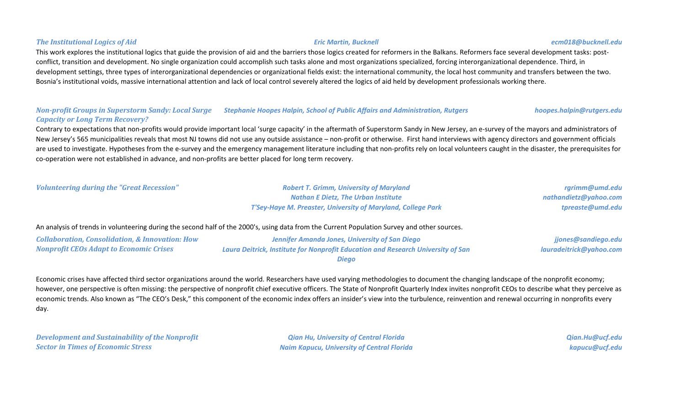## This work explores the institutional logics that guide the provision of aid and the barriers those logics created for reformers in the Balkans. Reformers face several development tasks: postconflict, transition and development. No single organization could accomplish such tasks alone and most organizations specialized, forcing interorganizational dependence. Third, in development settings, three types of interorganizational dependencies or organizational fields exist: the international community, the local host community and transfers between the two. Bosnia's institutional voids, massive international attention and lack of local control severely altered the logics of aid held by development professionals working there.

### *Non-profit Groups in Superstorm Sandy: Local Surge Stephanie Hoopes Halpin, School of Public Affairs and Administration, Rutgers hoopes.halpin@rutgers.edu Capacity or Long Term Recovery?*

Contrary to expectations that non-profits would provide important local 'surge capacity' in the aftermath of Superstorm Sandy in New Jersey, an e-survey of the mayors and administrators of New Jersey's 565 municipalities reveals that most NJ towns did not use any outside assistance – non-profit or otherwise. First hand interviews with agency directors and government officials are used to investigate. Hypotheses from the e-survey and the emergency management literature including that non-profits rely on local volunteers caught in the disaster, the prerequisites for co-operation were not established in advance, and non-profits are better placed for long term recovery.

| <b>Volunteering during the "Great Recession"</b> | <b>Robert T. Grimm, University of Maryland</b>               | rgrimm@umd.edu        |
|--------------------------------------------------|--------------------------------------------------------------|-----------------------|
|                                                  | <b>Nathan E Dietz, The Urban Institute</b>                   | nathandietz@yahoo.com |
|                                                  | T'Sey-Haye M. Preaster, University of Maryland, College Park | tpreaste@umd.edu      |

## An analysis of trends in volunteering during the second half of the 2000's, using data from the Current Population Survey and other sources.

*Collaboration, Consolidation, & Innovation: How Nonprofit CEOs Adapt to Economic Crises*

*Jennifer Amanda Jones, University of San Diego Laura Deitrick, Institute for Nonprofit Education and Research University of San Diego*

Economic crises have affected third sector organizations around the world. Researchers have used varying methodologies to document the changing landscape of the nonprofit economy; however, one perspective is often missing: the perspective of nonprofit chief executive officers. The State of Nonprofit Quarterly Index invites nonprofit CEOs to describe what they perceive as economic trends. Also known as "The CEO's Desk," this component of the economic index offers an insider's view into the turbulence, reinvention and renewal occurring in nonprofits every day.

*Development and Sustainability of the Nonprofit Sector in Times of Economic Stress*

*Qian Hu, University of Central Florida Naim Kapucu, University of Central Florida* *Qian.Hu@ucf.edu kapucu@ucf.edu*

*jjones@sandiego.edu lauradeitrick@yahoo.com*

#### *The Institutional Logics of Aid Eric Martin, Bucknell ecm018@bucknell.edu*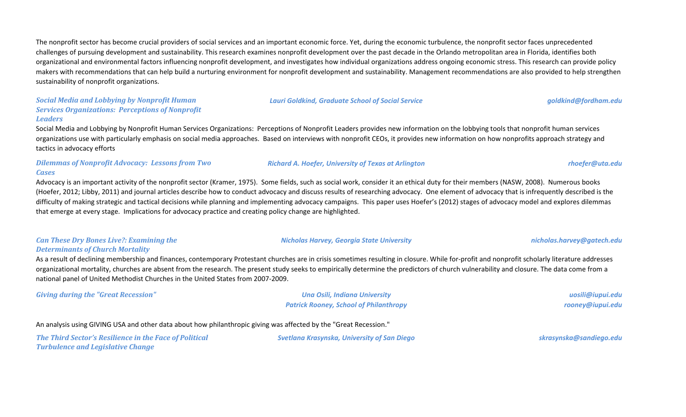The nonprofit sector has become crucial providers of social services and an important economic force. Yet, during the economic turbulence, the nonprofit sector faces unprecedented challenges of pursuing development and sustainability. This research examines nonprofit development over the past decade in the Orlando metropolitan area in Florida, identifies both organizational and environmental factors influencing nonprofit development, and investigates how individual organizations address ongoing economic stress. This research can provide policy makers with recommendations that can help build a nurturing environment for nonprofit development and sustainability. Management recommendations are also provided to help strengthen sustainability of nonprofit organizations.

#### *Social Media and Lobbying by Nonprofit Human Services Organizations: Perceptions of Nonprofit Leaders*

Social Media and Lobbying by Nonprofit Human Services Organizations: Perceptions of Nonprofit Leaders provides new information on the lobbying tools that nonprofit human services organizations use with particularly emphasis on social media approaches. Based on interviews with nonprofit CEOs, it provides new information on how nonprofits approach strategy and tactics in advocacy efforts

#### *Dilemmas of Nonprofit Advocacy: Lessons from Two Cases*

Advocacy is an important activity of the nonprofit sector (Kramer, 1975). Some fields, such as social work, consider it an ethical duty for their members (NASW, 2008). Numerous books (Hoefer, 2012; Libby, 2011) and journal articles describe how to conduct advocacy and discuss results of researching advocacy. One element of advocacy that is infrequently described is the difficulty of making strategic and tactical decisions while planning and implementing advocacy campaigns. This paper uses Hoefer's (2012) stages of advocacy model and explores dilemmas that emerge at every stage. Implications for advocacy practice and creating policy change are highlighted.

## *Can These Dry Bones Live?: Examining the Determinants of Church Mortality*

As a result of declining membership and finances, contemporary Protestant churches are in crisis sometimes resulting in closure. While for-profit and nonprofit scholarly literature addresses organizational mortality, churches are absent from the research. The present study seeks to empirically determine the predictors of church vulnerability and closure. The data come from a national panel of United Methodist Churches in the United States from 2007-2009.

*Giving during the "Great Recession" Una Osili, Indiana University*

*Patrick Rooney, School of Philanthropy*

An analysis using GIVING USA and other data about how philanthropic giving was affected by the "Great Recession."

*The Third Sector's Resilience in the Face of Political Turbulence and Legislative Change*

*Svetlana Krasynska, University of San Diego skrasynska@sandiego.edu*

*uosili@iupui.edu rooney@iupui.edu*

#### *Richard A. Hoefer, University of Texas at Arlington rhoefer@uta.edu*

## *Nicholas Harvey, Georgia State University nicholas.harvey@gatech.edu*

*Lauri Goldkind, Graduate School of Social Service goldkind@fordham.edu*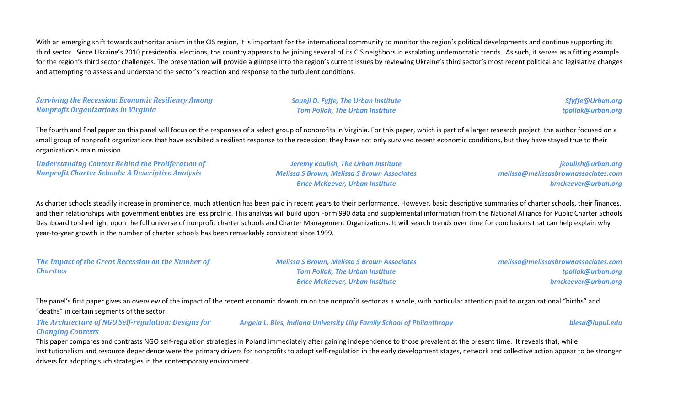With an emerging shift towards authoritarianism in the CIS region, it is important for the international community to monitor the region's political developments and continue supporting its third sector. Since Ukraine's 2010 presidential elections, the country appears to be joining several of its CIS neighbors in escalating undemocratic trends. As such, it serves as a fitting example for the region's third sector challenges. The presentation will provide a glimpse into the region's current issues by reviewing Ukraine's third sector's most recent political and legislative changes and attempting to assess and understand the sector's reaction and response to the turbulent conditions.

*Surviving the Recession: Economic Resiliency Among Nonprofit Organizations in Virginia*

*Saunji D. Fyffe, The Urban Institute Tom Pollak, The Urban Institute*

*Sfyffe@Urban.org tpollak@urban.org*

The fourth and final paper on this panel will focus on the responses of a select group of nonprofits in Virginia. For this paper, which is part of a larger research project, the author focused on a small group of nonprofit organizations that have exhibited a resilient response to the recession: they have not only survived recent economic conditions, but they have stayed true to their organization's main mission.

*Understanding Context Behind the Proliferation of Nonprofit Charter Schools: A Descriptive Analysis*

*Jeremy Koulish, The Urban Institute Melissa S Brown, Melissa S Brown Associates Brice McKeever, Urban Institute*

*jkoulish@urban.org melissa@melissasbrownassociates.com bmckeever@urban.org*

As charter schools steadily increase in prominence, much attention has been paid in recent years to their performance. However, basic descriptive summaries of charter schools, their finances, and their relationships with government entities are less prolific. This analysis will build upon Form 990 data and supplemental information from the National Alliance for Public Charter Schools Dashboard to shed light upon the full universe of nonprofit charter schools and Charter Management Organizations. It will search trends over time for conclusions that can help explain why year-to-year growth in the number of charter schools has been remarkably consistent since 1999.

*The Impact of the Great Recession on the Number of Charities Melissa S Brown, Melissa S Brown Associates Tom Pollak, The Urban Institute Brice McKeever, Urban Institute*

*melissa@melissasbrownassociates.com tpollak@urban.org bmckeever@urban.org*

The panel's first paper gives an overview of the impact of the recent economic downturn on the nonprofit sector as a whole, with particular attention paid to organizational "births" and "deaths" in certain segments of the sector.

*The Architecture of NGO Self-regulation: Designs for Changing Contexts Angela L. Bies, Indiana University Lilly Family School of Philanthropy biesa@iupui.edu*

This paper compares and contrasts NGO self-regulation strategies in Poland immediately after gaining independence to those prevalent at the present time. It reveals that, while institutionalism and resource dependence were the primary drivers for nonprofits to adopt self-regulation in the early development stages, network and collective action appear to be stronger drivers for adopting such strategies in the contemporary environment.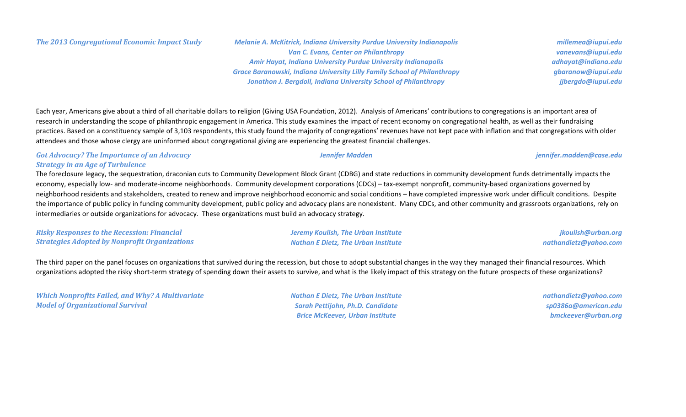*The 2013 Congregational Economic Impact Study Melanie A. McKitrick, Indiana University Purdue University Indianapolis Van C. Evans, Center on Philanthropy Amir Hayat, Indiana University Purdue University Indianapolis Grace Baranowski, Indiana University Lilly Family School of Philanthropy Jonathon J. Bergdoll, Indiana University School of Philanthropy*

*vanevans@iupui.edu adhayat@indiana.edu gbaranow@iupui.edu jjbergdo@iupui.edu*

*millemea@iupui.edu*

Each year, Americans give about a third of all charitable dollars to religion (Giving USA Foundation, 2012). Analysis of Americans' contributions to congregations is an important area of research in understanding the scope of philanthropic engagement in America. This study examines the impact of recent economy on congregational health, as well as their fundraising practices. Based on a constituency sample of 3,103 respondents, this study found the majority of congregations' revenues have not kept pace with inflation and that congregations with older attendees and those whose clergy are uninformed about congregational giving are experiencing the greatest financial challenges.

### *Got Advocacy? The Importance of an Advocacy Strategy in an Age of Turbulence*

The foreclosure legacy, the sequestration, draconian cuts to Community Development Block Grant (CDBG) and state reductions in community development funds detrimentally impacts the economy, especially low- and moderate-income neighborhoods. Community development corporations (CDCs) – tax-exempt nonprofit, community-based organizations governed by neighborhood residents and stakeholders, created to renew and improve neighborhood economic and social conditions – have completed impressive work under difficult conditions. Despite the importance of public policy in funding community development, public policy and advocacy plans are nonexistent. Many CDCs, and other community and grassroots organizations, rely on intermediaries or outside organizations for advocacy. These organizations must build an advocacy strategy.

*Risky Responses to the Recession: Financial Strategies Adopted by Nonprofit Organizations*

The third paper on the panel focuses on organizations that survived during the recession, but chose to adopt substantial changes in the way they managed their financial resources. Which organizations adopted the risky short-term strategy of spending down their assets to survive, and what is the likely impact of this strategy on the future prospects of these organizations?

*Which Nonprofits Failed, and Why? A Multivariate Model of Organizational Survival*

*Nathan E Dietz, The Urban Institute Sarah Pettijohn, Ph.D. Candidate Brice McKeever, Urban Institute*

*nathandietz@yahoo.com sp0386a@american.edu bmckeever@urban.org*

*Jeremy Koulish, The Urban Institute Nathan E Dietz, The Urban Institute*

*Jennifer Madden jennifer.madden@case.edu*

*jkoulish@urban.org nathandietz@yahoo.com*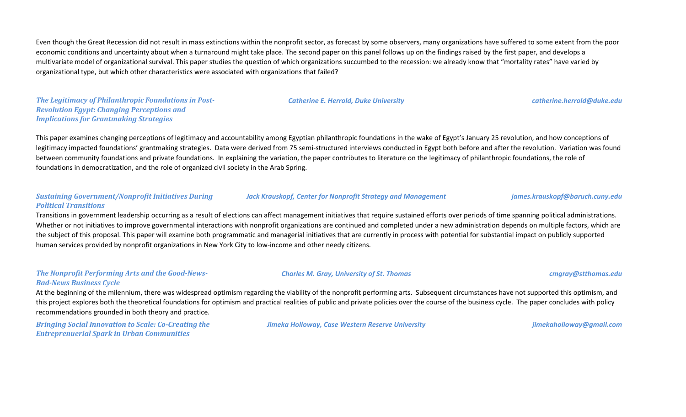Even though the Great Recession did not result in mass extinctions within the nonprofit sector, as forecast by some observers, many organizations have suffered to some extent from the poor economic conditions and uncertainty about when a turnaround might take place. The second paper on this panel follows up on the findings raised by the first paper, and develops a multivariate model of organizational survival. This paper studies the question of which organizations succumbed to the recession: we already know that "mortality rates" have varied by organizational type, but which other characteristics were associated with organizations that failed?

*The Legitimacy of Philanthropic Foundations in Post-Revolution Egypt: Changing Perceptions and Implications for Grantmaking Strategies*

This paper examines changing perceptions of legitimacy and accountability among Egyptian philanthropic foundations in the wake of Egypt's January 25 revolution, and how conceptions of legitimacy impacted foundations' grantmaking strategies. Data were derived from 75 semi-structured interviews conducted in Egypt both before and after the revolution. Variation was found between community foundations and private foundations. In explaining the variation, the paper contributes to literature on the legitimacy of philanthropic foundations, the role of foundations in democratization, and the role of organized civil society in the Arab Spring.

### *Sustaining Government/Nonprofit Initiatives During Political Transitions*

Transitions in government leadership occurring as a result of elections can affect management initiatives that require sustained efforts over periods of time spanning political administrations. Whether or not initiatives to improve governmental interactions with nonprofit organizations are continued and completed under a new administration depends on multiple factors, which are the subject of this proposal. This paper will examine both programmatic and managerial initiatives that are currently in process with potential for substantial impact on publicly supported human services provided by nonprofit organizations in New York City to low-income and other needy citizens.

### *The Nonprofit Performing Arts and the Good-News-Bad-News Business Cycle*

At the beginning of the milennium, there was widespread optimism regarding the viability of the nonprofit performing arts. Subsequent circumstances have not supported this optimism, and this project explores both the theoretical foundations for optimism and practical realities of public and private policies over the course of the business cycle. The paper concludes with policy recommendations grounded in both theory and practice.

*Bringing Social Innovation to Scale: Co-Creating the Entreprenuerial Spark in Urban Communities*

*Jimeka Holloway, Case Western Reserve University jimekaholloway@gmail.com*

*Jack Krauskopf, Center for Nonprofit Strategy and Management james.krauskopf@baruch.cuny.edu*

## *Charles M. Gray, University of St. Thomas cmgray@stthomas.edu*

## *Catherine E. Herrold, Duke University catherine.herrold@duke.edu*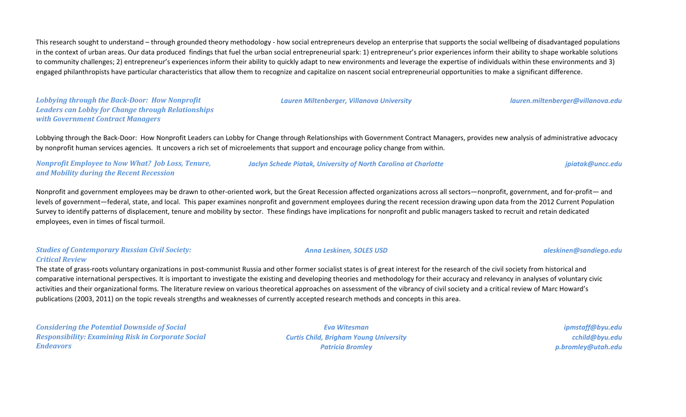This research sought to understand – through grounded theory methodology - how social entrepreneurs develop an enterprise that supports the social wellbeing of disadvantaged populations in the context of urban areas. Our data produced findings that fuel the urban social entrepreneurial spark: 1) entrepreneur's prior experiences inform their ability to shape workable solutions to community challenges; 2) entrepreneur's experiences inform their ability to quickly adapt to new environments and leverage the expertise of individuals within these environments and 3) engaged philanthropists have particular characteristics that allow them to recognize and capitalize on nascent social entrepreneurial opportunities to make a significant difference.

*Lobbying through the Back-Door: How Nonprofit Leaders can Lobby for Change through Relationships with Government Contract Managers*

Lobbying through the Back-Door: How Nonprofit Leaders can Lobby for Change through Relationships with Government Contract Managers, provides new analysis of administrative advocacy by nonprofit human services agencies. It uncovers a rich set of microelements that support and encourage policy change from within.

*Nonprofit Employee to Now What? Job Loss, Tenure, and Mobility during the Recent Recession*

Nonprofit and government employees may be drawn to other-oriented work, but the Great Recession affected organizations across all sectors—nonprofit, government, and for-profit— and levels of government—federal, state, and local. This paper examines nonprofit and government employees during the recent recession drawing upon data from the 2012 Current Population Survey to identify patterns of displacement, tenure and mobility by sector. These findings have implications for nonprofit and public managers tasked to recruit and retain dedicated employees, even in times of fiscal turmoil.

### *Studies of Contemporary Russian Civil Society: Critical Review*

The state of grass-roots voluntary organizations in post-communist Russia and other former socialist states is of great interest for the research of the civil society from historical and comparative international perspectives. It is important to investigate the existing and developing theories and methodology for their accuracy and relevancy in analyses of voluntary civic activities and their organizational forms. The literature review on various theoretical approaches on assessment of the vibrancy of civil society and a critical review of Marc Howard's publications (2003, 2011) on the topic reveals strengths and weaknesses of currently accepted research methods and concepts in this area.

*Considering the Potential Downside of Social Responsibility: Examining Risk in Corporate Social Endeavors*

*Eva Witesman Curtis Child, Brigham Young University Patricia Bromley*

*ipmstaff@byu.edu cchild@byu.edu p.bromley@utah.edu*

*Jaclyn Schede Piatak, University of North Carolina at Charlotte jpiatak@uncc.edu*

*Anna Leskinen, SOLES USD aleskinen@sandiego.edu*

*Lauren Miltenberger, Villanova University lauren.miltenberger@villanova.edu*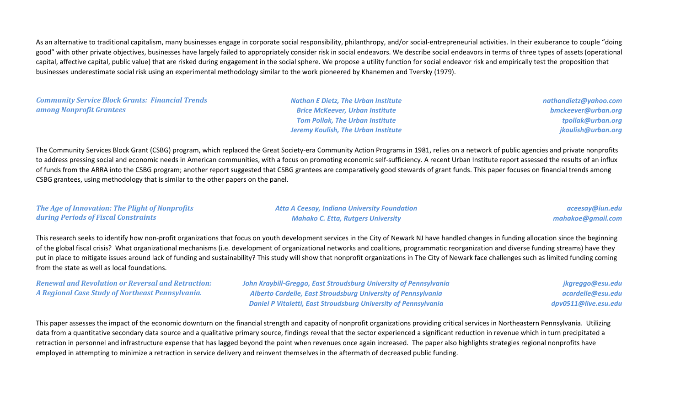As an alternative to traditional capitalism, many businesses engage in corporate social responsibility, philanthropy, and/or social-entrepreneurial activities. In their exuberance to couple "doing good" with other private objectives, businesses have largely failed to appropriately consider risk in social endeavors. We describe social endeavors in terms of three types of assets (operational capital, affective capital, public value) that are risked during engagement in the social sphere. We propose a utility function for social endeavor risk and empirically test the proposition that businesses underestimate social risk using an experimental methodology similar to the work pioneered by Khanemen and Tversky (1979).

*Community Service Block Grants: Financial Trends among Nonprofit Grantees*

*Nathan E Dietz, The Urban Institute Brice McKeever, Urban Institute Tom Pollak, The Urban Institute Jeremy Koulish, The Urban Institute* *nathandietz@yahoo.com bmckeever@urban.org tpollak@urban.org jkoulish@urban.org*

The Community Services Block Grant (CSBG) program, which replaced the Great Society-era Community Action Programs in 1981, relies on a network of public agencies and private nonprofits to address pressing social and economic needs in American communities, with a focus on promoting economic self-sufficiency. A recent Urban Institute report assessed the results of an influx of funds from the ARRA into the CSBG program; another report suggested that CSBG grantees are comparatively good stewards of grant funds. This paper focuses on financial trends among CSBG grantees, using methodology that is similar to the other papers on the panel.

*The Age of Innovation: The Plight of Nonprofits during Periods of Fiscal Constraints*

*Atta A Ceesay, Indiana University Foundation Mahako C. Etta, Rutgers University*

*aceesay@iun.edu mahakoe@gmail.com*

This research seeks to identify how non-profit organizations that focus on youth development services in the City of Newark NJ have handled changes in funding allocation since the beginning of the global fiscal crisis? What organizational mechanisms (i.e. development of organizational networks and coalitions, programmatic reorganization and diverse funding streams) have they put in place to mitigate issues around lack of funding and sustainability? This study will show that nonprofit organizations in The City of Newark face challenges such as limited funding coming from the state as well as local foundations.

*Renewal and Revolution or Reversal and Retraction: A Regional Case Study of Northeast Pennsylvania.*

*John Kraybill-Greggo, East Stroudsburg University of Pennsylvania Alberto Cardelle, East Stroudsburg University of Pennsylvania Daniel P Vitaletti, East Stroudsburg University of Pennsylvania*

*jkgreggo@esu.edu acardelle@esu.edu dpv0511@live.esu.edu*

This paper assesses the impact of the economic downturn on the financial strength and capacity of nonprofit organizations providing critical services in Northeastern Pennsylvania. Utilizing data from a quantitative secondary data source and a qualitative primary source, findings reveal that the sector experienced a significant reduction in revenue which in turn precipitated a retraction in personnel and infrastructure expense that has lagged beyond the point when revenues once again increased. The paper also highlights strategies regional nonprofits have employed in attempting to minimize a retraction in service delivery and reinvent themselves in the aftermath of decreased public funding.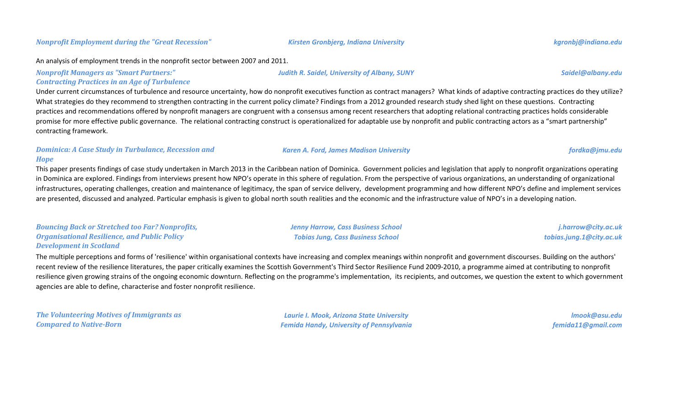#### An analysis of employment trends in the nonprofit sector between 2007 and 2011.

*Nonprofit Managers as "Smart Partners:"* 

### *Contracting Practices in an Age of Turbulence*

Under current circumstances of turbulence and resource uncertainty, how do nonprofit executives function as contract managers? What kinds of adaptive contracting practices do they utilize? What strategies do they recommend to strengthen contracting in the current policy climate? Findings from a 2012 grounded research study shed light on these questions. Contracting practices and recommendations offered by nonprofit managers are congruent with a consensus among recent researchers that adopting relational contracting practices holds considerable promise for more effective public governance. The relational contracting construct is operationalized for adaptable use by nonprofit and public contracting actors as a "smart partnership" contracting framework.

### *Dominica: A Case Study in Turbulance, Recession and Hope*

This paper presents findings of case study undertaken in March 2013 in the Caribbean nation of Dominica. Government policies and legislation that apply to nonprofit organizations operating in Dominica are explored. Findings from interviews present how NPO's operate in this sphere of regulation. From the perspective of various organizations, an understanding of organizational infrastructures, operating challenges, creation and maintenance of legitimacy, the span of service delivery, development programming and how different NPO's define and implement services are presented, discussed and analyzed. Particular emphasis is given to global north south realities and the economic and the infrastructure value of NPO's in a developing nation.

| <b>Bouncing Back or Stretched too Far? Nonprofits,</b> | Jenny Harrow, Cass Business School       | j.harrow@city.ac.uk      |
|--------------------------------------------------------|------------------------------------------|--------------------------|
| <b>Organisational Resilience, and Public Policy</b>    | <b>Tobias Jung, Cass Business School</b> | tobias.jung.1@city.ac.uk |
| <b>Development in Scotland</b>                         |                                          |                          |

The multiple perceptions and forms of 'resilience' within organisational contexts have increasing and complex meanings within nonprofit and government discourses. Building on the authors' recent review of the resilience literatures, the paper critically examines the Scottish Government's Third Sector Resilience Fund 2009-2010, a programme aimed at contributing to nonprofit resilience given growing strains of the ongoing economic downturn. Reflecting on the programme's implementation, its recipients, and outcomes, we question the extent to which government agencies are able to define, characterise and foster nonprofit resilience.

*The Volunteering Motives of Immigrants as Compared to Native-Born*

*Laurie I. Mook, Arizona State University Femida Handy, University of Pennsylvania*

*lmook@asu.edu femida11@gmail.com*

#### *Judith R. Saidel, University of Albany, SUNY Saidel@albany.edu*

*Karen A. Ford, James Madison University fordka@jmu.edu*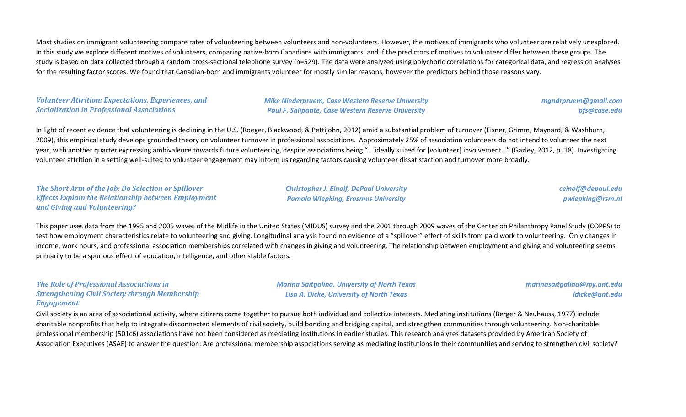Most studies on immigrant volunteering compare rates of volunteering between volunteers and non-volunteers. However, the motives of immigrants who volunteer are relatively unexplored. In this study we explore different motives of volunteers, comparing native-born Canadians with immigrants, and if the predictors of motives to volunteer differ between these groups. The study is based on data collected through a random cross-sectional telephone survey (n=529). The data were analyzed using polychoric correlations for categorical data, and regression analyses for the resulting factor scores. We found that Canadian-born and immigrants volunteer for mostly similar reasons, however the predictors behind those reasons vary.

### *Volunteer Attrition: Expectations, Experiences, and Socialization in Professional Associations*

*Mike Niederpruem, Case Western Reserve University Paul F. Salipante, Case Western Reserve University*

*mgndrpruem@gmail.com pfs@case.edu*

In light of recent evidence that volunteering is declining in the U.S. (Roeger, Blackwood, & Pettijohn, 2012) amid a substantial problem of turnover (Eisner, Grimm, Maynard, & Washburn, 2009), this empirical study develops grounded theory on volunteer turnover in professional associations. Approximately 25% of association volunteers do not intend to volunteer the next year, with another quarter expressing ambivalence towards future volunteering, despite associations being "… ideally suited for [volunteer] involvement…" (Gazley, 2012, p. 18). Investigating volunteer attrition in a setting well-suited to volunteer engagement may inform us regarding factors causing volunteer dissatisfaction and turnover more broadly.

*The Short Arm of the Job: Do Selection or Spillover Effects Explain the Relationship between Employment and Giving and Volunteering?*

*Christopher J. Einolf, DePaul University Pamala Wiepking, Erasmus University*

*ceinolf@depaul.edu pwiepking@rsm.nl*

This paper uses data from the 1995 and 2005 waves of the Midlife in the United States (MIDUS) survey and the 2001 through 2009 waves of the Center on Philanthropy Panel Study (COPPS) to test how employment characteristics relate to volunteering and giving. Longitudinal analysis found no evidence of a "spillover" effect of skills from paid work to volunteering. Only changes in income, work hours, and professional association memberships correlated with changes in giving and volunteering. The relationship between employment and giving and volunteering seems primarily to be a spurious effect of education, intelligence, and other stable factors.

#### *The Role of Professional Associations in Strengthening Civil Society through Membership Engagement*

*Marina Saitgalina, University of North Texas Lisa A. Dicke, University of North Texas*

*marinasaitgalina@my.unt.edu ldicke@unt.edu*

Civil society is an area of associational activity, where citizens come together to pursue both individual and collective interests. Mediating institutions (Berger & Neuhauss, 1977) include charitable nonprofits that help to integrate disconnected elements of civil society, build bonding and bridging capital, and strengthen communities through volunteering. Non-charitable professional membership (501c6) associations have not been considered as mediating institutions in earlier studies. This research analyzes datasets provided by American Society of Association Executives (ASAE) to answer the question: Are professional membership associations serving as mediating institutions in their communities and serving to strengthen civil society?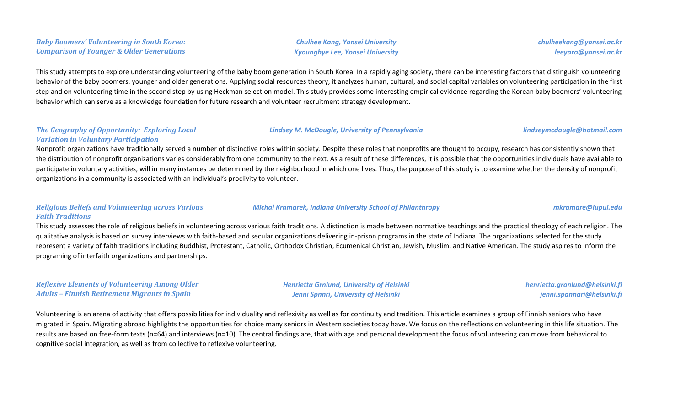*Chulhee Kang, Yonsei University Kyounghye Lee, Yonsei University*

*Lindsey M. McDougle, University of Pennsylvania lindseymcdougle@hotmail.com*

*chulheekang@yonsei.ac.kr leeyaro@yonsei.ac.kr*

This study attempts to explore understanding volunteering of the baby boom generation in South Korea. In a rapidly aging society, there can be interesting factors that distinguish volunteering behavior of the baby boomers, younger and older generations. Applying social resources theory, it analyzes human, cultural, and social capital variables on volunteering participation in the first step and on volunteering time in the second step by using Heckman selection model. This study provides some interesting empirical evidence regarding the Korean baby boomers' volunteering behavior which can serve as a knowledge foundation for future research and volunteer recruitment strategy development.

#### *The Geography of Opportunity: Exploring Local Variation in Voluntary Participation*

Nonprofit organizations have traditionally served a number of distinctive roles within society. Despite these roles that nonprofits are thought to occupy, research has consistently shown that the distribution of nonprofit organizations varies considerably from one community to the next. As a result of these differences, it is possible that the opportunities individuals have available to participate in voluntary activities, will in many instances be determined by the neighborhood in which one lives. Thus, the purpose of this study is to examine whether the density of nonprofit organizations in a community is associated with an individual's proclivity to volunteer.

#### *Religious Beliefs and Volunteering across Various Faith Traditions*

This study assesses the role of religious beliefs in volunteering across various faith traditions. A distinction is made between normative teachings and the practical theology of each religion. The qualitative analysis is based on survey interviews with faith-based and secular organizations delivering in-prison programs in the state of Indiana. The organizations selected for the study represent a variety of faith traditions including Buddhist, Protestant, Catholic, Orthodox Christian, Ecumenical Christian, Jewish, Muslim, and Native American. The study aspires to inform the programing of interfaith organizations and partnerships.

*Reflexive Elements of Volunteering Among Older Adults – Finnish Retirement Migrants in Spain*

*Henrietta Grnlund, University of Helsinki Jenni Spnnri, University of Helsinki*

*henrietta.gronlund@helsinki.fi jenni.spannari@helsinki.fi*

Volunteering is an arena of activity that offers possibilities for individuality and reflexivity as well as for continuity and tradition. This article examines a group of Finnish seniors who have migrated in Spain. Migrating abroad highlights the opportunities for choice many seniors in Western societies today have. We focus on the reflections on volunteering in this life situation. The results are based on free-form texts (n=64) and interviews (n=10). The central findings are, that with age and personal development the focus of volunteering can move from behavioral to cognitive social integration, as well as from collective to reflexive volunteering.

*Michal Kramarek, Indiana University School of Philanthropy mkramare@iupui.edu*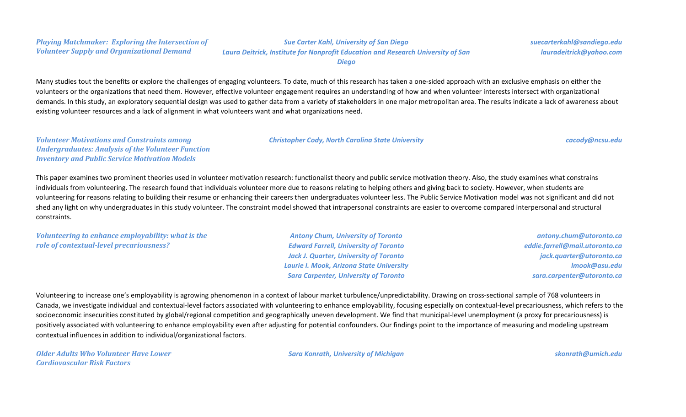*Sue Carter Kahl, University of San Diego Laura Deitrick, Institute for Nonprofit Education and Research University of San* 

*Diego*

Many studies tout the benefits or explore the challenges of engaging volunteers. To date, much of this research has taken a one-sided approach with an exclusive emphasis on either the volunteers or the organizations that need them. However, effective volunteer engagement requires an understanding of how and when volunteer interests intersect with organizational demands. In this study, an exploratory sequential design was used to gather data from a variety of stakeholders in one major metropolitan area. The results indicate a lack of awareness about existing volunteer resources and a lack of alignment in what volunteers want and what organizations need.

## *Volunteer Motivations and Constraints among Undergraduates: Analysis of the Volunteer Function Inventory and Public Service Motivation Models*

This paper examines two prominent theories used in volunteer motivation research: functionalist theory and public service motivation theory. Also, the study examines what constrains individuals from volunteering. The research found that individuals volunteer more due to reasons relating to helping others and giving back to society. However, when students are volunteering for reasons relating to building their resume or enhancing their careers then undergraduates volunteer less. The Public Service Motivation model was not significant and did not shed any light on why undergraduates in this study volunteer. The constraint model showed that intrapersonal constraints are easier to overcome compared interpersonal and structural constraints.

*Volunteering to enhance employability: what is the role of contextual-level precariousness?*

*Antony Chum, University of Toronto Edward Farrell, University of Toronto Jack J. Quarter, University of Toronto Laurie I. Mook, Arizona State University Sara Carpenter, University of Toronto*

*antony.chum@utoronto.ca eddie.farrell@mail.utoronto.ca jack.quarter@utoronto.ca lmook@asu.edu sara.carpenter@utoronto.ca*

Volunteering to increase one's employability is agrowing phenomenon in a context of labour market turbulence/unpredictability. Drawing on cross-sectional sample of 768 volunteers in Canada, we investigate individual and contextual-level factors associated with volunteering to enhance employability, focusing especially on contextual-level precariousness, which refers to the socioeconomic insecurities constituted by global/regional competition and geographically uneven development. We find that municipal-level unemployment (a proxy for precariousness) is positively associated with volunteering to enhance employability even after adjusting for potential confounders. Our findings point to the importance of measuring and modeling upstream contextual influences in addition to individual/organizational factors.

*Older Adults Who Volunteer Have Lower Cardiovascular Risk Factors*

*Sara Konrath, University of Michigan skonrath@umich.edu*

*Christopher Cody, North Carolina State University cacody@ncsu.edu*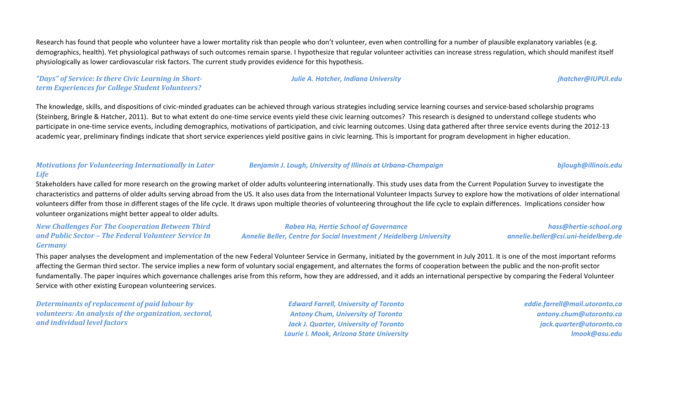Research has found that people who volunteer have a lower mortality risk than people who don't volunteer, even when controlling for a number of plausible explanatory variables (e.g. demographics, health). Yet physiological pathways of such outcomes remain sparse. I hypothesize that regular volunteer activities can increase stress regulation, which should manifest itself physiologically as lower cardiovascular risk factors. The current study provides evidence for this hypothesis.

*"Days" of Service: Is there Civic Learning in Shortterm Experiences for College Student Volunteers?*

The knowledge, skills, and dispositions of civic-minded graduates can be achieved through various strategies including service learning courses and service-based scholarship programs (Steinberg, Bringle & Hatcher, 2011). But to what extent do one-time service events yield these civic learning outcomes? This research is designed to understand college students who participate in one-time service events, including demographics, motivations of participation, and civic learning outcomes. Using data gathered after three service events during the 2012-13 academic year, preliminary findings indicate that short service experiences yield positive gains in civic learning. This is important for program development in higher education.

# *Motivations for Volunteering Internationally in Later Life*

Stakeholders have called for more research on the growing market of older adults volunteering internationally. This study uses data from the Current Population Survey to investigate the characteristics and patterns of older adults serving abroad from the US. It also uses data from the International Volunteer Impacts Survey to explore how the motivations of older international volunteers differ from those in different stages of the life cycle. It draws upon multiple theories of volunteering throughout the life cycle to explain differences. Implications consider how volunteer organizations might better appeal to older adults.

*New Challenges For The Cooperation Between Third and Public Sector – The Federal Volunteer Service In Germany*

*Rabea Ha, Hertie School of Governance Annelie Beller, Centre for Social Investment / Heidelberg University*

*Benjamin J. Lough, University of Illinois at Urbana-Champaign bjlough@illinois.edu*

*hass@hertie-school.org annelie.beller@csi.uni-heidelberg.de*

This paper analyses the development and implementation of the new Federal Volunteer Service in Germany, initiated by the government in July 2011. It is one of the most important reforms affecting the German third sector. The service implies a new form of voluntary social engagement, and alternates the forms of cooperation between the public and the non-profit sector fundamentally. The paper inquires which governance challenges arise from this reform, how they are addressed, and it adds an international perspective by comparing the Federal Volunteer Service with other existing European volunteering services.

*Determinants of replacement of paid labour by volunteers: An analysis of the organization, sectoral, and individual level factors*

*Edward Farrell, University of Toronto Antony Chum, University of Toronto Jack J. Quarter, University of Toronto Laurie I. Mook, Arizona State University* *eddie.farrell@mail.utoronto.ca antony.chum@utoronto.ca jack.quarter@utoronto.ca lmook@asu.edu*

*Julie A. Hatcher, Indiana University jhatcher@IUPUI.edu*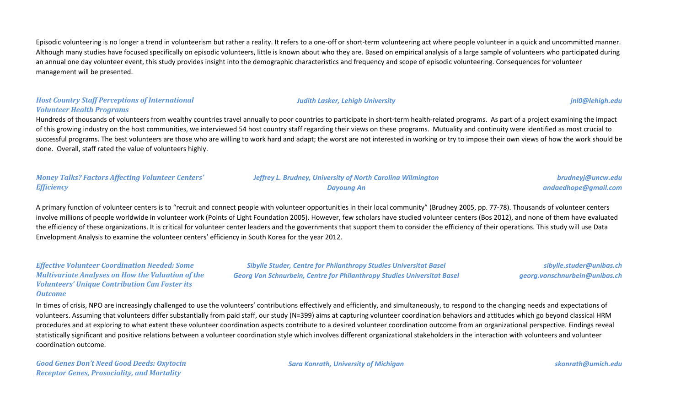Episodic volunteering is no longer a trend in volunteerism but rather a reality. It refers to a one-off or short-term volunteering act where people volunteer in a quick and uncommitted manner. Although many studies have focused specifically on episodic volunteers, little is known about who they are. Based on empirical analysis of a large sample of volunteers who participated during an annual one day volunteer event, this study provides insight into the demographic characteristics and frequency and scope of episodic volunteering. Consequences for volunteer management will be presented.

## *Host Country Staff Perceptions of International Volunteer Health Programs*

Hundreds of thousands of volunteers from wealthy countries travel annually to poor countries to participate in short-term health-related programs. As part of a project examining the impact of this growing industry on the host communities, we interviewed 54 host country staff regarding their views on these programs. Mutuality and continuity were identified as most crucial to successful programs. The best volunteers are those who are willing to work hard and adapt; the worst are not interested in working or try to impose their own views of how the work should be done. Overall, staff rated the value of volunteers highly.

| <b>Money Talks? Factors Affecting Volunteer Centers'</b> | <b>Jeffrey L. Brudney, University of North Carolina Wilmington</b> | brudneyj@uncw.edu    |
|----------------------------------------------------------|--------------------------------------------------------------------|----------------------|
| <b>Efficiency</b>                                        | Dayoung An                                                         | andaedhope@gmail.com |

A primary function of volunteer centers is to "recruit and connect people with volunteer opportunities in their local community" (Brudney 2005, pp. 77-78). Thousands of volunteer centers involve millions of people worldwide in volunteer work (Points of Light Foundation 2005). However, few scholars have studied volunteer centers (Bos 2012), and none of them have evaluated the efficiency of these organizations. It is critical for volunteer center leaders and the governments that support them to consider the efficiency of their operations. This study will use Data Envelopment Analysis to examine the volunteer centers' efficiency in South Korea for the year 2012.

## *Effective Volunteer Coordination Needed: Some Multivariate Analyses on How the Valuation of the Volunteers' Unique Contribution Can Foster its Outcome*

*Sibylle Studer, Centre for Philanthropy Studies Universitat Basel Georg Von Schnurbein, Centre for Philanthropy Studies Universitat Basel*

*sibylle.studer@unibas.ch georg.vonschnurbein@unibas.ch*

In times of crisis, NPO are increasingly challenged to use the volunteers' contributions effectively and efficiently, and simultaneously, to respond to the changing needs and expectations of volunteers. Assuming that volunteers differ substantially from paid staff, our study (N=399) aims at capturing volunteer coordination behaviors and attitudes which go beyond classical HRM procedures and at exploring to what extent these volunteer coordination aspects contribute to a desired volunteer coordination outcome from an organizational perspective. Findings reveal statistically significant and positive relations between a volunteer coordination style which involves different organizational stakeholders in the interaction with volunteers and volunteer coordination outcome.

*Good Genes Don't Need Good Deeds: Oxytocin Receptor Genes, Prosociality, and Mortality*

*Sara Konrath, University of Michigan skonrath@umich.edu*

#### *Judith Lasker, Lehigh University jnl0@lehigh.edu*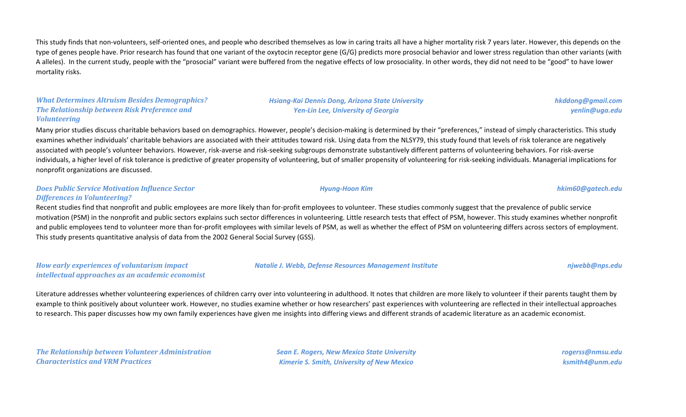This study finds that non-volunteers, self-oriented ones, and people who described themselves as low in caring traits all have a higher mortality risk 7 years later. However, this depends on the type of genes people have. Prior research has found that one variant of the oxytocin receptor gene (G/G) predicts more prosocial behavior and lower stress regulation than other variants (with A alleles). In the current study, people with the "prosocial" variant were buffered from the negative effects of low prosociality. In other words, they did not need to be "good" to have lower mortality risks.

## *What Determines Altruism Besides Demographics? The Relationship between Risk Preference and Volunteering*

Many prior studies discuss charitable behaviors based on demographics. However, people's decision-making is determined by their "preferences," instead of simply characteristics. This study examines whether individuals' charitable behaviors are associated with their attitudes toward risk. Using data from the NLSY79, this study found that levels of risk tolerance are negatively associated with people's volunteer behaviors. However, risk-averse and risk-seeking subgroups demonstrate substantively different patterns of volunteering behaviors. For risk-averse individuals, a higher level of risk tolerance is predictive of greater propensity of volunteering, but of smaller propensity of volunteering for risk-seeking individuals. Managerial implications for nonprofit organizations are discussed.

### *Does Public Service Motivation Influence Sector Differences in Volunteering?*

Recent studies find that nonprofit and public employees are more likely than for-profit employees to volunteer. These studies commonly suggest that the prevalence of public service motivation (PSM) in the nonprofit and public sectors explains such sector differences in volunteering. Little research tests that effect of PSM, however. This study examines whether nonprofit and public employees tend to volunteer more than for-profit employees with similar levels of PSM, as well as whether the effect of PSM on volunteering differs across sectors of employment. This study presents quantitative analysis of data from the 2002 General Social Survey (GSS).

*How early experiences of voluntarism impact intellectual approaches as an academic economist*

Literature addresses whether volunteering experiences of children carry over into volunteering in adulthood. It notes that children are more likely to volunteer if their parents taught them by example to think positively about volunteer work. However, no studies examine whether or how researchers' past experiences with volunteering are reflected in their intellectual approaches to research. This paper discusses how my own family experiences have given me insights into differing views and different strands of academic literature as an academic economist.

*The Relationship between Volunteer Administration Characteristics and VRM Practices*

*Sean E. Rogers, New Mexico State University Kimerie S. Smith, University of New Mexico*

*rogerss@nmsu.edu ksmith4@unm.edu*

*Natalie J. Webb, Defense Resources Management Institute njwebb@nps.edu*

*Hsiang-Kai Dennis Dong, Arizona State University Yen-Lin Lee, University of Georgia*

*hkddong@gmail.com yenlin@uga.edu*

*Hyung-Hoon Kim hkim60@gatech.edu*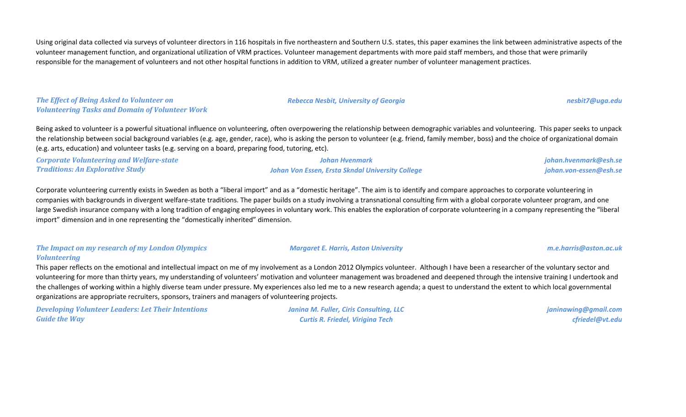Using original data collected via surveys of volunteer directors in 116 hospitals in five northeastern and Southern U.S. states, this paper examines the link between administrative aspects of the volunteer management function, and organizational utilization of VRM practices. Volunteer management departments with more paid staff members, and those that were primarily responsible for the management of volunteers and not other hospital functions in addition to VRM, utilized a greater number of volunteer management practices.

*The Effect of Being Asked to Volunteer on Volunteering Tasks and Domain of Volunteer Work*

Being asked to volunteer is a powerful situational influence on volunteering, often overpowering the relationship between demographic variables and volunteering. This paper seeks to unpack the relationship between social background variables (e.g. age, gender, race), who is asking the person to volunteer (e.g. friend, family member, boss) and the choice of organizational domain (e.g. arts, education) and volunteer tasks (e.g. serving on a board, preparing food, tutoring, etc).

| <b>Corporate Volunteering and Welfare-state</b> | Johan Hvenmark                                   | johan.hvenmark@esh.se  |
|-------------------------------------------------|--------------------------------------------------|------------------------|
| <b>Traditions: An Explorative Study</b>         | Johan Von Essen, Ersta Skndal University College | johan.von-essen@esh.se |

Corporate volunteering currently exists in Sweden as both a "liberal import" and as a "domestic heritage". The aim is to identify and compare approaches to corporate volunteering in companies with backgrounds in divergent welfare-state traditions. The paper builds on a study involving a transnational consulting firm with a global corporate volunteer program, and one large Swedish insurance company with a long tradition of engaging employees in voluntary work. This enables the exploration of corporate volunteering in a company representing the "liberal import" dimension and in one representing the "domestically inherited" dimension.

### *The Impact on my research of my London Olympics Volunteering*

This paper reflects on the emotional and intellectual impact on me of my involvement as a London 2012 Olympics volunteer. Although I have been a researcher of the voluntary sector and volunteering for more than thirty years, my understanding of volunteers' motivation and volunteer management was broadened and deepened through the intensive training I undertook and the challenges of working within a highly diverse team under pressure. My experiences also led me to a new research agenda; a quest to understand the extent to which local governmental organizations are appropriate recruiters, sponsors, trainers and managers of volunteering projects.

*Developing Volunteer Leaders: Let Their Intentions Guide the Way*

*Janina M. Fuller, Ciris Consulting, LLC Curtis R. Friedel, Virigina Tech*

*janinawing@gmail.com cfriedel@vt.edu*

*Margaret E. Harris, Aston University m.e.harris@aston.ac.uk*

*Rebecca Nesbit, University of Georgia [nesbit7@uga.edu](mailto:nesbit7@uga.edu)*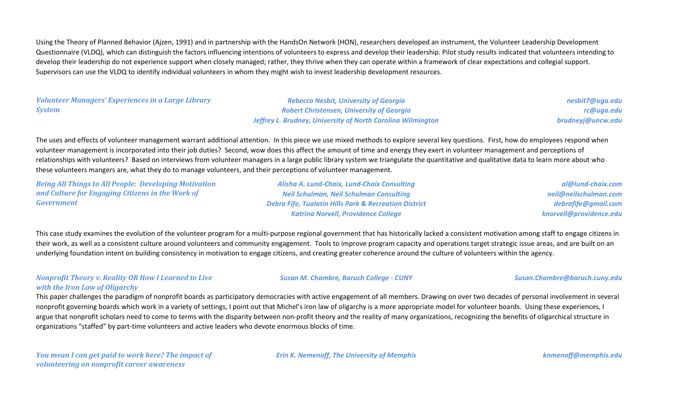Using the Theory of Planned Behavior (Ajzen, 1991) and in partnership with the HandsOn Network (HON), researchers developed an instrument, the Volunteer Leadership Development Questionnaire (VLDQ), which can distinguish the factors influencing intentions of volunteers to express and develop their leadership. Pilot study results indicated that volunteers intending to develop their leadership do not experience support when closely managed; rather, they thrive when they can operate within a framework of clear expectations and collegial support. Supervisors can use the VLDQ to identify individual volunteers in whom they might wish to invest leadership development resources.

## *Volunteer Managers' Experiences in a Large Library System*

*Rebecca Nesbit, University of Georgia Robert Christensen, University of Georgia Jeffrey L. Brudney, University of North Carolina Wilmington*

*nesbit7@uga.edu rc@uga.edu brudneyj@uncw.edu*

The uses and effects of volunteer management warrant additional attention. In this piece we use mixed methods to explore several key questions. First, how do employees respond when volunteer management is incorporated into their job duties? Second, wow does this affect the amount of time and energy they exert in volunteer management and perceptions of relationships with volunteers? Based on interviews from volunteer managers in a large public library system we triangulate the quantitative and qualitative data to learn more about who these volunteers mangers are, what they do to manage volunteers, and their perceptions of volunteer management.

*Being All Things to All People: Developing Motivation and Culture for Engaging Citizens in the Work of Government*

*Alisha A. Lund-Chaix, Lund-Chaix Consulting Neil Schulman, Neil Schulman Consulting Debra Fife, Tualatin Hills Park & Recreation District Katrina Norvell, Providence College*

*Susan M. Chambre, Baruch College - CUNY Susan.Chambre@baruch.cuny.edu*

*al@lund-chaix.com neil@neilschulman.com debrafife@gmail.com knorvell@providence.edu*

This case study examines the evolution of the volunteer program for a multi-purpose regional government that has historically lacked a consistent motivation among staff to engage citizens in their work, as well as a consistent culture around volunteers and community engagement. Tools to improve program capacity and operations target strategic issue areas, and are built on an underlying foundation intent on building consistency in motivation to engage citizens, and creating greater coherence around the culture of volunteers within the agency.

### *Nonprofit Theory v. Reality OR How I Learned to Live with the Iron Law of Oligarchy*

This paper challenges the paradigm of nonprofit boards as participatory democracies with active engagement of all members. Drawing on over two decades of personal involvement in several nonprofit governing boards which work in a variety of settings, I point out that Michel's iron law of oligarchy is a more appropriate model for volunteer boards. Using these experiences, I argue that nonprofit scholars need to come to terms with the disparity between non-profit theory and the reality of many organizations, recognizing the benefits of oligarchical structure in organizations "staffed" by part-time volunteers and active leaders who devote enormous blocks of time.

*You mean I can get paid to work here? The impact of volunteering on nonprofit career awareness*

*Erin K. Nemenoff, The University of Memphis knmenoff@memphis.edu*